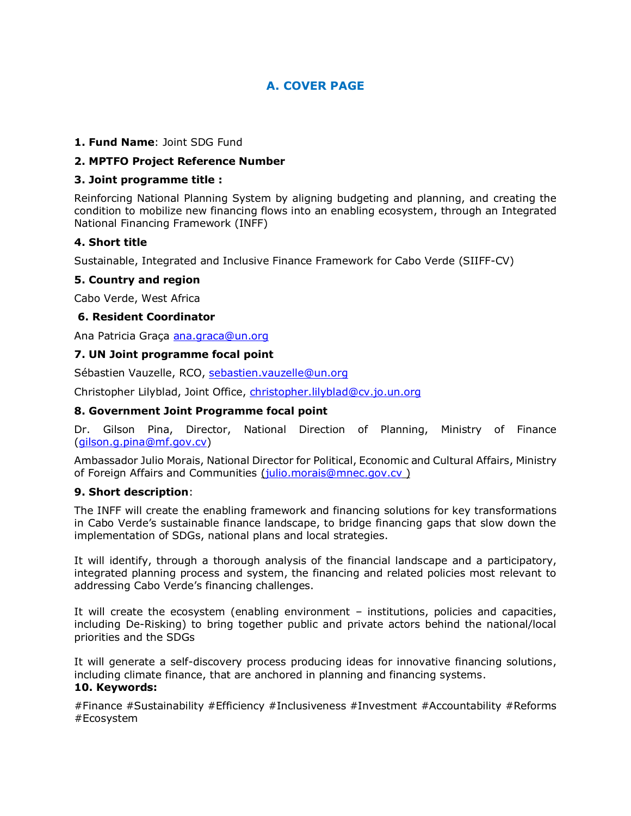# **A. COVER PAGE**

#### **1. Fund Name**: Joint SDG Fund

#### **2. MPTFO Project Reference Number**

#### **3. Joint programme title :**

Reinforcing National Planning System by aligning budgeting and planning, and creating the condition to mobilize new financing flows into an enabling ecosystem, through an Integrated National Financing Framework (INFF)

#### **4. Short title**

Sustainable, Integrated and Inclusive Finance Framework for Cabo Verde (SIIFF-CV)

#### **5. Country and region**

Cabo Verde, West Africa

#### **6. Resident Coordinator**

Ana Patricia Graça [ana.graca@un.org](mailto:ana.graca@un.org)

#### **7. UN Joint programme focal point**

Sébastien Vauzelle, RCO, [sebastien.vauzelle@un.org](mailto:sebastien.vauzelle@un.org)

Christopher Lilyblad, Joint Office, [christopher.lilyblad@cv.jo.un.org](mailto:christopher.lilyblad@cv.jo.un.org)

#### **8. Government Joint Programme focal point**

Dr. Gilson Pina, Director, National Direction of Planning, Ministry of Finance [\(gilson.g.pina@mf.gov.cv\)](mailto:gilson.g.pina@mf.gov.cv)

Ambassador Julio Morais, National Director for Political, Economic and Cultural Affairs, Ministry of Foreign Affairs and Communities [\(julio.morais@mnec.gov.cv](mailto:julio.morais@mnec.gov.cv) )

#### **9. Short description**:

The INFF will create the enabling framework and financing solutions for key transformations in Cabo Verde's sustainable finance landscape, to bridge financing gaps that slow down the implementation of SDGs, national plans and local strategies.

It will identify, through a thorough analysis of the financial landscape and a participatory, integrated planning process and system, the financing and related policies most relevant to addressing Cabo Verde's financing challenges.

It will create the ecosystem (enabling environment – institutions, policies and capacities, including De-Risking) to bring together public and private actors behind the national/local priorities and the SDGs

It will generate a self-discovery process producing ideas for innovative financing solutions, including climate finance, that are anchored in planning and financing systems.

# **10. Keywords:**

#Finance #Sustainability #Efficiency #Inclusiveness #Investment #Accountability #Reforms #Ecosystem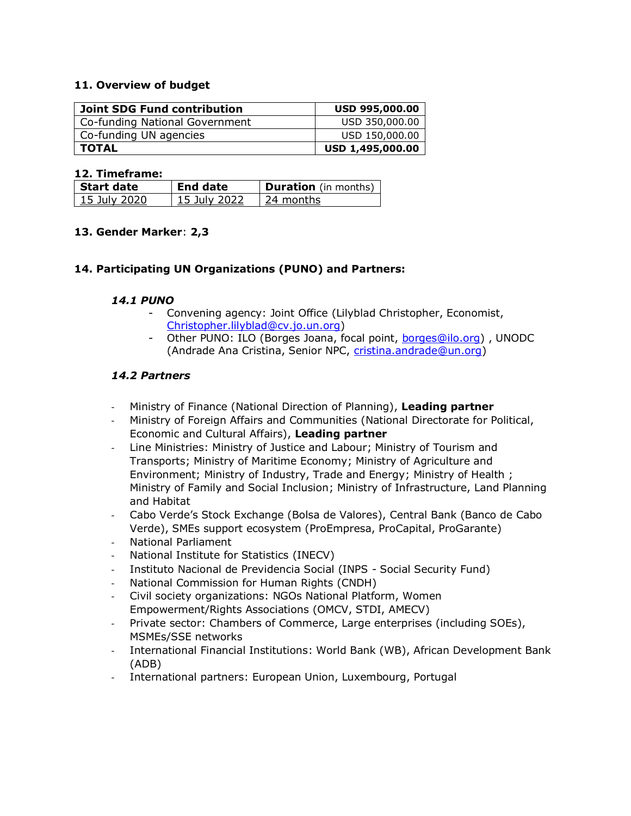#### **11. Overview of budget**

| <b>Joint SDG Fund contribution</b> | <b>USD 995,000.00</b> |
|------------------------------------|-----------------------|
| Co-funding National Government     | USD 350,000.00        |
| Co-funding UN agencies             | USD 150,000.00        |
| <b>TOTAL</b>                       | USD 1,495,000.00      |

#### **12. Timeframe:**

| l Start date   | End date     | <b>Duration</b> (in months) |
|----------------|--------------|-----------------------------|
| - 15 July 2020 | 15 July 2022 | ∣ 24 months                 |

#### **13. Gender Marker**: **2,3**

#### **14. Participating UN Organizations (PUNO) and Partners:**

#### *14.1 PUNO*

- Convening agency: Joint Office (Lilyblad Christopher, Economist, [Christopher.lilyblad@cv.jo.un.org\)](mailto:Christopher.lilyblad@cv.jo.un.org)
- Other PUNO: ILO (Borges Joana, focal point, [borges@ilo.org\)](mailto:borges@ilo.org) , UNODC (Andrade Ana Cristina, Senior NPC, [cristina.andrade@un.org\)](mailto:cristina.andrade@un.org)

#### *14.2 Partners*

- Ministry of Finance (National Direction of Planning), **Leading partner**
- Ministry of Foreign Affairs and Communities (National Directorate for Political, Economic and Cultural Affairs), **Leading partner**
- Line Ministries: Ministry of Justice and Labour; Ministry of Tourism and Transports; Ministry of Maritime Economy; Ministry of Agriculture and Environment; Ministry of Industry, Trade and Energy; Ministry of Health ; Ministry of Family and Social Inclusion; Ministry of Infrastructure, Land Planning and Habitat
- Cabo Verde's Stock Exchange (Bolsa de Valores), Central Bank (Banco de Cabo Verde), SMEs support ecosystem (ProEmpresa, ProCapital, ProGarante)
- National Parliament
- National Institute for Statistics (INECV)
- Instituto Nacional de Previdencia Social (INPS Social Security Fund)
- National Commission for Human Rights (CNDH)
- Civil society organizations: NGOs National Platform, Women Empowerment/Rights Associations (OMCV, STDI, AMECV)
- Private sector: Chambers of Commerce, Large enterprises (including SOEs), MSMEs/SSE networks
- International Financial Institutions: World Bank (WB), African Development Bank (ADB)
- International partners: European Union, Luxembourg, Portugal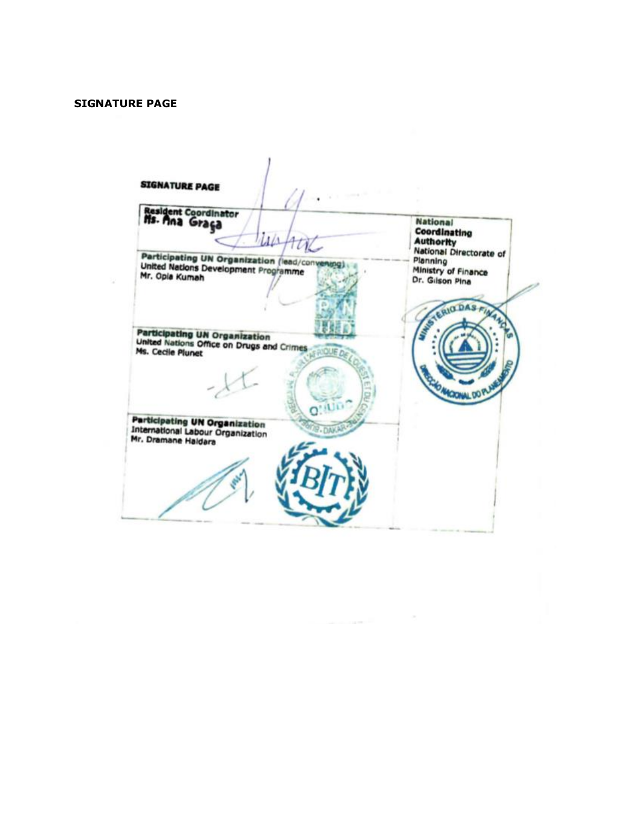#### **SIGNATURE PAGE**

**SIGNATURE PAGE** Resident Coordinator<br>Ns. Ana Graça **National** Coordinating  $\mu\mu$ **Authority** ı **National Directorate of** Participating UN Organization (lead/convert)<br>United Nations Development Programme<br>Mr. Opia Kumah Planning uma) Ministry of Finance Dr. Gilson Pina RIO DAS Participating UN Organization<br>United Nations Office on Drugs and Crimes<br>Ms. Cecile Plunet **FRIQUE** CRONAL DO **Participating UN Organization**<br>International Labour Organization<br>Mr. Dramane Haldara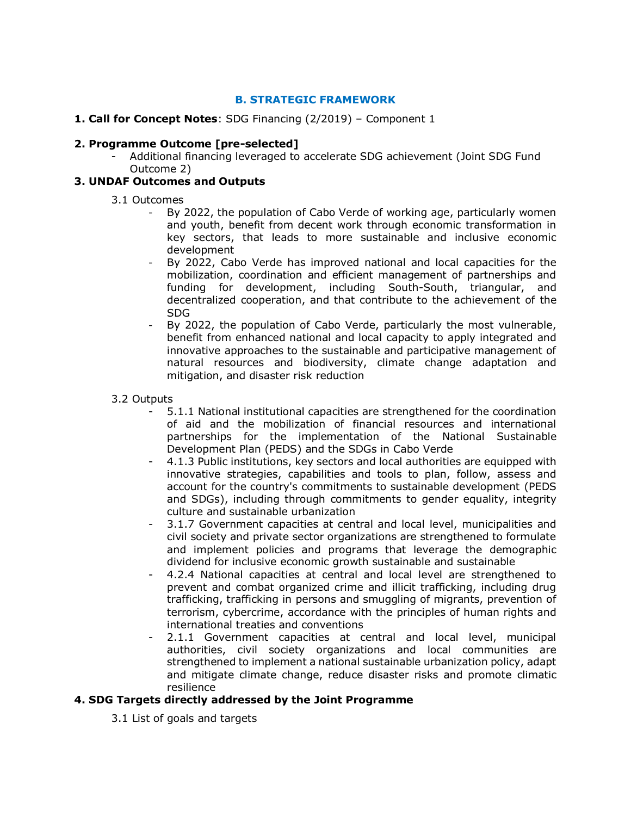# **B. STRATEGIC FRAMEWORK**

#### **1. Call for Concept Notes**: SDG Financing (2/2019) – Component 1

#### **2. Programme Outcome [pre-selected]**

- Additional financing leveraged to accelerate SDG achievement (Joint SDG Fund Outcome 2)

#### **3. UNDAF Outcomes and Outputs**

#### 3.1 Outcomes

- By 2022, the population of Cabo Verde of working age, particularly women and youth, benefit from decent work through economic transformation in key sectors, that leads to more sustainable and inclusive economic development
- By 2022, Cabo Verde has improved national and local capacities for the mobilization, coordination and efficient management of partnerships and funding for development, including South-South, triangular, and decentralized cooperation, and that contribute to the achievement of the SDG
- By 2022, the population of Cabo Verde, particularly the most vulnerable, benefit from enhanced national and local capacity to apply integrated and innovative approaches to the sustainable and participative management of natural resources and biodiversity, climate change adaptation and mitigation, and disaster risk reduction

#### 3.2 Outputs

- 5.1.1 National institutional capacities are strengthened for the coordination of aid and the mobilization of financial resources and international partnerships for the implementation of the National Sustainable Development Plan (PEDS) and the SDGs in Cabo Verde
- 4.1.3 Public institutions, key sectors and local authorities are equipped with innovative strategies, capabilities and tools to plan, follow, assess and account for the country's commitments to sustainable development (PEDS and SDGs), including through commitments to gender equality, integrity culture and sustainable urbanization
- 3.1.7 Government capacities at central and local level, municipalities and civil society and private sector organizations are strengthened to formulate and implement policies and programs that leverage the demographic dividend for inclusive economic growth sustainable and sustainable
- 4.2.4 National capacities at central and local level are strengthened to prevent and combat organized crime and illicit trafficking, including drug trafficking, trafficking in persons and smuggling of migrants, prevention of terrorism, cybercrime, accordance with the principles of human rights and international treaties and conventions
- 2.1.1 Government capacities at central and local level, municipal authorities, civil society organizations and local communities are strengthened to implement a national sustainable urbanization policy, adapt and mitigate climate change, reduce disaster risks and promote climatic resilience

# **4. SDG Targets directly addressed by the Joint Programme**

3.1 List of goals and targets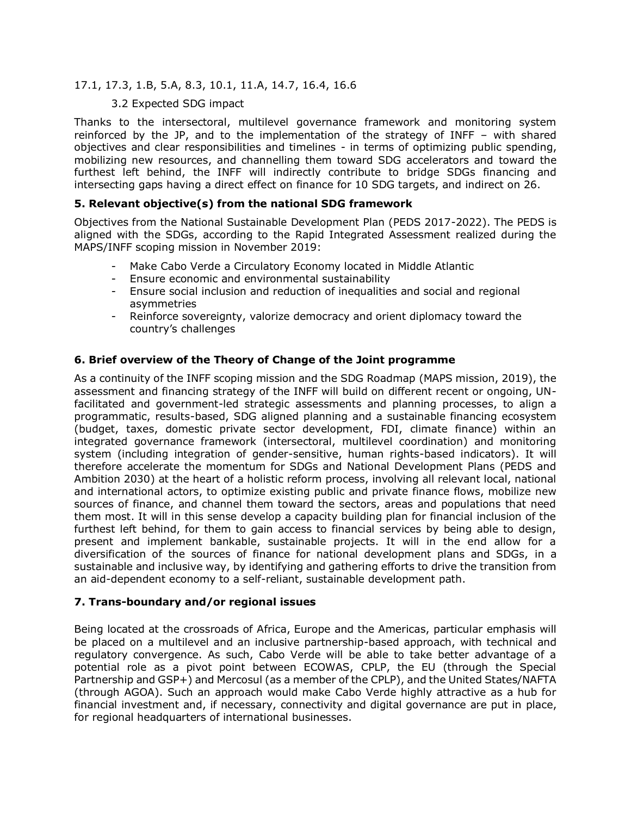# 17.1, 17.3, 1.B, 5.A, 8.3, 10.1, 11.A, 14.7, 16.4, 16.6

#### 3.2 Expected SDG impact

Thanks to the intersectoral, multilevel governance framework and monitoring system reinforced by the JP, and to the implementation of the strategy of INFF – with shared objectives and clear responsibilities and timelines - in terms of optimizing public spending, mobilizing new resources, and channelling them toward SDG accelerators and toward the furthest left behind, the INFF will indirectly contribute to bridge SDGs financing and intersecting gaps having a direct effect on finance for 10 SDG targets, and indirect on 26.

#### **5. Relevant objective(s) from the national SDG framework**

Objectives from the National Sustainable Development Plan (PEDS 2017-2022). The PEDS is aligned with the SDGs, according to the Rapid Integrated Assessment realized during the MAPS/INFF scoping mission in November 2019:

- Make Cabo Verde a Circulatory Economy located in Middle Atlantic
- Ensure economic and environmental sustainability
- Ensure social inclusion and reduction of inequalities and social and regional asymmetries
- Reinforce sovereignty, valorize democracy and orient diplomacy toward the country's challenges

# **6. Brief overview of the Theory of Change of the Joint programme**

As a continuity of the INFF scoping mission and the SDG Roadmap (MAPS mission, 2019), the assessment and financing strategy of the INFF will build on different recent or ongoing, UNfacilitated and government-led strategic assessments and planning processes, to align a programmatic, results-based, SDG aligned planning and a sustainable financing ecosystem (budget, taxes, domestic private sector development, FDI, climate finance) within an integrated governance framework (intersectoral, multilevel coordination) and monitoring system (including integration of gender-sensitive, human rights-based indicators). It will therefore accelerate the momentum for SDGs and National Development Plans (PEDS and Ambition 2030) at the heart of a holistic reform process, involving all relevant local, national and international actors, to optimize existing public and private finance flows, mobilize new sources of finance, and channel them toward the sectors, areas and populations that need them most. It will in this sense develop a capacity building plan for financial inclusion of the furthest left behind, for them to gain access to financial services by being able to design, present and implement bankable, sustainable projects. It will in the end allow for a diversification of the sources of finance for national development plans and SDGs, in a sustainable and inclusive way, by identifying and gathering efforts to drive the transition from an aid-dependent economy to a self-reliant, sustainable development path.

#### **7. Trans-boundary and/or regional issues**

Being located at the crossroads of Africa, Europe and the Americas, particular emphasis will be placed on a multilevel and an inclusive partnership-based approach, with technical and regulatory convergence. As such, Cabo Verde will be able to take better advantage of a potential role as a pivot point between ECOWAS, CPLP, the EU (through the Special Partnership and GSP+) and Mercosul (as a member of the CPLP), and the United States/NAFTA (through AGOA). Such an approach would make Cabo Verde highly attractive as a hub for financial investment and, if necessary, connectivity and digital governance are put in place, for regional headquarters of international businesses.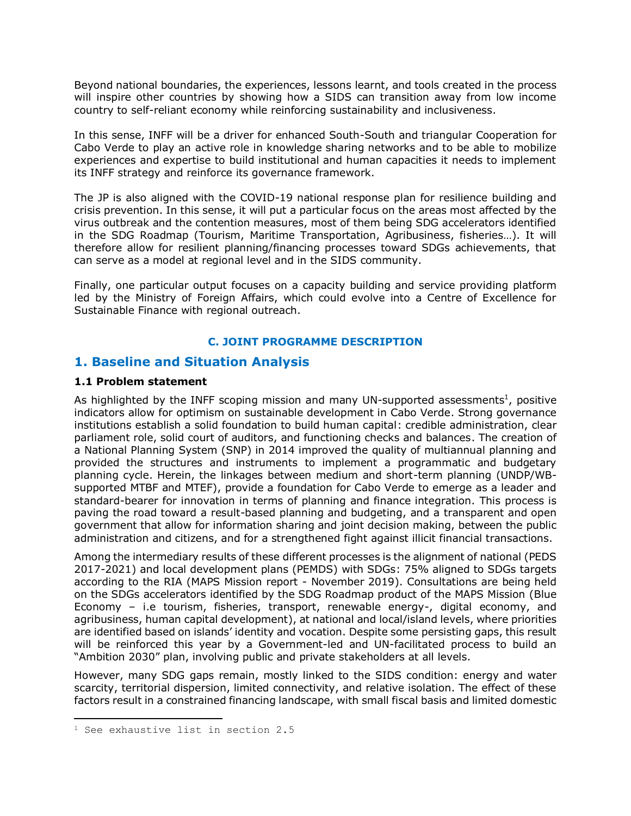Beyond national boundaries, the experiences, lessons learnt, and tools created in the process will inspire other countries by showing how a SIDS can transition away from low income country to self-reliant economy while reinforcing sustainability and inclusiveness.

In this sense, INFF will be a driver for enhanced South-South and triangular Cooperation for Cabo Verde to play an active role in knowledge sharing networks and to be able to mobilize experiences and expertise to build institutional and human capacities it needs to implement its INFF strategy and reinforce its governance framework.

The JP is also aligned with the COVID-19 national response plan for resilience building and crisis prevention. In this sense, it will put a particular focus on the areas most affected by the virus outbreak and the contention measures, most of them being SDG accelerators identified in the SDG Roadmap (Tourism, Maritime Transportation, Agribusiness, fisheries…). It will therefore allow for resilient planning/financing processes toward SDGs achievements, that can serve as a model at regional level and in the SIDS community.

Finally, one particular output focuses on a capacity building and service providing platform led by the Ministry of Foreign Affairs, which could evolve into a Centre of Excellence for Sustainable Finance with regional outreach.

#### **C. JOINT PROGRAMME DESCRIPTION**

# **1. Baseline and Situation Analysis**

#### **1.1 Problem statement**

As highlighted by the INFF scoping mission and many UN-supported assessments<sup>1</sup>, positive indicators allow for optimism on sustainable development in Cabo Verde. Strong governance institutions establish a solid foundation to build human capital: credible administration, clear parliament role, solid court of auditors, and functioning checks and balances. The creation of a National Planning System (SNP) in 2014 improved the quality of multiannual planning and provided the structures and instruments to implement a programmatic and budgetary planning cycle. Herein, the linkages between medium and short-term planning (UNDP/WBsupported MTBF and MTEF), provide a foundation for Cabo Verde to emerge as a leader and standard-bearer for innovation in terms of planning and finance integration. This process is paving the road toward a result-based planning and budgeting, and a transparent and open government that allow for information sharing and joint decision making, between the public administration and citizens, and for a strengthened fight against illicit financial transactions.

Among the intermediary results of these different processes is the alignment of national (PEDS 2017-2021) and local development plans (PEMDS) with SDGs: 75% aligned to SDGs targets according to the RIA (MAPS Mission report - November 2019). Consultations are being held on the SDGs accelerators identified by the SDG Roadmap product of the MAPS Mission (Blue Economy – i.e tourism, fisheries, transport, renewable energy-, digital economy, and agribusiness, human capital development), at national and local/island levels, where priorities are identified based on islands' identity and vocation. Despite some persisting gaps, this result will be reinforced this year by a Government-led and UN-facilitated process to build an "Ambition 2030" plan, involving public and private stakeholders at all levels.

However, many SDG gaps remain, mostly linked to the SIDS condition: energy and water scarcity, territorial dispersion, limited connectivity, and relative isolation. The effect of these factors result in a constrained financing landscape, with small fiscal basis and limited domestic

<sup>1</sup> See exhaustive list in section 2.5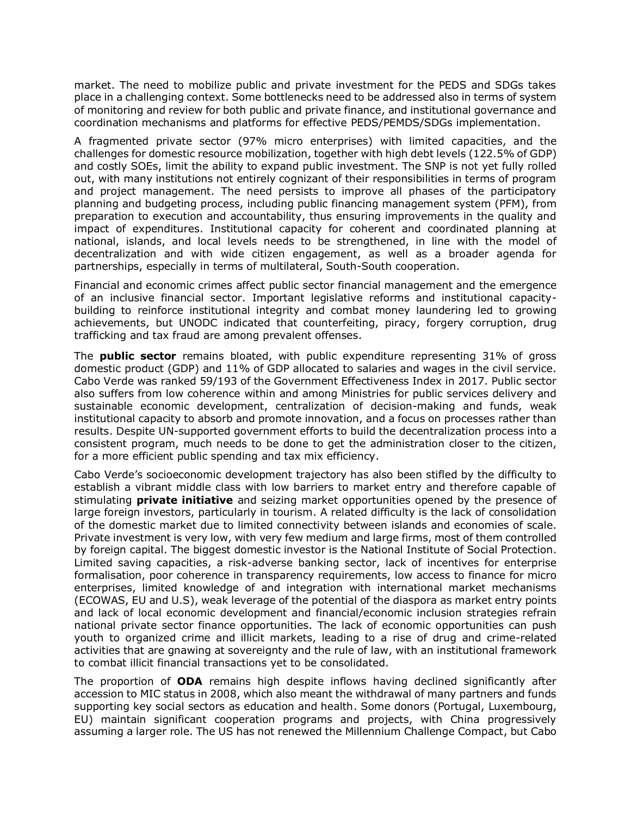market. The need to mobilize public and private investment for the PEDS and SDGs takes place in a challenging context. Some bottlenecks need to be addressed also in terms of system of monitoring and review for both public and private finance, and institutional governance and coordination mechanisms and platforms for effective PEDS/PEMDS/SDGs implementation.

A fragmented private sector (97% micro enterprises) with limited capacities, and the challenges for domestic resource mobilization, together with high debt levels (122.5% of GDP) and costly SOEs, limit the ability to expand public investment. The SNP is not yet fully rolled out, with many institutions not entirely cognizant of their responsibilities in terms of program and project management. The need persists to improve all phases of the participatory planning and budgeting process, including public financing management system (PFM), from preparation to execution and accountability, thus ensuring improvements in the quality and impact of expenditures. Institutional capacity for coherent and coordinated planning at national, islands, and local levels needs to be strengthened, in line with the model of decentralization and with wide citizen engagement, as well as a broader agenda for partnerships, especially in terms of multilateral, South-South cooperation.

Financial and economic crimes affect public sector financial management and the emergence of an inclusive financial sector. Important legislative reforms and institutional capacitybuilding to reinforce institutional integrity and combat money laundering led to growing achievements, but UNODC indicated that counterfeiting, piracy, forgery corruption, drug trafficking and tax fraud are among prevalent offenses.

The **public sector** remains bloated, with public expenditure representing 31% of gross domestic product (GDP) and 11% of GDP allocated to salaries and wages in the civil service. Cabo Verde was ranked 59/193 of the Government Effectiveness Index in 2017. Public sector also suffers from low coherence within and among Ministries for public services delivery and sustainable economic development, centralization of decision-making and funds, weak institutional capacity to absorb and promote innovation, and a focus on processes rather than results. Despite UN-supported government efforts to build the decentralization process into a consistent program, much needs to be done to get the administration closer to the citizen, for a more efficient public spending and tax mix efficiency.

Cabo Verde's socioeconomic development trajectory has also been stifled by the difficulty to establish a vibrant middle class with low barriers to market entry and therefore capable of stimulating **private initiative** and seizing market opportunities opened by the presence of large foreign investors, particularly in tourism. A related difficulty is the lack of consolidation of the domestic market due to limited connectivity between islands and economies of scale. Private investment is very low, with very few medium and large firms, most of them controlled by foreign capital. The biggest domestic investor is the National Institute of Social Protection. Limited saving capacities, a risk-adverse banking sector, lack of incentives for enterprise formalisation, poor coherence in transparency requirements, low access to finance for micro enterprises, limited knowledge of and integration with international market mechanisms (ECOWAS, EU and U.S), weak leverage of the potential of the diaspora as market entry points and lack of local economic development and financial/economic inclusion strategies refrain national private sector finance opportunities. The lack of economic opportunities can push youth to organized crime and illicit markets, leading to a rise of drug and crime-related activities that are gnawing at sovereignty and the rule of law, with an institutional framework to combat illicit financial transactions yet to be consolidated.

The proportion of **ODA** remains high despite inflows having declined significantly after accession to MIC status in 2008, which also meant the withdrawal of many partners and funds supporting key social sectors as education and health. Some donors (Portugal, Luxembourg, EU) maintain significant cooperation programs and projects, with China progressively assuming a larger role. The US has not renewed the Millennium Challenge Compact, but Cabo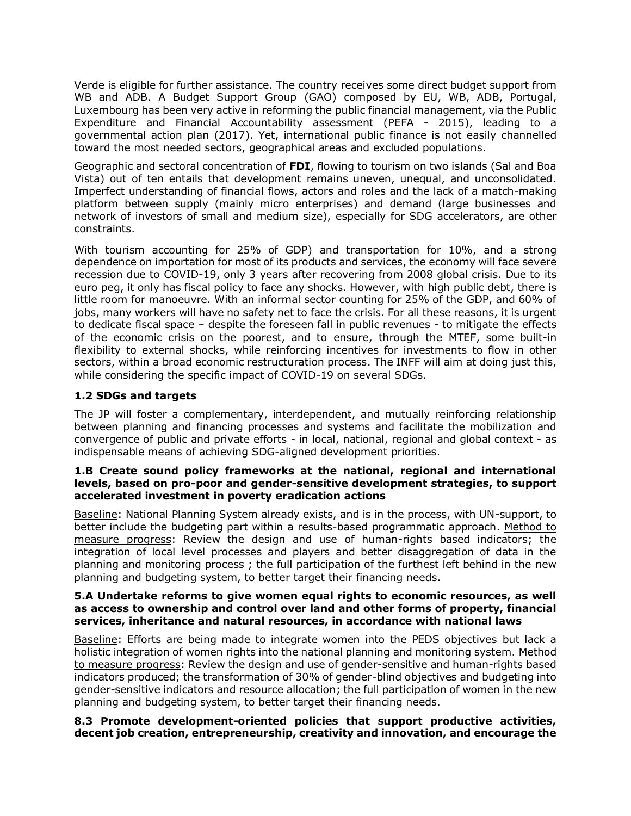Verde is eligible for further assistance. The country receives some direct budget support from WB and ADB. A Budget Support Group (GAO) composed by EU, WB, ADB, Portugal, Luxembourg has been very active in reforming the public financial management, via the Public Expenditure and Financial Accountability assessment (PEFA - 2015), leading to a governmental action plan (2017). Yet, international public finance is not easily channelled toward the most needed sectors, geographical areas and excluded populations.

Geographic and sectoral concentration of **FDI**, flowing to tourism on two islands (Sal and Boa Vista) out of ten entails that development remains uneven, unequal, and unconsolidated. Imperfect understanding of financial flows, actors and roles and the lack of a match-making platform between supply (mainly micro enterprises) and demand (large businesses and network of investors of small and medium size), especially for SDG accelerators, are other constraints.

With tourism accounting for 25% of GDP) and transportation for 10%, and a strong dependence on importation for most of its products and services, the economy will face severe recession due to COVID-19, only 3 years after recovering from 2008 global crisis. Due to its euro peg, it only has fiscal policy to face any shocks. However, with high public debt, there is little room for manoeuvre. With an informal sector counting for 25% of the GDP, and 60% of jobs, many workers will have no safety net to face the crisis. For all these reasons, it is urgent to dedicate fiscal space – despite the foreseen fall in public revenues - to mitigate the effects of the economic crisis on the poorest, and to ensure, through the MTEF, some built-in flexibility to external shocks, while reinforcing incentives for investments to flow in other sectors, within a broad economic restructuration process. The INFF will aim at doing just this, while considering the specific impact of COVID-19 on several SDGs.

#### **1.2 SDGs and targets**

The JP will foster a complementary, interdependent, and mutually reinforcing relationship between planning and financing processes and systems and facilitate the mobilization and convergence of public and private efforts - in local, national, regional and global context - as indispensable means of achieving SDG-aligned development priorities.

#### **1.B Create sound policy frameworks at the national, regional and international levels, based on pro-poor and gender-sensitive development strategies, to support accelerated investment in poverty eradication actions**

Baseline: National Planning System already exists, and is in the process, with UN-support, to better include the budgeting part within a results-based programmatic approach. Method to measure progress: Review the design and use of human-rights based indicators; the integration of local level processes and players and better disaggregation of data in the planning and monitoring process ; the full participation of the furthest left behind in the new planning and budgeting system, to better target their financing needs.

#### **5.A Undertake reforms to give women equal rights to economic resources, as well as access to ownership and control over land and other forms of property, financial services, inheritance and natural resources, in accordance with national laws**

Baseline: Efforts are being made to integrate women into the PEDS objectives but lack a holistic integration of women rights into the national planning and monitoring system. Method to measure progress: Review the design and use of gender-sensitive and human-rights based indicators produced; the transformation of 30% of gender-blind objectives and budgeting into gender-sensitive indicators and resource allocation; the full participation of women in the new planning and budgeting system, to better target their financing needs.

#### **8.3 Promote development-oriented policies that support productive activities, decent job creation, entrepreneurship, creativity and innovation, and encourage the**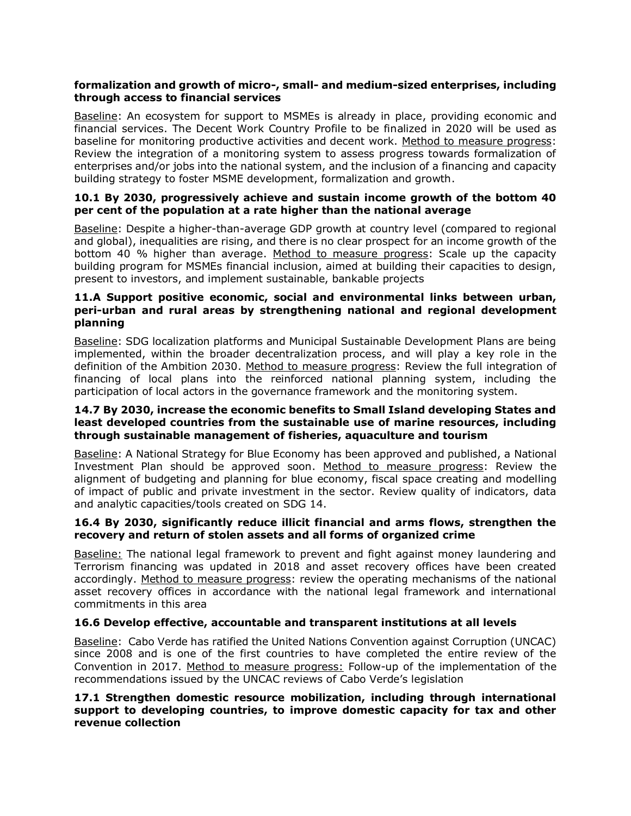#### **formalization and growth of micro-, small- and medium-sized enterprises, including through access to financial services**

Baseline: An ecosystem for support to MSMEs is already in place, providing economic and financial services. The Decent Work Country Profile to be finalized in 2020 will be used as baseline for monitoring productive activities and decent work. Method to measure progress: Review the integration of a monitoring system to assess progress towards formalization of enterprises and/or jobs into the national system, and the inclusion of a financing and capacity building strategy to foster MSME development, formalization and growth.

#### **10.1 By 2030, progressively achieve and sustain income growth of the bottom 40 per cent of the population at a rate higher than the national average**

Baseline: Despite a higher-than-average GDP growth at country level (compared to regional and global), inequalities are rising, and there is no clear prospect for an income growth of the bottom 40 % higher than average. Method to measure progress: Scale up the capacity building program for MSMEs financial inclusion, aimed at building their capacities to design, present to investors, and implement sustainable, bankable projects

#### **11.A Support positive economic, social and environmental links between urban, peri-urban and rural areas by strengthening national and regional development planning**

Baseline: SDG localization platforms and Municipal Sustainable Development Plans are being implemented, within the broader decentralization process, and will play a key role in the definition of the Ambition 2030. Method to measure progress: Review the full integration of financing of local plans into the reinforced national planning system, including the participation of local actors in the governance framework and the monitoring system.

#### **14.7 By 2030, increase the economic benefits to Small Island developing States and least developed countries from the sustainable use of marine resources, including through sustainable management of fisheries, aquaculture and tourism**

Baseline: A National Strategy for Blue Economy has been approved and published, a National Investment Plan should be approved soon. Method to measure progress: Review the alignment of budgeting and planning for blue economy, fiscal space creating and modelling of impact of public and private investment in the sector. Review quality of indicators, data and analytic capacities/tools created on SDG 14.

#### **16.4 By 2030, significantly reduce illicit financial and arms flows, strengthen the recovery and return of stolen assets and all forms of organized crime**

Baseline: The national legal framework to prevent and fight against money laundering and Terrorism financing was updated in 2018 and asset recovery offices have been created accordingly. Method to measure progress: review the operating mechanisms of the national asset recovery offices in accordance with the national legal framework and international commitments in this area

# **16.6 Develop effective, accountable and transparent institutions at all levels**

Baseline: Cabo Verde has ratified the United Nations Convention against Corruption (UNCAC) since 2008 and is one of the first countries to have completed the entire review of the Convention in 2017. Method to measure progress: Follow-up of the implementation of the recommendations issued by the UNCAC reviews of Cabo Verde's legislation

#### **17.1 Strengthen domestic resource mobilization, including through international support to developing countries, to improve domestic capacity for tax and other revenue collection**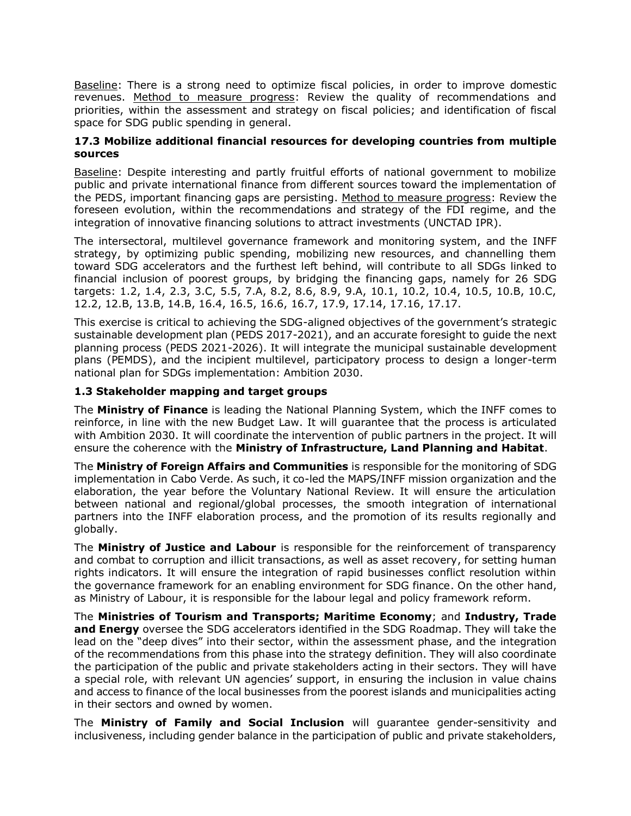Baseline: There is a strong need to optimize fiscal policies, in order to improve domestic revenues. Method to measure progress: Review the quality of recommendations and priorities, within the assessment and strategy on fiscal policies; and identification of fiscal space for SDG public spending in general.

#### **17.3 Mobilize additional financial resources for developing countries from multiple sources**

Baseline: Despite interesting and partly fruitful efforts of national government to mobilize public and private international finance from different sources toward the implementation of the PEDS, important financing gaps are persisting. Method to measure progress: Review the foreseen evolution, within the recommendations and strategy of the FDI regime, and the integration of innovative financing solutions to attract investments (UNCTAD IPR).

The intersectoral, multilevel governance framework and monitoring system, and the INFF strategy, by optimizing public spending, mobilizing new resources, and channelling them toward SDG accelerators and the furthest left behind, will contribute to all SDGs linked to financial inclusion of poorest groups, by bridging the financing gaps, namely for 26 SDG targets: 1.2, 1.4, 2.3, 3.C, 5.5, 7.A, 8.2, 8.6, 8.9, 9.A, 10.1, 10.2, 10.4, 10.5, 10.B, 10.C, 12.2, 12.B, 13.B, 14.B, 16.4, 16.5, 16.6, 16.7, 17.9, 17.14, 17.16, 17.17.

This exercise is critical to achieving the SDG-aligned objectives of the government's strategic sustainable development plan (PEDS 2017-2021), and an accurate foresight to guide the next planning process (PEDS 2021-2026). It will integrate the municipal sustainable development plans (PEMDS), and the incipient multilevel, participatory process to design a longer-term national plan for SDGs implementation: Ambition 2030.

#### **1.3 Stakeholder mapping and target groups**

The **Ministry of Finance** is leading the National Planning System, which the INFF comes to reinforce, in line with the new Budget Law. It will guarantee that the process is articulated with Ambition 2030. It will coordinate the intervention of public partners in the project. It will ensure the coherence with the **Ministry of Infrastructure, Land Planning and Habitat**.

The **Ministry of Foreign Affairs and Communities** is responsible for the monitoring of SDG implementation in Cabo Verde. As such, it co-led the MAPS/INFF mission organization and the elaboration, the year before the Voluntary National Review. It will ensure the articulation between national and regional/global processes, the smooth integration of international partners into the INFF elaboration process, and the promotion of its results regionally and globally.

The **Ministry of Justice and Labour** is responsible for the reinforcement of transparency and combat to corruption and illicit transactions, as well as asset recovery, for setting human rights indicators. It will ensure the integration of rapid businesses conflict resolution within the governance framework for an enabling environment for SDG finance. On the other hand, as Ministry of Labour, it is responsible for the labour legal and policy framework reform.

The **Ministries of Tourism and Transports; Maritime Economy**; and **Industry, Trade and Energy** oversee the SDG accelerators identified in the SDG Roadmap. They will take the lead on the "deep dives" into their sector, within the assessment phase, and the integration of the recommendations from this phase into the strategy definition. They will also coordinate the participation of the public and private stakeholders acting in their sectors. They will have a special role, with relevant UN agencies' support, in ensuring the inclusion in value chains and access to finance of the local businesses from the poorest islands and municipalities acting in their sectors and owned by women.

The **Ministry of Family and Social Inclusion** will guarantee gender-sensitivity and inclusiveness, including gender balance in the participation of public and private stakeholders,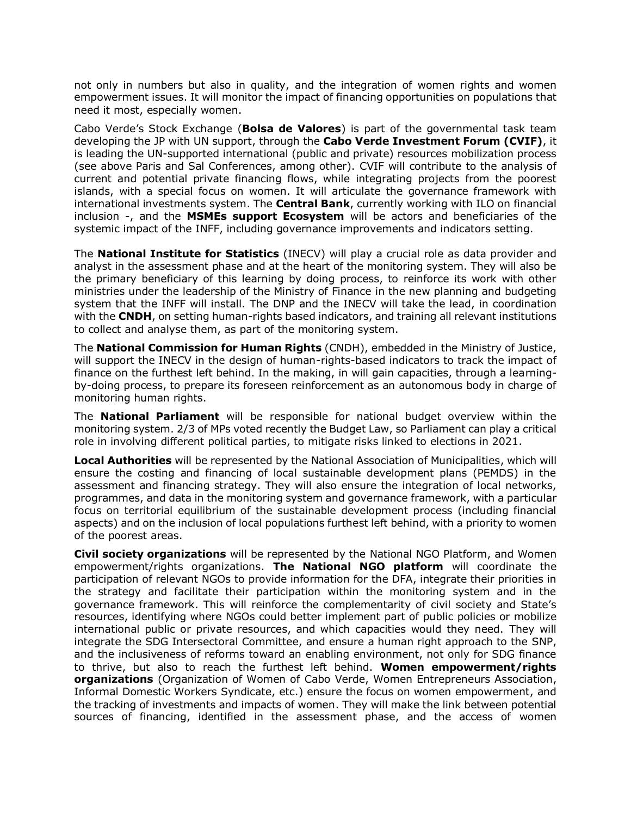not only in numbers but also in quality, and the integration of women rights and women empowerment issues. It will monitor the impact of financing opportunities on populations that need it most, especially women.

Cabo Verde's Stock Exchange (**Bolsa de Valores**) is part of the governmental task team developing the JP with UN support, through the **Cabo Verde Investment Forum (CVIF)**, it is leading the UN-supported international (public and private) resources mobilization process (see above Paris and Sal Conferences, among other). CVIF will contribute to the analysis of current and potential private financing flows, while integrating projects from the poorest islands, with a special focus on women. It will articulate the governance framework with international investments system. The **Central Bank**, currently working with ILO on financial inclusion -, and the **MSMEs support Ecosystem** will be actors and beneficiaries of the systemic impact of the INFF, including governance improvements and indicators setting.

The **National Institute for Statistics** (INECV) will play a crucial role as data provider and analyst in the assessment phase and at the heart of the monitoring system. They will also be the primary beneficiary of this learning by doing process, to reinforce its work with other ministries under the leadership of the Ministry of Finance in the new planning and budgeting system that the INFF will install. The DNP and the INECV will take the lead, in coordination with the **CNDH**, on setting human-rights based indicators, and training all relevant institutions to collect and analyse them, as part of the monitoring system.

The **National Commission for Human Rights** (CNDH), embedded in the Ministry of Justice, will support the INECV in the design of human-rights-based indicators to track the impact of finance on the furthest left behind. In the making, in will gain capacities, through a learningby-doing process, to prepare its foreseen reinforcement as an autonomous body in charge of monitoring human rights.

The **National Parliament** will be responsible for national budget overview within the monitoring system. 2/3 of MPs voted recently the Budget Law, so Parliament can play a critical role in involving different political parties, to mitigate risks linked to elections in 2021.

**Local Authorities** will be represented by the National Association of Municipalities, which will ensure the costing and financing of local sustainable development plans (PEMDS) in the assessment and financing strategy. They will also ensure the integration of local networks, programmes, and data in the monitoring system and governance framework, with a particular focus on territorial equilibrium of the sustainable development process (including financial aspects) and on the inclusion of local populations furthest left behind, with a priority to women of the poorest areas.

**Civil society organizations** will be represented by the National NGO Platform, and Women empowerment/rights organizations. **The National NGO platform** will coordinate the participation of relevant NGOs to provide information for the DFA, integrate their priorities in the strategy and facilitate their participation within the monitoring system and in the governance framework. This will reinforce the complementarity of civil society and State's resources, identifying where NGOs could better implement part of public policies or mobilize international public or private resources, and which capacities would they need. They will integrate the SDG Intersectoral Committee, and ensure a human right approach to the SNP, and the inclusiveness of reforms toward an enabling environment, not only for SDG finance to thrive, but also to reach the furthest left behind. **Women empowerment/rights organizations** (Organization of Women of Cabo Verde, Women Entrepreneurs Association, Informal Domestic Workers Syndicate, etc.) ensure the focus on women empowerment, and the tracking of investments and impacts of women. They will make the link between potential sources of financing, identified in the assessment phase, and the access of women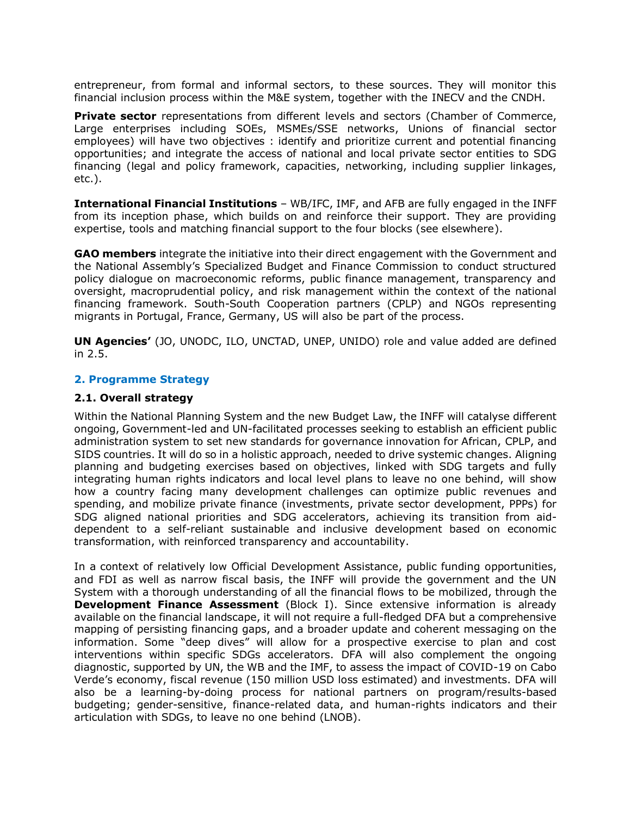entrepreneur, from formal and informal sectors, to these sources. They will monitor this financial inclusion process within the M&E system, together with the INECV and the CNDH.

**Private sector** representations from different levels and sectors (Chamber of Commerce, Large enterprises including SOEs, MSMEs/SSE networks, Unions of financial sector employees) will have two objectives : identify and prioritize current and potential financing opportunities; and integrate the access of national and local private sector entities to SDG financing (legal and policy framework, capacities, networking, including supplier linkages, etc.).

**International Financial Institutions** – WB/IFC, IMF, and AFB are fully engaged in the INFF from its inception phase, which builds on and reinforce their support. They are providing expertise, tools and matching financial support to the four blocks (see elsewhere).

**GAO members** integrate the initiative into their direct engagement with the Government and the National Assembly's Specialized Budget and Finance Commission to conduct structured policy dialogue on macroeconomic reforms, public finance management, transparency and oversight, macroprudential policy, and risk management within the context of the national financing framework. South-South Cooperation partners (CPLP) and NGOs representing migrants in Portugal, France, Germany, US will also be part of the process.

**UN Agencies'** (JO, UNODC, ILO, UNCTAD, UNEP, UNIDO) role and value added are defined in 2.5.

#### **2. Programme Strategy**

#### **2.1. Overall strategy**

Within the National Planning System and the new Budget Law, the INFF will catalyse different ongoing, Government-led and UN-facilitated processes seeking to establish an efficient public administration system to set new standards for governance innovation for African, CPLP, and SIDS countries. It will do so in a holistic approach, needed to drive systemic changes. Aligning planning and budgeting exercises based on objectives, linked with SDG targets and fully integrating human rights indicators and local level plans to leave no one behind, will show how a country facing many development challenges can optimize public revenues and spending, and mobilize private finance (investments, private sector development, PPPs) for SDG aligned national priorities and SDG accelerators, achieving its transition from aiddependent to a self-reliant sustainable and inclusive development based on economic transformation, with reinforced transparency and accountability.

In a context of relatively low Official Development Assistance, public funding opportunities, and FDI as well as narrow fiscal basis, the INFF will provide the government and the UN System with a thorough understanding of all the financial flows to be mobilized, through the **Development Finance Assessment** (Block I). Since extensive information is already available on the financial landscape, it will not require a full-fledged DFA but a comprehensive mapping of persisting financing gaps, and a broader update and coherent messaging on the information. Some "deep dives" will allow for a prospective exercise to plan and cost interventions within specific SDGs accelerators. DFA will also complement the ongoing diagnostic, supported by UN, the WB and the IMF, to assess the impact of COVID-19 on Cabo Verde's economy, fiscal revenue (150 million USD loss estimated) and investments. DFA will also be a learning-by-doing process for national partners on program/results-based budgeting; gender-sensitive, finance-related data, and human-rights indicators and their articulation with SDGs, to leave no one behind (LNOB).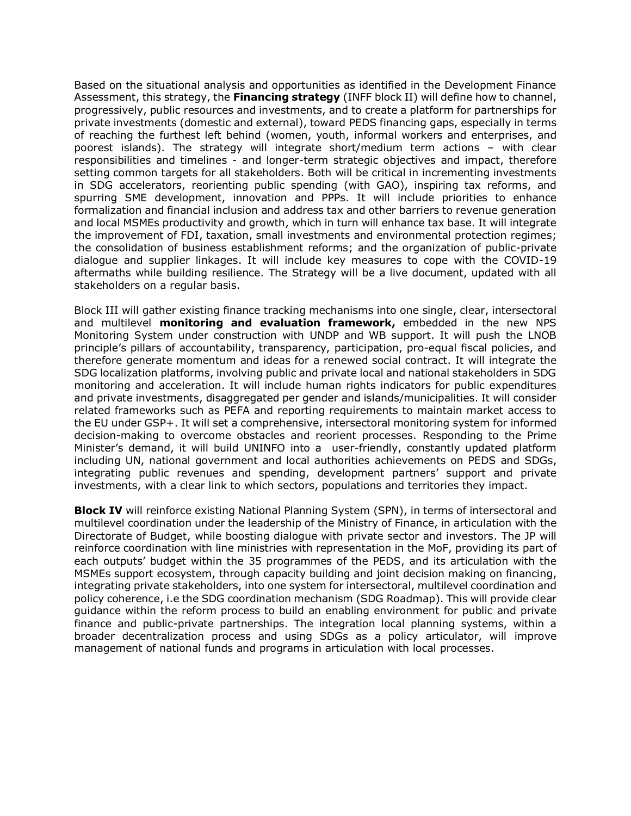Based on the situational analysis and opportunities as identified in the Development Finance Assessment, this strategy, the **Financing strategy** (INFF block II) will define how to channel, progressively, public resources and investments, and to create a platform for partnerships for private investments (domestic and external), toward PEDS financing gaps, especially in terms of reaching the furthest left behind (women, youth, informal workers and enterprises, and poorest islands). The strategy will integrate short/medium term actions – with clear responsibilities and timelines - and longer-term strategic objectives and impact, therefore setting common targets for all stakeholders. Both will be critical in incrementing investments in SDG accelerators, reorienting public spending (with GAO), inspiring tax reforms, and spurring SME development, innovation and PPPs. It will include priorities to enhance formalization and financial inclusion and address tax and other barriers to revenue generation and local MSMEs productivity and growth, which in turn will enhance tax base. It will integrate the improvement of FDI, taxation, small investments and environmental protection regimes; the consolidation of business establishment reforms; and the organization of public-private dialogue and supplier linkages. It will include key measures to cope with the COVID-19 aftermaths while building resilience. The Strategy will be a live document, updated with all stakeholders on a regular basis.

Block III will gather existing finance tracking mechanisms into one single, clear, intersectoral and multilevel **monitoring and evaluation framework,** embedded in the new NPS Monitoring System under construction with UNDP and WB support. It will push the LNOB principle's pillars of accountability, transparency, participation, pro-equal fiscal policies, and therefore generate momentum and ideas for a renewed social contract. It will integrate the SDG localization platforms, involving public and private local and national stakeholders in SDG monitoring and acceleration. It will include human rights indicators for public expenditures and private investments, disaggregated per gender and islands/municipalities. It will consider related frameworks such as PEFA and reporting requirements to maintain market access to the EU under GSP+. It will set a comprehensive, intersectoral monitoring system for informed decision-making to overcome obstacles and reorient processes. Responding to the Prime Minister's demand, it will build UNINFO into a user-friendly, constantly updated platform including UN, national government and local authorities achievements on PEDS and SDGs, integrating public revenues and spending, development partners' support and private investments, with a clear link to which sectors, populations and territories they impact.

**Block IV** will reinforce existing National Planning System (SPN), in terms of intersectoral and multilevel coordination under the leadership of the Ministry of Finance, in articulation with the Directorate of Budget, while boosting dialogue with private sector and investors. The JP will reinforce coordination with line ministries with representation in the MoF, providing its part of each outputs' budget within the 35 programmes of the PEDS, and its articulation with the MSMEs support ecosystem, through capacity building and joint decision making on financing, integrating private stakeholders, into one system for intersectoral, multilevel coordination and policy coherence, i.e the SDG coordination mechanism (SDG Roadmap). This will provide clear guidance within the reform process to build an enabling environment for public and private finance and public-private partnerships. The integration local planning systems, within a broader decentralization process and using SDGs as a policy articulator, will improve management of national funds and programs in articulation with local processes.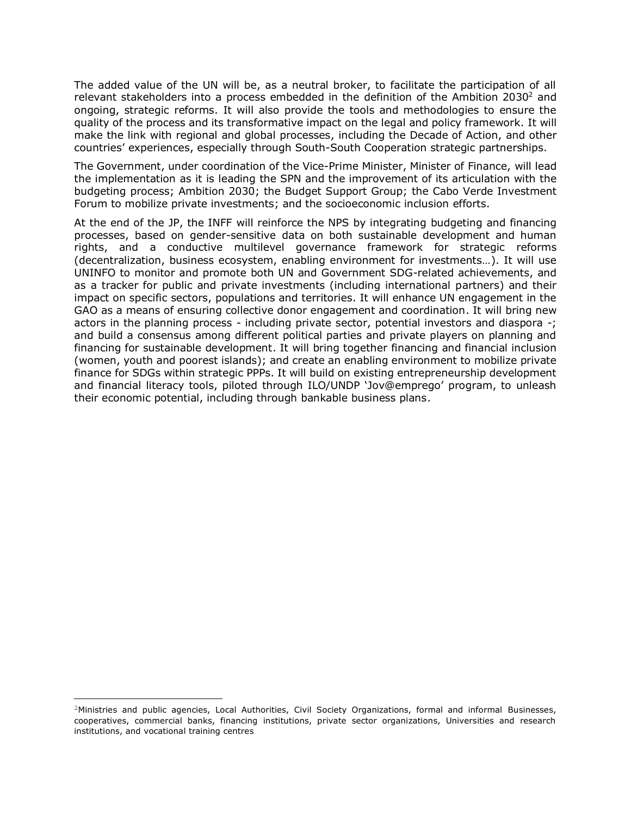The added value of the UN will be, as a neutral broker, to facilitate the participation of all relevant stakeholders into a process embedded in the definition of the Ambition 2030<sup>2</sup> and ongoing, strategic reforms. It will also provide the tools and methodologies to ensure the quality of the process and its transformative impact on the legal and policy framework. It will make the link with regional and global processes, including the Decade of Action, and other countries' experiences, especially through South-South Cooperation strategic partnerships.

The Government, under coordination of the Vice-Prime Minister, Minister of Finance, will lead the implementation as it is leading the SPN and the improvement of its articulation with the budgeting process; Ambition 2030; the Budget Support Group; the Cabo Verde Investment Forum to mobilize private investments; and the socioeconomic inclusion efforts.

At the end of the JP, the INFF will reinforce the NPS by integrating budgeting and financing processes, based on gender-sensitive data on both sustainable development and human rights, and a conductive multilevel governance framework for strategic reforms (decentralization, business ecosystem, enabling environment for investments…). It will use UNINFO to monitor and promote both UN and Government SDG-related achievements, and as a tracker for public and private investments (including international partners) and their impact on specific sectors, populations and territories. It will enhance UN engagement in the GAO as a means of ensuring collective donor engagement and coordination. It will bring new actors in the planning process - including private sector, potential investors and diaspora -; and build a consensus among different political parties and private players on planning and financing for sustainable development. It will bring together financing and financial inclusion (women, youth and poorest islands); and create an enabling environment to mobilize private finance for SDGs within strategic PPPs. It will build on existing entrepreneurship development and financial literacy tools, piloted through ILO/UNDP 'Jov@emprego' program, to unleash their economic potential, including through bankable business plans.

<sup>2</sup>Ministries and public agencies, Local Authorities, Civil Society Organizations, formal and informal Businesses, cooperatives, commercial banks, financing institutions, private sector organizations, Universities and research institutions, and vocational training centres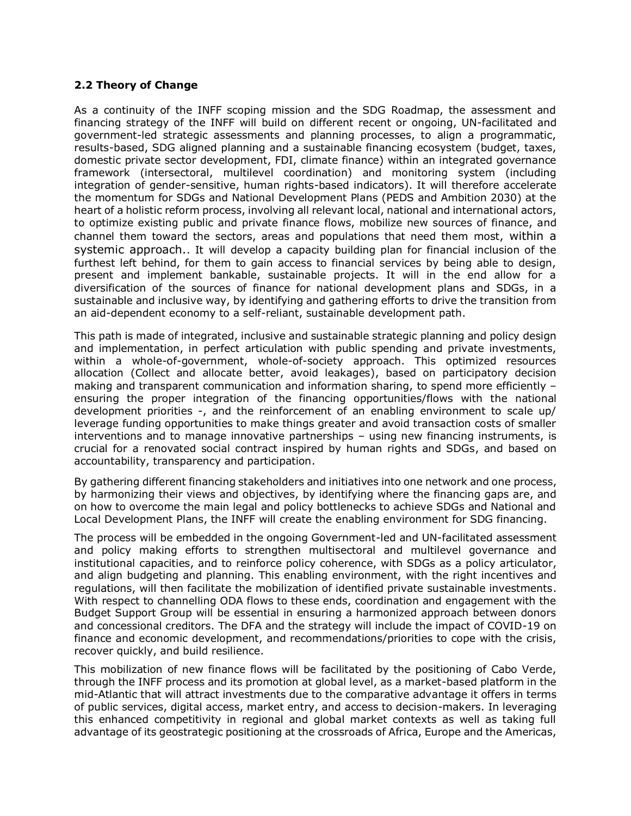#### **2.2 Theory of Change**

As a continuity of the INFF scoping mission and the SDG Roadmap, the assessment and financing strategy of the INFF will build on different recent or ongoing, UN-facilitated and government-led strategic assessments and planning processes, to align a programmatic, results-based, SDG aligned planning and a sustainable financing ecosystem (budget, taxes, domestic private sector development, FDI, climate finance) within an integrated governance framework (intersectoral, multilevel coordination) and monitoring system (including integration of gender-sensitive, human rights-based indicators). It will therefore accelerate the momentum for SDGs and National Development Plans (PEDS and Ambition 2030) at the heart of a holistic reform process, involving all relevant local, national and international actors, to optimize existing public and private finance flows, mobilize new sources of finance, and channel them toward the sectors, areas and populations that need them most, within a systemic approach.. It will develop a capacity building plan for financial inclusion of the furthest left behind, for them to gain access to financial services by being able to design, present and implement bankable, sustainable projects. It will in the end allow for a diversification of the sources of finance for national development plans and SDGs, in a sustainable and inclusive way, by identifying and gathering efforts to drive the transition from an aid-dependent economy to a self-reliant, sustainable development path.

This path is made of integrated, inclusive and sustainable strategic planning and policy design and implementation, in perfect articulation with public spending and private investments, within a whole-of-government, whole-of-society approach. This optimized resources allocation (Collect and allocate better, avoid leakages), based on participatory decision making and transparent communication and information sharing, to spend more efficiently – ensuring the proper integration of the financing opportunities/flows with the national development priorities -, and the reinforcement of an enabling environment to scale up/ leverage funding opportunities to make things greater and avoid transaction costs of smaller interventions and to manage innovative partnerships – using new financing instruments, is crucial for a renovated social contract inspired by human rights and SDGs, and based on accountability, transparency and participation.

By gathering different financing stakeholders and initiatives into one network and one process, by harmonizing their views and objectives, by identifying where the financing gaps are, and on how to overcome the main legal and policy bottlenecks to achieve SDGs and National and Local Development Plans, the INFF will create the enabling environment for SDG financing.

The process will be embedded in the ongoing Government-led and UN-facilitated assessment and policy making efforts to strengthen multisectoral and multilevel governance and institutional capacities, and to reinforce policy coherence, with SDGs as a policy articulator, and align budgeting and planning. This enabling environment, with the right incentives and regulations, will then facilitate the mobilization of identified private sustainable investments. With respect to channelling ODA flows to these ends, coordination and engagement with the Budget Support Group will be essential in ensuring a harmonized approach between donors and concessional creditors. The DFA and the strategy will include the impact of COVID-19 on finance and economic development, and recommendations/priorities to cope with the crisis, recover quickly, and build resilience.

This mobilization of new finance flows will be facilitated by the positioning of Cabo Verde, through the INFF process and its promotion at global level, as a market-based platform in the mid-Atlantic that will attract investments due to the comparative advantage it offers in terms of public services, digital access, market entry, and access to decision-makers. In leveraging this enhanced competitivity in regional and global market contexts as well as taking full advantage of its geostrategic positioning at the crossroads of Africa, Europe and the Americas,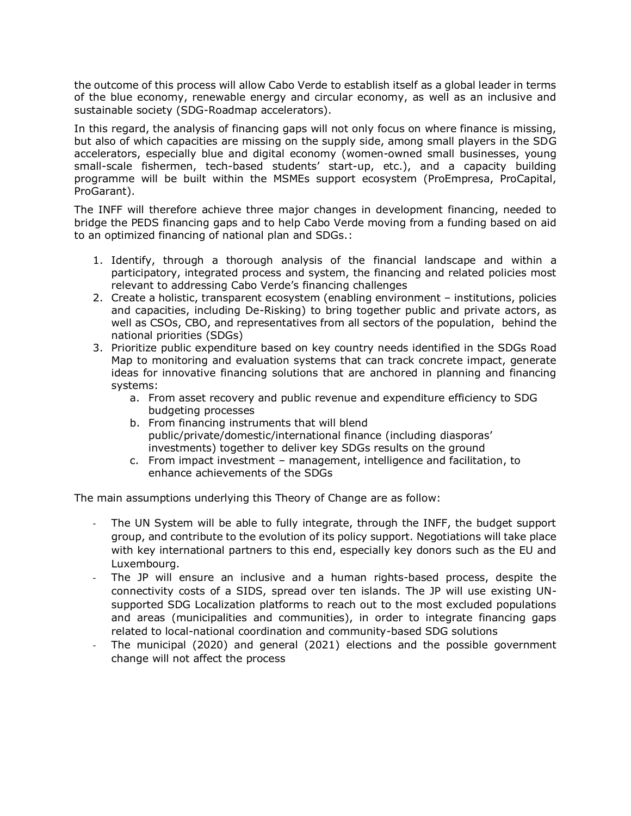the outcome of this process will allow Cabo Verde to establish itself as a global leader in terms of the blue economy, renewable energy and circular economy, as well as an inclusive and sustainable society (SDG-Roadmap accelerators).

In this regard, the analysis of financing gaps will not only focus on where finance is missing, but also of which capacities are missing on the supply side, among small players in the SDG accelerators, especially blue and digital economy (women-owned small businesses, young small-scale fishermen, tech-based students' start-up, etc.), and a capacity building programme will be built within the MSMEs support ecosystem (ProEmpresa, ProCapital, ProGarant).

The INFF will therefore achieve three major changes in development financing, needed to bridge the PEDS financing gaps and to help Cabo Verde moving from a funding based on aid to an optimized financing of national plan and SDGs.:

- 1. Identify, through a thorough analysis of the financial landscape and within a participatory, integrated process and system, the financing and related policies most relevant to addressing Cabo Verde's financing challenges
- 2. Create a holistic, transparent ecosystem (enabling environment institutions, policies and capacities, including De-Risking) to bring together public and private actors, as well as CSOs, CBO, and representatives from all sectors of the population, behind the national priorities (SDGs)
- 3. Prioritize public expenditure based on key country needs identified in the SDGs Road Map to monitoring and evaluation systems that can track concrete impact, generate ideas for innovative financing solutions that are anchored in planning and financing systems:
	- a. From asset recovery and public revenue and expenditure efficiency to SDG budgeting processes
	- b. From financing instruments that will blend public/private/domestic/international finance (including diasporas' investments) together to deliver key SDGs results on the ground
	- c. From impact investment management, intelligence and facilitation, to enhance achievements of the SDGs

The main assumptions underlying this Theory of Change are as follow:

- The UN System will be able to fully integrate, through the INFF, the budget support group, and contribute to the evolution of its policy support. Negotiations will take place with key international partners to this end, especially key donors such as the EU and Luxembourg.
- The JP will ensure an inclusive and a human rights-based process, despite the connectivity costs of a SIDS, spread over ten islands. The JP will use existing UNsupported SDG Localization platforms to reach out to the most excluded populations and areas (municipalities and communities), in order to integrate financing gaps related to local-national coordination and community-based SDG solutions
- The municipal (2020) and general (2021) elections and the possible government change will not affect the process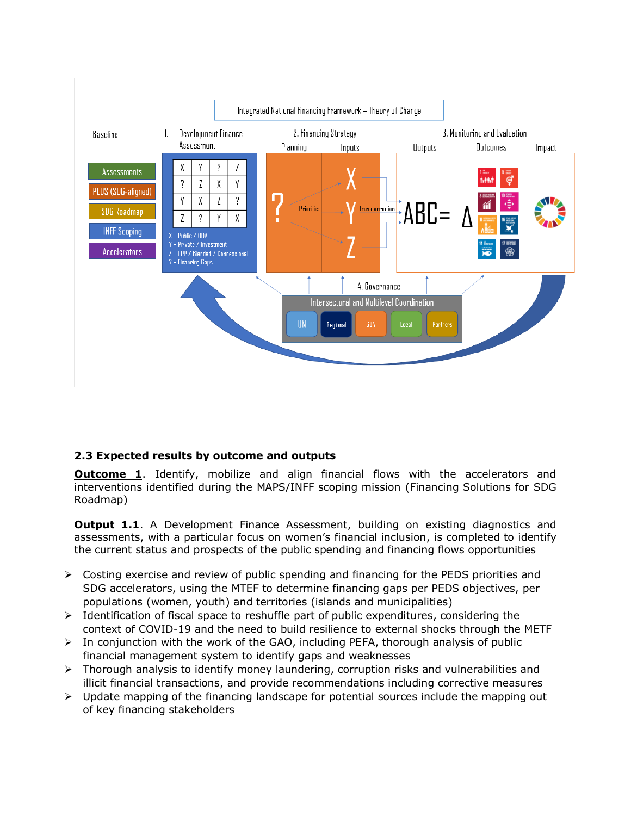

# **2.3 Expected results by outcome and outputs**

**Outcome 1**. Identify, mobilize and align financial flows with the accelerators and interventions identified during the MAPS/INFF scoping mission (Financing Solutions for SDG Roadmap)

**Output 1.1.** A Development Finance Assessment, building on existing diagnostics and assessments, with a particular focus on women's financial inclusion, is completed to identify the current status and prospects of the public spending and financing flows opportunities

- $\triangleright$  Costing exercise and review of public spending and financing for the PEDS priorities and SDG accelerators, using the MTEF to determine financing gaps per PEDS objectives, per populations (women, youth) and territories (islands and municipalities)
- $\triangleright$  Identification of fiscal space to reshuffle part of public expenditures, considering the context of COVID-19 and the need to build resilience to external shocks through the METF
- $\triangleright$  In conjunction with the work of the GAO, including PEFA, thorough analysis of public financial management system to identify gaps and weaknesses
- ➢ Thorough analysis to identify money laundering, corruption risks and vulnerabilities and illicit financial transactions, and provide recommendations including corrective measures
- $\triangleright$  Update mapping of the financing landscape for potential sources include the mapping out of key financing stakeholders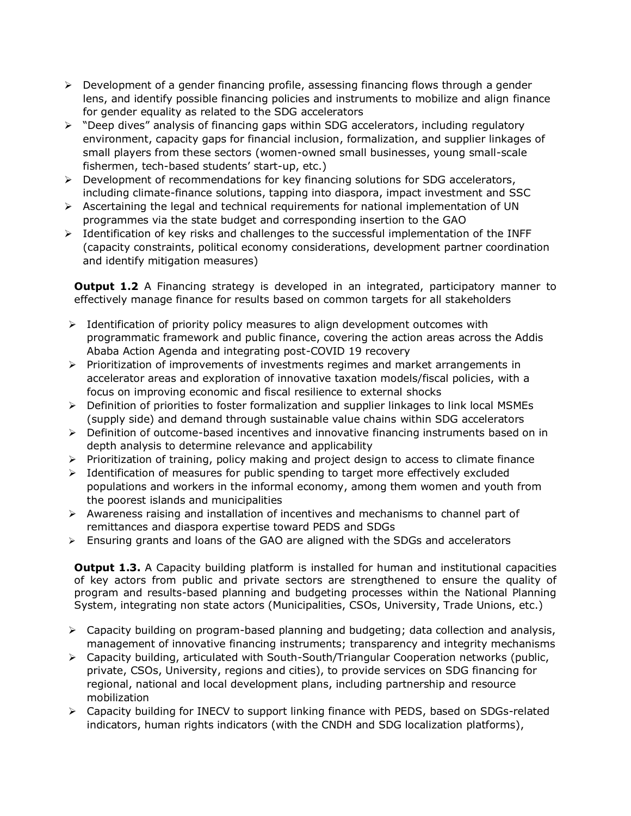- ➢ Development of a gender financing profile, assessing financing flows through a gender lens, and identify possible financing policies and instruments to mobilize and align finance for gender equality as related to the SDG accelerators
- ➢ "Deep dives" analysis of financing gaps within SDG accelerators, including regulatory environment, capacity gaps for financial inclusion, formalization, and supplier linkages of small players from these sectors (women-owned small businesses, young small-scale fishermen, tech-based students' start-up, etc.)
- $\triangleright$  Development of recommendations for key financing solutions for SDG accelerators, including climate-finance solutions, tapping into diaspora, impact investment and SSC
- $\triangleright$  Ascertaining the legal and technical requirements for national implementation of UN programmes via the state budget and corresponding insertion to the GAO
- ➢ Identification of key risks and challenges to the successful implementation of the INFF (capacity constraints, political economy considerations, development partner coordination and identify mitigation measures)

**Output 1.2** A Financing strategy is developed in an integrated, participatory manner to effectively manage finance for results based on common targets for all stakeholders

- $\triangleright$  Identification of priority policy measures to align development outcomes with programmatic framework and public finance, covering the action areas across the Addis Ababa Action Agenda and integrating post-COVID 19 recovery
- ➢ Prioritization of improvements of investments regimes and market arrangements in accelerator areas and exploration of innovative taxation models/fiscal policies, with a focus on improving economic and fiscal resilience to external shocks
- ➢ Definition of priorities to foster formalization and supplier linkages to link local MSMEs (supply side) and demand through sustainable value chains within SDG accelerators
- $\triangleright$  Definition of outcome-based incentives and innovative financing instruments based on in depth analysis to determine relevance and applicability
- $\triangleright$  Prioritization of training, policy making and project design to access to climate finance
- $\triangleright$  Identification of measures for public spending to target more effectively excluded populations and workers in the informal economy, among them women and youth from the poorest islands and municipalities
- $\triangleright$  Awareness raising and installation of incentives and mechanisms to channel part of remittances and diaspora expertise toward PEDS and SDGs
- ➢ Ensuring grants and loans of the GAO are aligned with the SDGs and accelerators

**Output 1.3.** A Capacity building platform is installed for human and institutional capacities of key actors from public and private sectors are strengthened to ensure the quality of program and results-based planning and budgeting processes within the National Planning System, integrating non state actors (Municipalities, CSOs, University, Trade Unions, etc.)

- ➢ Capacity building on program-based planning and budgeting; data collection and analysis, management of innovative financing instruments; transparency and integrity mechanisms
- ➢ Capacity building, articulated with South-South/Triangular Cooperation networks (public, private, CSOs, University, regions and cities), to provide services on SDG financing for regional, national and local development plans, including partnership and resource mobilization
- ➢ Capacity building for INECV to support linking finance with PEDS, based on SDGs-related indicators, human rights indicators (with the CNDH and SDG localization platforms),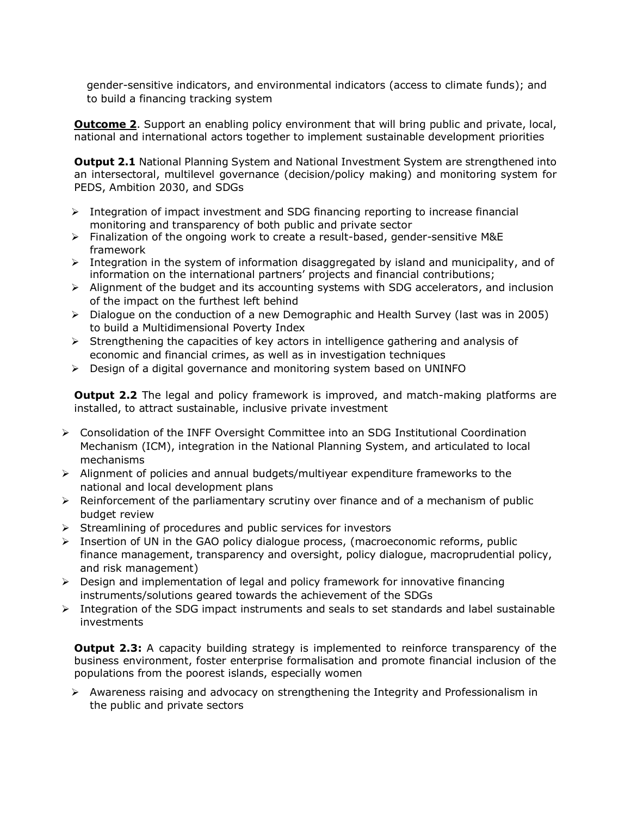gender-sensitive indicators, and environmental indicators (access to climate funds); and to build a financing tracking system

**Outcome 2**. Support an enabling policy environment that will bring public and private, local, national and international actors together to implement sustainable development priorities

**Output 2.1** National Planning System and National Investment System are strengthened into an intersectoral, multilevel governance (decision/policy making) and monitoring system for PEDS, Ambition 2030, and SDGs

- $\triangleright$  Integration of impact investment and SDG financing reporting to increase financial monitoring and transparency of both public and private sector
- ➢ Finalization of the ongoing work to create a result-based, gender-sensitive M&E framework
- $\triangleright$  Integration in the system of information disaggregated by island and municipality, and of information on the international partners' projects and financial contributions;
- $\triangleright$  Alignment of the budget and its accounting systems with SDG accelerators, and inclusion of the impact on the furthest left behind
- $\triangleright$  Dialogue on the conduction of a new Demographic and Health Survey (last was in 2005) to build a Multidimensional Poverty Index
- $\triangleright$  Strengthening the capacities of key actors in intelligence gathering and analysis of economic and financial crimes, as well as in investigation techniques
- ➢ Design of a digital governance and monitoring system based on UNINFO

**Output 2.2** The legal and policy framework is improved, and match-making platforms are installed, to attract sustainable, inclusive private investment

- ➢ Consolidation of the INFF Oversight Committee into an SDG Institutional Coordination Mechanism (ICM), integration in the National Planning System, and articulated to local mechanisms
- ➢ Alignment of policies and annual budgets/multiyear expenditure frameworks to the national and local development plans
- $\triangleright$  Reinforcement of the parliamentary scrutiny over finance and of a mechanism of public budget review
- ➢ Streamlining of procedures and public services for investors
- $\triangleright$  Insertion of UN in the GAO policy dialogue process, (macroeconomic reforms, public finance management, transparency and oversight, policy dialogue, macroprudential policy, and risk management)
- ➢ Design and implementation of legal and policy framework for innovative financing instruments/solutions geared towards the achievement of the SDGs
- ➢ Integration of the SDG impact instruments and seals to set standards and label sustainable investments

**Output 2.3:** A capacity building strategy is implemented to reinforce transparency of the business environment, foster enterprise formalisation and promote financial inclusion of the populations from the poorest islands, especially women

 $\triangleright$  Awareness raising and advocacy on strengthening the Integrity and Professionalism in the public and private sectors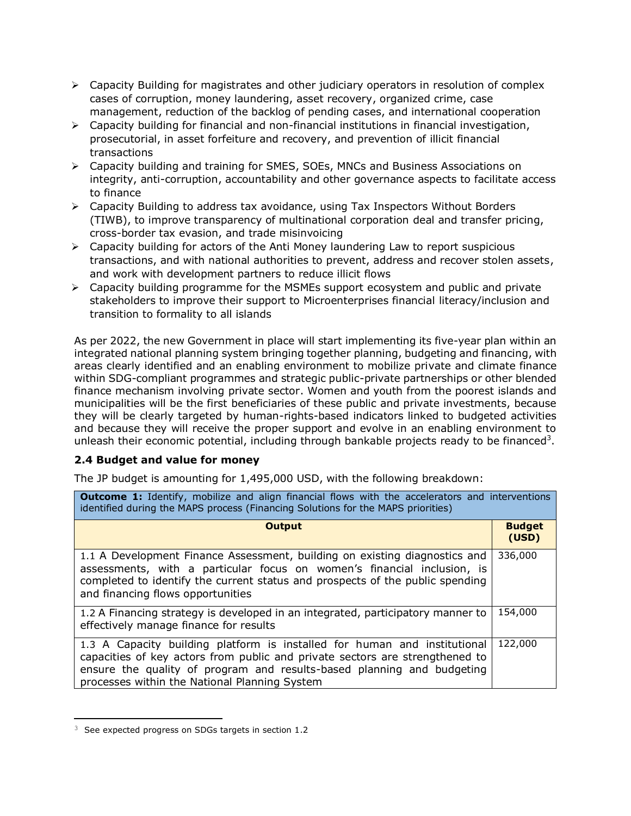- ➢ Capacity Building for magistrates and other judiciary operators in resolution of complex cases of corruption, money laundering, asset recovery, organized crime, case management, reduction of the backlog of pending cases, and international cooperation
- $\triangleright$  Capacity building for financial and non-financial institutions in financial investigation, prosecutorial, in asset forfeiture and recovery, and prevention of illicit financial transactions
- ➢ Capacity building and training for SMES, SOEs, MNCs and Business Associations on integrity, anti-corruption, accountability and other governance aspects to facilitate access to finance
- ➢ Capacity Building to address tax avoidance, using Tax Inspectors Without Borders (TIWB), to improve transparency of multinational corporation deal and transfer pricing, cross-border tax evasion, and trade misinvoicing
- $\triangleright$  Capacity building for actors of the Anti Money laundering Law to report suspicious transactions, and with national authorities to prevent, address and recover stolen assets, and work with development partners to reduce illicit flows
- $\triangleright$  Capacity building programme for the MSMEs support ecosystem and public and private stakeholders to improve their support to Microenterprises financial literacy/inclusion and transition to formality to all islands

As per 2022, the new Government in place will start implementing its five-year plan within an integrated national planning system bringing together planning, budgeting and financing, with areas clearly identified and an enabling environment to mobilize private and climate finance within SDG-compliant programmes and strategic public-private partnerships or other blended finance mechanism involving private sector. Women and youth from the poorest islands and municipalities will be the first beneficiaries of these public and private investments, because they will be clearly targeted by human-rights-based indicators linked to budgeted activities and because they will receive the proper support and evolve in an enabling environment to unleash their economic potential, including through bankable projects ready to be financed<sup>3</sup>.

# **2.4 Budget and value for money**

The JP budget is amounting for 1,495,000 USD, with the following breakdown:

| <b>Outcome 1:</b> Identify, mobilize and align financial flows with the accelerators and interventions<br>identified during the MAPS process (Financing Solutions for the MAPS priorities)                                                                                           |                        |
|--------------------------------------------------------------------------------------------------------------------------------------------------------------------------------------------------------------------------------------------------------------------------------------|------------------------|
| <b>Output</b>                                                                                                                                                                                                                                                                        | <b>Budget</b><br>(USD) |
| 1.1 A Development Finance Assessment, building on existing diagnostics and<br>assessments, with a particular focus on women's financial inclusion, is<br>completed to identify the current status and prospects of the public spending<br>and financing flows opportunities          | 336,000                |
| 1.2 A Financing strategy is developed in an integrated, participatory manner to<br>effectively manage finance for results                                                                                                                                                            | 154,000                |
| 1.3 A Capacity building platform is installed for human and institutional<br>capacities of key actors from public and private sectors are strengthened to<br>ensure the quality of program and results-based planning and budgeting<br>processes within the National Planning System | 122,000                |

<sup>&</sup>lt;sup>3</sup> See expected progress on SDGs targets in section 1.2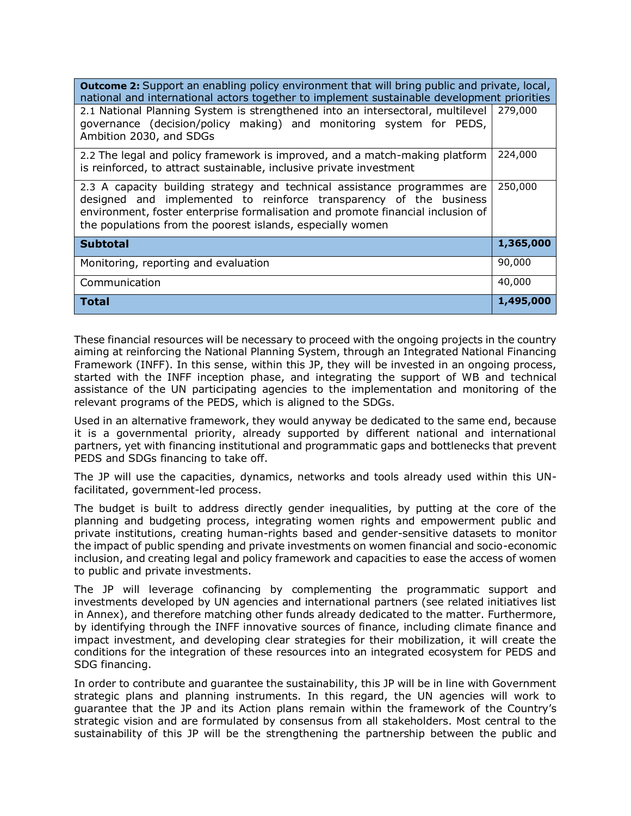| <b>Outcome 2:</b> Support an enabling policy environment that will bring public and private, local,<br>national and international actors together to implement sustainable development priorities                                                                                               |           |
|-------------------------------------------------------------------------------------------------------------------------------------------------------------------------------------------------------------------------------------------------------------------------------------------------|-----------|
| 2.1 National Planning System is strengthened into an intersectoral, multilevel<br>governance (decision/policy making) and monitoring system for PEDS,<br>Ambition 2030, and SDGs                                                                                                                | 279,000   |
| 2.2 The legal and policy framework is improved, and a match-making platform<br>is reinforced, to attract sustainable, inclusive private investment                                                                                                                                              | 224,000   |
| 2.3 A capacity building strategy and technical assistance programmes are<br>designed and implemented to reinforce transparency of the business<br>environment, foster enterprise formalisation and promote financial inclusion of<br>the populations from the poorest islands, especially women | 250,000   |
| <b>Subtotal</b>                                                                                                                                                                                                                                                                                 | 1,365,000 |
| Monitoring, reporting and evaluation                                                                                                                                                                                                                                                            | 90,000    |
| Communication                                                                                                                                                                                                                                                                                   | 40,000    |
| <b>Total</b>                                                                                                                                                                                                                                                                                    | 1,495,000 |

These financial resources will be necessary to proceed with the ongoing projects in the country aiming at reinforcing the National Planning System, through an Integrated National Financing Framework (INFF). In this sense, within this JP, they will be invested in an ongoing process, started with the INFF inception phase, and integrating the support of WB and technical assistance of the UN participating agencies to the implementation and monitoring of the relevant programs of the PEDS, which is aligned to the SDGs.

Used in an alternative framework, they would anyway be dedicated to the same end, because it is a governmental priority, already supported by different national and international partners, yet with financing institutional and programmatic gaps and bottlenecks that prevent PEDS and SDGs financing to take off.

The JP will use the capacities, dynamics, networks and tools already used within this UNfacilitated, government-led process.

The budget is built to address directly gender inequalities, by putting at the core of the planning and budgeting process, integrating women rights and empowerment public and private institutions, creating human-rights based and gender-sensitive datasets to monitor the impact of public spending and private investments on women financial and socio-economic inclusion, and creating legal and policy framework and capacities to ease the access of women to public and private investments.

The JP will leverage cofinancing by complementing the programmatic support and investments developed by UN agencies and international partners (see related initiatives list in Annex), and therefore matching other funds already dedicated to the matter. Furthermore, by identifying through the INFF innovative sources of finance, including climate finance and impact investment, and developing clear strategies for their mobilization, it will create the conditions for the integration of these resources into an integrated ecosystem for PEDS and SDG financing.

In order to contribute and guarantee the sustainability, this JP will be in line with Government strategic plans and planning instruments. In this regard, the UN agencies will work to guarantee that the JP and its Action plans remain within the framework of the Country's strategic vision and are formulated by consensus from all stakeholders. Most central to the sustainability of this JP will be the strengthening the partnership between the public and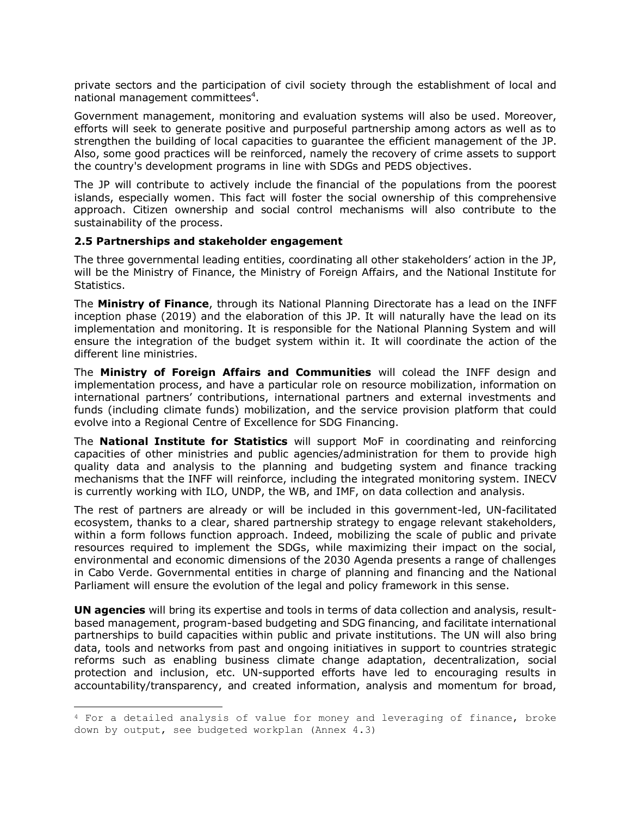private sectors and the participation of civil society through the establishment of local and national management committees<sup>4</sup>.

Government management, monitoring and evaluation systems will also be used. Moreover, efforts will seek to generate positive and purposeful partnership among actors as well as to strengthen the building of local capacities to guarantee the efficient management of the JP. Also, some good practices will be reinforced, namely the recovery of crime assets to support the country's development programs in line with SDGs and PEDS objectives.

The JP will contribute to actively include the financial of the populations from the poorest islands, especially women. This fact will foster the social ownership of this comprehensive approach. Citizen ownership and social control mechanisms will also contribute to the sustainability of the process.

#### **2.5 Partnerships and stakeholder engagement**

The three governmental leading entities, coordinating all other stakeholders' action in the JP, will be the Ministry of Finance, the Ministry of Foreign Affairs, and the National Institute for Statistics.

The **Ministry of Finance**, through its National Planning Directorate has a lead on the INFF inception phase (2019) and the elaboration of this JP. It will naturally have the lead on its implementation and monitoring. It is responsible for the National Planning System and will ensure the integration of the budget system within it. It will coordinate the action of the different line ministries.

The **Ministry of Foreign Affairs and Communities** will colead the INFF design and implementation process, and have a particular role on resource mobilization, information on international partners' contributions, international partners and external investments and funds (including climate funds) mobilization, and the service provision platform that could evolve into a Regional Centre of Excellence for SDG Financing.

The **National Institute for Statistics** will support MoF in coordinating and reinforcing capacities of other ministries and public agencies/administration for them to provide high quality data and analysis to the planning and budgeting system and finance tracking mechanisms that the INFF will reinforce, including the integrated monitoring system. INECV is currently working with ILO, UNDP, the WB, and IMF, on data collection and analysis.

The rest of partners are already or will be included in this government-led, UN-facilitated ecosystem, thanks to a clear, shared partnership strategy to engage relevant stakeholders, within a form follows function approach. Indeed, mobilizing the scale of public and private resources required to implement the SDGs, while maximizing their impact on the social, environmental and economic dimensions of the 2030 Agenda presents a range of challenges in Cabo Verde. Governmental entities in charge of planning and financing and the National Parliament will ensure the evolution of the legal and policy framework in this sense.

**UN agencies** will bring its expertise and tools in terms of data collection and analysis, resultbased management, program-based budgeting and SDG financing, and facilitate international partnerships to build capacities within public and private institutions. The UN will also bring data, tools and networks from past and ongoing initiatives in support to countries strategic reforms such as enabling business climate change adaptation, decentralization, social protection and inclusion, etc. UN-supported efforts have led to encouraging results in accountability/transparency, and created information, analysis and momentum for broad,

<sup>4</sup> For a detailed analysis of value for money and leveraging of finance, broke down by output, see budgeted workplan (Annex 4.3)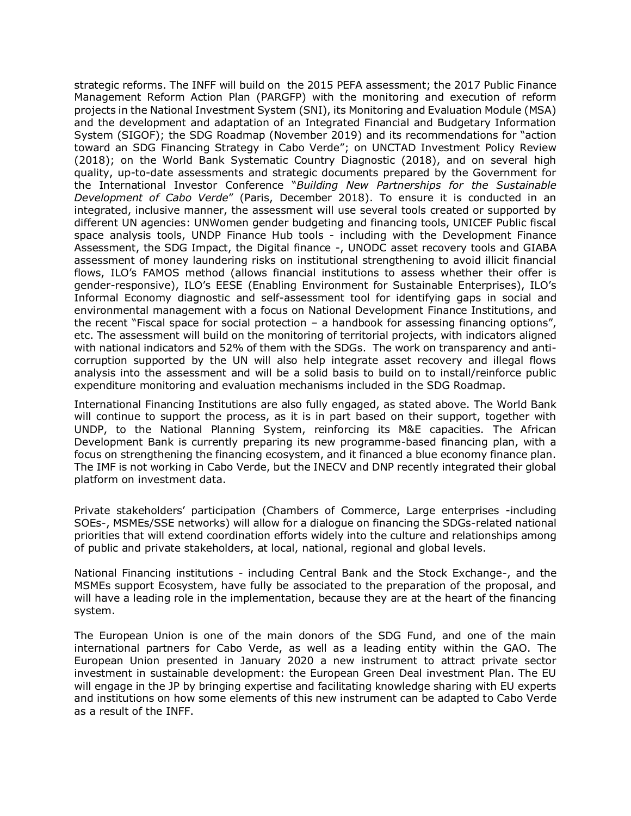strategic reforms. The INFF will build on the 2015 PEFA assessment; the 2017 Public Finance Management Reform Action Plan (PARGFP) with the monitoring and execution of reform projects in the National Investment System (SNI), its Monitoring and Evaluation Module (MSA) and the development and adaptation of an Integrated Financial and Budgetary Information System (SIGOF); the SDG Roadmap (November 2019) and its recommendations for "action toward an SDG Financing Strategy in Cabo Verde"; on UNCTAD Investment Policy Review (2018); on the World Bank Systematic Country Diagnostic (2018), and on several high quality, up-to-date assessments and strategic documents prepared by the Government for the International Investor Conference "*Building New Partnerships for the Sustainable Development of Cabo Verde*" (Paris, December 2018). To ensure it is conducted in an integrated, inclusive manner, the assessment will use several tools created or supported by different UN agencies: UNWomen gender budgeting and financing tools, UNICEF Public fiscal space analysis tools, UNDP Finance Hub tools - including with the Development Finance Assessment, the SDG Impact, the Digital finance -, UNODC asset recovery tools and GIABA assessment of money laundering risks on institutional strengthening to avoid illicit financial flows, ILO's FAMOS method (allows financial institutions to assess whether their offer is gender-responsive), ILO's EESE (Enabling Environment for Sustainable Enterprises), ILO's Informal Economy diagnostic and self-assessment tool for identifying gaps in social and environmental management with a focus on National Development Finance Institutions, and the recent "Fiscal space for social protection  $-$  a handbook for assessing financing options", etc. The assessment will build on the monitoring of territorial projects, with indicators aligned with national indicators and 52% of them with the SDGs. The work on transparency and anticorruption supported by the UN will also help integrate asset recovery and illegal flows analysis into the assessment and will be a solid basis to build on to install/reinforce public expenditure monitoring and evaluation mechanisms included in the SDG Roadmap.

International Financing Institutions are also fully engaged, as stated above. The World Bank will continue to support the process, as it is in part based on their support, together with UNDP, to the National Planning System, reinforcing its M&E capacities. The African Development Bank is currently preparing its new programme-based financing plan, with a focus on strengthening the financing ecosystem, and it financed a blue economy finance plan. The IMF is not working in Cabo Verde, but the INECV and DNP recently integrated their global platform on investment data.

Private stakeholders' participation (Chambers of Commerce, Large enterprises -including SOEs-, MSMEs/SSE networks) will allow for a dialogue on financing the SDGs-related national priorities that will extend coordination efforts widely into the culture and relationships among of public and private stakeholders, at local, national, regional and global levels.

National Financing institutions - including Central Bank and the Stock Exchange-, and the MSMEs support Ecosystem, have fully be associated to the preparation of the proposal, and will have a leading role in the implementation, because they are at the heart of the financing system.

The European Union is one of the main donors of the SDG Fund, and one of the main international partners for Cabo Verde, as well as a leading entity within the GAO. The European Union presented in January 2020 a new instrument to attract private sector investment in sustainable development: the European Green Deal investment Plan. The EU will engage in the JP by bringing expertise and facilitating knowledge sharing with EU experts and institutions on how some elements of this new instrument can be adapted to Cabo Verde as a result of the INFF.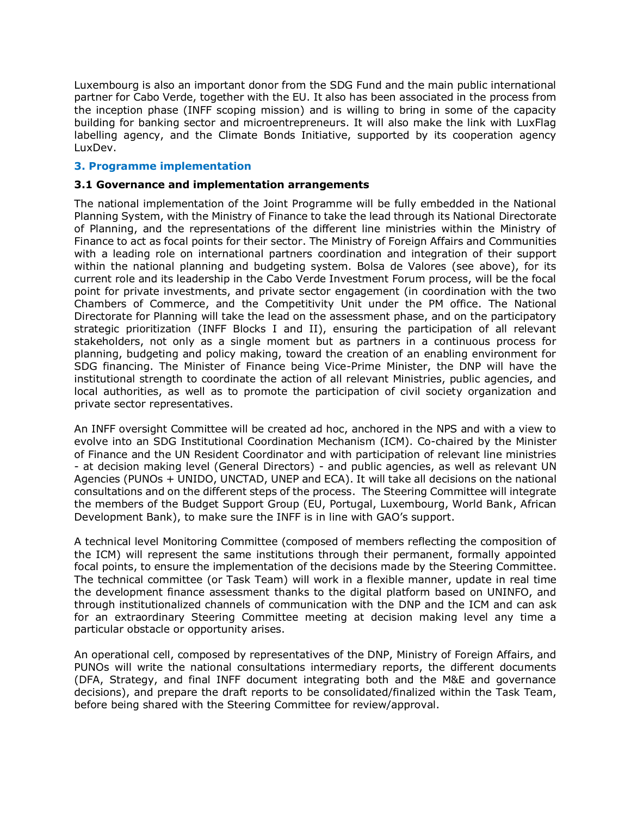Luxembourg is also an important donor from the SDG Fund and the main public international partner for Cabo Verde, together with the EU. It also has been associated in the process from the inception phase (INFF scoping mission) and is willing to bring in some of the capacity building for banking sector and microentrepreneurs. It will also make the link with LuxFlag labelling agency, and the Climate Bonds Initiative, supported by its cooperation agency LuxDev.

#### **3. Programme implementation**

#### **3.1 Governance and implementation arrangements**

The national implementation of the Joint Programme will be fully embedded in the National Planning System, with the Ministry of Finance to take the lead through its National Directorate of Planning, and the representations of the different line ministries within the Ministry of Finance to act as focal points for their sector. The Ministry of Foreign Affairs and Communities with a leading role on international partners coordination and integration of their support within the national planning and budgeting system. Bolsa de Valores (see above), for its current role and its leadership in the Cabo Verde Investment Forum process, will be the focal point for private investments, and private sector engagement (in coordination with the two Chambers of Commerce, and the Competitivity Unit under the PM office. The National Directorate for Planning will take the lead on the assessment phase, and on the participatory strategic prioritization (INFF Blocks I and II), ensuring the participation of all relevant stakeholders, not only as a single moment but as partners in a continuous process for planning, budgeting and policy making, toward the creation of an enabling environment for SDG financing. The Minister of Finance being Vice-Prime Minister, the DNP will have the institutional strength to coordinate the action of all relevant Ministries, public agencies, and local authorities, as well as to promote the participation of civil society organization and private sector representatives.

An INFF oversight Committee will be created ad hoc, anchored in the NPS and with a view to evolve into an SDG Institutional Coordination Mechanism (ICM). Co-chaired by the Minister of Finance and the UN Resident Coordinator and with participation of relevant line ministries - at decision making level (General Directors) - and public agencies, as well as relevant UN Agencies (PUNOs + UNIDO, UNCTAD, UNEP and ECA). It will take all decisions on the national consultations and on the different steps of the process. The Steering Committee will integrate the members of the Budget Support Group (EU, Portugal, Luxembourg, World Bank, African Development Bank), to make sure the INFF is in line with GAO's support.

A technical level Monitoring Committee (composed of members reflecting the composition of the ICM) will represent the same institutions through their permanent, formally appointed focal points, to ensure the implementation of the decisions made by the Steering Committee. The technical committee (or Task Team) will work in a flexible manner, update in real time the development finance assessment thanks to the digital platform based on UNINFO, and through institutionalized channels of communication with the DNP and the ICM and can ask for an extraordinary Steering Committee meeting at decision making level any time a particular obstacle or opportunity arises.

An operational cell, composed by representatives of the DNP, Ministry of Foreign Affairs, and PUNOs will write the national consultations intermediary reports, the different documents (DFA, Strategy, and final INFF document integrating both and the M&E and governance decisions), and prepare the draft reports to be consolidated/finalized within the Task Team, before being shared with the Steering Committee for review/approval.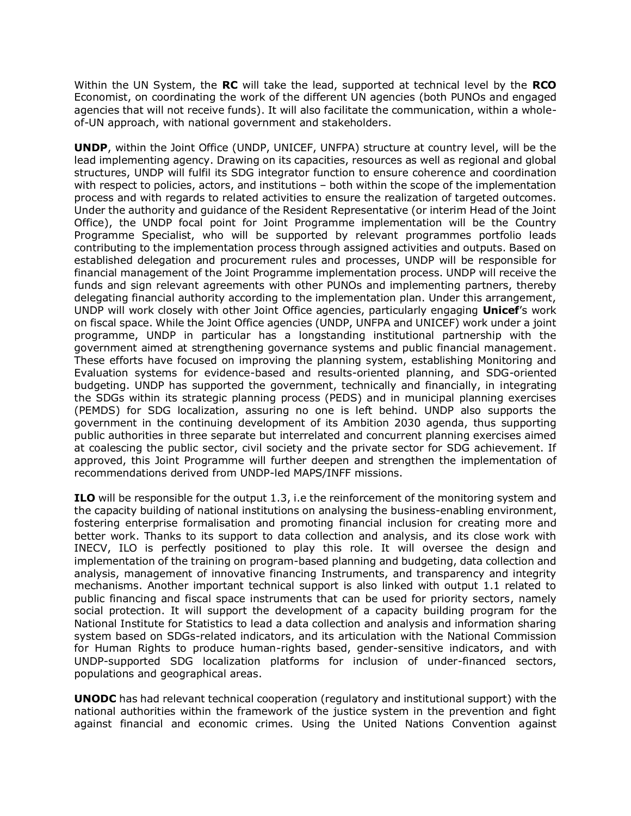Within the UN System, the **RC** will take the lead, supported at technical level by the **RCO** Economist, on coordinating the work of the different UN agencies (both PUNOs and engaged agencies that will not receive funds). It will also facilitate the communication, within a wholeof-UN approach, with national government and stakeholders.

**UNDP**, within the Joint Office (UNDP, UNICEF, UNFPA) structure at country level, will be the lead implementing agency. Drawing on its capacities, resources as well as regional and global structures, UNDP will fulfil its SDG integrator function to ensure coherence and coordination with respect to policies, actors, and institutions – both within the scope of the implementation process and with regards to related activities to ensure the realization of targeted outcomes. Under the authority and guidance of the Resident Representative (or interim Head of the Joint Office), the UNDP focal point for Joint Programme implementation will be the Country Programme Specialist, who will be supported by relevant programmes portfolio leads contributing to the implementation process through assigned activities and outputs. Based on established delegation and procurement rules and processes, UNDP will be responsible for financial management of the Joint Programme implementation process. UNDP will receive the funds and sign relevant agreements with other PUNOs and implementing partners, thereby delegating financial authority according to the implementation plan. Under this arrangement, UNDP will work closely with other Joint Office agencies, particularly engaging **Unicef**'s work on fiscal space. While the Joint Office agencies (UNDP, UNFPA and UNICEF) work under a joint programme, UNDP in particular has a longstanding institutional partnership with the government aimed at strengthening governance systems and public financial management. These efforts have focused on improving the planning system, establishing Monitoring and Evaluation systems for evidence-based and results-oriented planning, and SDG-oriented budgeting. UNDP has supported the government, technically and financially, in integrating the SDGs within its strategic planning process (PEDS) and in municipal planning exercises (PEMDS) for SDG localization, assuring no one is left behind. UNDP also supports the government in the continuing development of its Ambition 2030 agenda, thus supporting public authorities in three separate but interrelated and concurrent planning exercises aimed at coalescing the public sector, civil society and the private sector for SDG achievement. If approved, this Joint Programme will further deepen and strengthen the implementation of recommendations derived from UNDP-led MAPS/INFF missions.

**ILO** will be responsible for the output 1.3, i.e the reinforcement of the monitoring system and the capacity building of national institutions on analysing the business-enabling environment, fostering enterprise formalisation and promoting financial inclusion for creating more and better work. Thanks to its support to data collection and analysis, and its close work with INECV, ILO is perfectly positioned to play this role. It will oversee the design and implementation of the training on program-based planning and budgeting, data collection and analysis, management of innovative financing Instruments, and transparency and integrity mechanisms. Another important technical support is also linked with output 1.1 related to public financing and fiscal space instruments that can be used for priority sectors, namely social protection. It will support the development of a capacity building program for the National Institute for Statistics to lead a data collection and analysis and information sharing system based on SDGs-related indicators, and its articulation with the National Commission for Human Rights to produce human-rights based, gender-sensitive indicators, and with UNDP-supported SDG localization platforms for inclusion of under-financed sectors, populations and geographical areas.

**UNODC** has had relevant technical cooperation (regulatory and institutional support) with the national authorities within the framework of the justice system in the prevention and fight against financial and economic crimes. Using the United Nations Convention against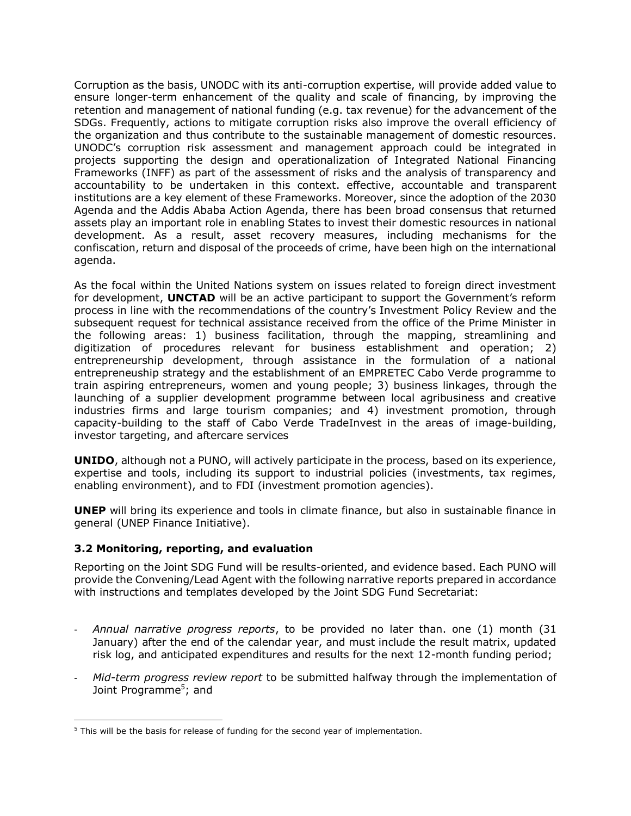Corruption as the basis, UNODC with its anti-corruption expertise, will provide added value to ensure longer-term enhancement of the quality and scale of financing, by improving the retention and management of national funding (e.g. tax revenue) for the advancement of the SDGs. Frequently, actions to mitigate corruption risks also improve the overall efficiency of the organization and thus contribute to the sustainable management of domestic resources. UNODC's corruption risk assessment and management approach could be integrated in projects supporting the design and operationalization of Integrated National Financing Frameworks (INFF) as part of the assessment of risks and the analysis of transparency and accountability to be undertaken in this context. effective, accountable and transparent institutions are a key element of these Frameworks. Moreover, since the adoption of the 2030 Agenda and the Addis Ababa Action Agenda, there has been broad consensus that returned assets play an important role in enabling States to invest their domestic resources in national development. As a result, asset recovery measures, including mechanisms for the confiscation, return and disposal of the proceeds of crime, have been high on the international agenda.

As the focal within the United Nations system on issues related to foreign direct investment for development, **UNCTAD** will be an active participant to support the Government's reform process in line with the recommendations of the country's Investment Policy Review and the subsequent request for technical assistance received from the office of the Prime Minister in the following areas: 1) business facilitation, through the mapping, streamlining and digitization of procedures relevant for business establishment and operation; 2) entrepreneurship development, through assistance in the formulation of a national entrepreneuship strategy and the establishment of an EMPRETEC Cabo Verde programme to train aspiring entrepreneurs, women and young people; 3) business linkages, through the launching of a supplier development programme between local agribusiness and creative industries firms and large tourism companies; and 4) investment promotion, through capacity-building to the staff of Cabo Verde TradeInvest in the areas of image-building, investor targeting, and aftercare services

**UNIDO**, although not a PUNO, will actively participate in the process, based on its experience, expertise and tools, including its support to industrial policies (investments, tax regimes, enabling environment), and to FDI (investment promotion agencies).

**UNEP** will bring its experience and tools in climate finance, but also in sustainable finance in general (UNEP Finance Initiative).

#### **3.2 Monitoring, reporting, and evaluation**

Reporting on the Joint SDG Fund will be results-oriented, and evidence based. Each PUNO will provide the Convening/Lead Agent with the following narrative reports prepared in accordance with instructions and templates developed by the Joint SDG Fund Secretariat:

- *Annual narrative progress reports*, to be provided no later than. one (1) month (31 January) after the end of the calendar year, and must include the result matrix, updated risk log, and anticipated expenditures and results for the next 12-month funding period;
- *Mid-term progress review report* to be submitted halfway through the implementation of Joint Programme<sup>5</sup>; and

<sup>&</sup>lt;sup>5</sup> This will be the basis for release of funding for the second year of implementation.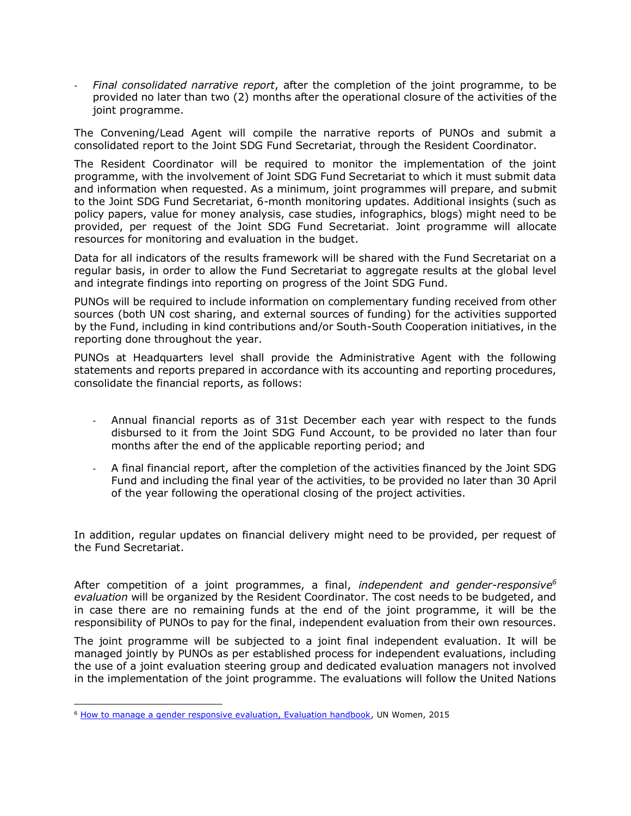- *Final consolidated narrative report*, after the completion of the joint programme, to be provided no later than two (2) months after the operational closure of the activities of the joint programme.

The Convening/Lead Agent will compile the narrative reports of PUNOs and submit a consolidated report to the Joint SDG Fund Secretariat, through the Resident Coordinator.

The Resident Coordinator will be required to monitor the implementation of the joint programme, with the involvement of Joint SDG Fund Secretariat to which it must submit data and information when requested. As a minimum, joint programmes will prepare, and submit to the Joint SDG Fund Secretariat, 6-month monitoring updates. Additional insights (such as policy papers, value for money analysis, case studies, infographics, blogs) might need to be provided, per request of the Joint SDG Fund Secretariat. Joint programme will allocate resources for monitoring and evaluation in the budget.

Data for all indicators of the results framework will be shared with the Fund Secretariat on a regular basis, in order to allow the Fund Secretariat to aggregate results at the global level and integrate findings into reporting on progress of the Joint SDG Fund.

PUNOs will be required to include information on complementary funding received from other sources (both UN cost sharing, and external sources of funding) for the activities supported by the Fund, including in kind contributions and/or South-South Cooperation initiatives, in the reporting done throughout the year.

PUNOs at Headquarters level shall provide the Administrative Agent with the following statements and reports prepared in accordance with its accounting and reporting procedures, consolidate the financial reports, as follows:

- Annual financial reports as of 31st December each year with respect to the funds disbursed to it from the Joint SDG Fund Account, to be provided no later than four months after the end of the applicable reporting period; and
- A final financial report, after the completion of the activities financed by the Joint SDG Fund and including the final year of the activities, to be provided no later than 30 April of the year following the operational closing of the project activities.

In addition, regular updates on financial delivery might need to be provided, per request of the Fund Secretariat.

After competition of a joint programmes, a final, *independent and gender-responsive<sup>6</sup> evaluation* will be organized by the Resident Coordinator. The cost needs to be budgeted, and in case there are no remaining funds at the end of the joint programme, it will be the responsibility of PUNOs to pay for the final, independent evaluation from their own resources.

The joint programme will be subjected to a joint final independent evaluation. It will be managed jointly by PUNOs as per established process for independent evaluations, including the use of a joint evaluation steering group and dedicated evaluation managers not involved in the implementation of the joint programme. The evaluations will follow the United Nations

<sup>&</sup>lt;sup>6</sup> [How to manage a gender responsive evaluation, Evaluation handbook,](http://www.unwomen.org/en/digital-library/publications/2015/4/un-women-evaluation-handbook-how-to-manage-gender-responsive-evaluation) UN Women, 2015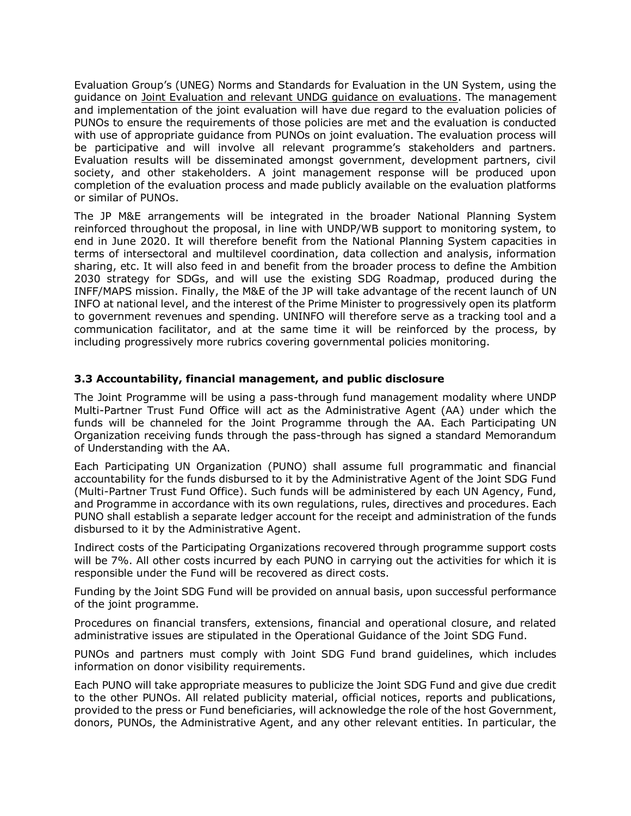Evaluation Group's (UNEG) Norms and Standards for Evaluation in the UN System, using the guidance on [Joint Evaluation and relevant UNDG guidance on evaluations.](http://www.uneval.org/document/detail/1620) The management and implementation of the joint evaluation will have due regard to the evaluation policies of PUNOs to ensure the requirements of those policies are met and the evaluation is conducted with use of appropriate guidance from PUNOs on joint evaluation. The evaluation process will be participative and will involve all relevant programme's stakeholders and partners. Evaluation results will be disseminated amongst government, development partners, civil society, and other stakeholders. A joint management response will be produced upon completion of the evaluation process and made publicly available on the evaluation platforms or similar of PUNOs.

The JP M&E arrangements will be integrated in the broader National Planning System reinforced throughout the proposal, in line with UNDP/WB support to monitoring system, to end in June 2020. It will therefore benefit from the National Planning System capacities in terms of intersectoral and multilevel coordination, data collection and analysis, information sharing, etc. It will also feed in and benefit from the broader process to define the Ambition 2030 strategy for SDGs, and will use the existing SDG Roadmap, produced during the INFF/MAPS mission. Finally, the M&E of the JP will take advantage of the recent launch of UN INFO at national level, and the interest of the Prime Minister to progressively open its platform to government revenues and spending. UNINFO will therefore serve as a tracking tool and a communication facilitator, and at the same time it will be reinforced by the process, by including progressively more rubrics covering governmental policies monitoring.

#### **3.3 Accountability, financial management, and public disclosure**

The Joint Programme will be using a pass-through fund management modality where UNDP Multi-Partner Trust Fund Office will act as the Administrative Agent (AA) under which the funds will be channeled for the Joint Programme through the AA. Each Participating UN Organization receiving funds through the pass-through has signed a standard Memorandum of Understanding with the AA.

Each Participating UN Organization (PUNO) shall assume full programmatic and financial accountability for the funds disbursed to it by the Administrative Agent of the Joint SDG Fund (Multi-Partner Trust Fund Office). Such funds will be administered by each UN Agency, Fund, and Programme in accordance with its own regulations, rules, directives and procedures. Each PUNO shall establish a separate ledger account for the receipt and administration of the funds disbursed to it by the Administrative Agent.

Indirect costs of the Participating Organizations recovered through programme support costs will be 7%. All other costs incurred by each PUNO in carrying out the activities for which it is responsible under the Fund will be recovered as direct costs.

Funding by the Joint SDG Fund will be provided on annual basis, upon successful performance of the joint programme.

Procedures on financial transfers, extensions, financial and operational closure, and related administrative issues are stipulated in the Operational Guidance of the Joint SDG Fund.

PUNOs and partners must comply with Joint SDG Fund brand guidelines, which includes information on donor visibility requirements.

Each PUNO will take appropriate measures to publicize the Joint SDG Fund and give due credit to the other PUNOs. All related publicity material, official notices, reports and publications, provided to the press or Fund beneficiaries, will acknowledge the role of the host Government, donors, PUNOs, the Administrative Agent, and any other relevant entities. In particular, the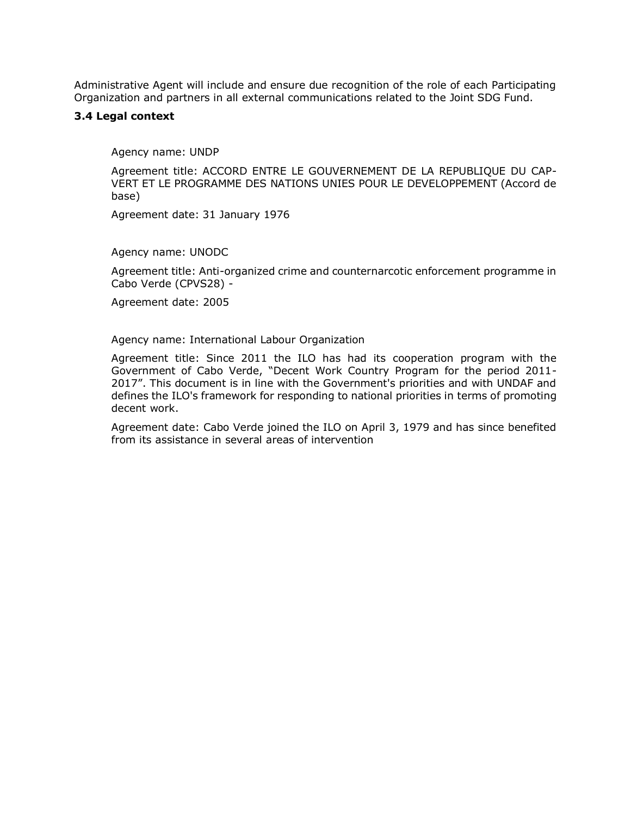Administrative Agent will include and ensure due recognition of the role of each Participating Organization and partners in all external communications related to the Joint SDG Fund.

#### **3.4 Legal context**

Agency name: UNDP

Agreement title: ACCORD ENTRE LE GOUVERNEMENT DE LA REPUBLIQUE DU CAP-VERT ET LE PROGRAMME DES NATIONS UNIES POUR LE DEVELOPPEMENT (Accord de base)

Agreement date: 31 January 1976

Agency name: UNODC

Agreement title: Anti-organized crime and counternarcotic enforcement programme in Cabo Verde (CPVS28) -

Agreement date: 2005

Agency name: International Labour Organization

Agreement title: Since 2011 the ILO has had its cooperation program with the Government of Cabo Verde, "Decent Work Country Program for the period 2011- 2017". This document is in line with the Government's priorities and with UNDAF and defines the ILO's framework for responding to national priorities in terms of promoting decent work.

Agreement date: Cabo Verde joined the ILO on April 3, 1979 and has since benefited from its assistance in several areas of intervention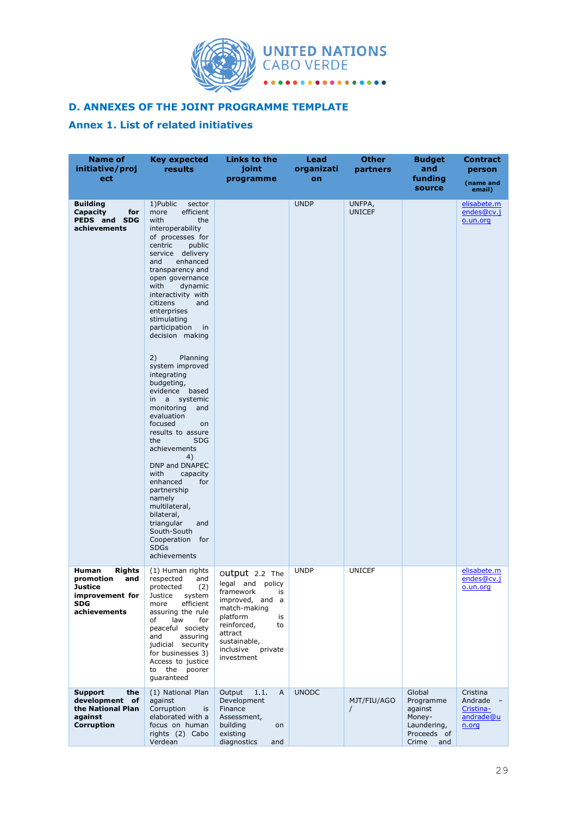

# **D. ANNEXES OF THE JOINT PROGRAMME TEMPLATE**

# **Annex 1. List of related initiatives**

| <b>Name of</b><br>initiative/proj<br>ect                                                               | <b>Key expected</b><br>results                                                                                                                                                                                                                                                                                                                                                                                                                                                                                                                                                                                                                                                                                                                                               | Links to the<br>joint<br>programme                                                                                                                                                               | <b>Lead</b><br>organizati<br>on | <b>Other</b><br>partners | <b>Budget</b><br>and<br>funding<br>source                                              | <b>Contract</b><br>person<br>(name and<br>email)       |
|--------------------------------------------------------------------------------------------------------|------------------------------------------------------------------------------------------------------------------------------------------------------------------------------------------------------------------------------------------------------------------------------------------------------------------------------------------------------------------------------------------------------------------------------------------------------------------------------------------------------------------------------------------------------------------------------------------------------------------------------------------------------------------------------------------------------------------------------------------------------------------------------|--------------------------------------------------------------------------------------------------------------------------------------------------------------------------------------------------|---------------------------------|--------------------------|----------------------------------------------------------------------------------------|--------------------------------------------------------|
| <b>Building</b><br><b>Capacity</b><br>for<br>PEDS and SDG<br>achievements                              | 1) Public<br>sector<br>efficient<br>more<br>with<br>the<br>interoperability<br>of processes for<br>centric<br>public<br>service delivery<br>enhanced<br>and<br>transparency and<br>open governance<br>with<br>dynamic<br>interactivity with<br>citizens<br>and<br>enterprises<br>stimulating<br>participation<br>in<br>decision making<br>2)<br>Planning<br>system improved<br>integrating<br>budgeting,<br>evidence based<br>a<br>systemic<br>in<br>monitoring<br>and<br>evaluation<br>focused<br>on<br>results to assure<br>the<br><b>SDG</b><br>achievements<br>4)<br>DNP and DNAPEC<br>with<br>capacity<br>enhanced<br>for<br>partnership<br>namely<br>multilateral,<br>bilateral,<br>triangular<br>and<br>South-South<br>Cooperation for<br><b>SDGs</b><br>achievements |                                                                                                                                                                                                  | <b>UNDP</b>                     | UNFPA,<br><b>UNICEF</b>  |                                                                                        | elisabete.m<br>endes@cv.j<br>o.un.org                  |
| Human<br><b>Rights</b><br>promotion<br>and<br>Justice<br>improvement for<br><b>SDG</b><br>achievements | (1) Human rights<br>respected<br>and<br>protected<br>(2)<br>Justice<br>system<br>efficient<br>more<br>assuring the rule<br>law<br>of<br>for<br>peaceful society<br>assuring<br>and<br>judicial security<br>for businesses 3)<br>Access to justice<br>the poorer<br>to<br>guaranteed                                                                                                                                                                                                                                                                                                                                                                                                                                                                                          | Output 2.2 The<br>legal and policy<br>framework<br>is<br>improved, and a<br>match-making<br>platform<br>is<br>reinforced,<br>to<br>attract<br>sustainable,<br>inclusive<br>private<br>investment | <b>UNDP</b>                     | <b>UNICEF</b>            |                                                                                        | elisabete.m<br>endes@cv.j<br>o.un.org                  |
| <b>Support</b><br>the<br>development of<br>the National Plan<br>against<br><b>Corruption</b>           | (1) National Plan<br>against<br>Corruption<br>is<br>elaborated with a<br>focus on human<br>rights (2) Cabo<br>Verdean                                                                                                                                                                                                                                                                                                                                                                                                                                                                                                                                                                                                                                                        | Output<br>1.1.<br>A<br>Development<br>Finance<br>Assessment,<br>building<br>on<br>existing<br>diagnostics<br>and                                                                                 | <b>UNODC</b>                    | MJT/FIU/AGO<br>$\prime$  | Global<br>Programme<br>against<br>Money-<br>Laundering,<br>Proceeds of<br>Crime<br>and | Cristina<br>Andrade<br>Cristina-<br>andrade@u<br>n.org |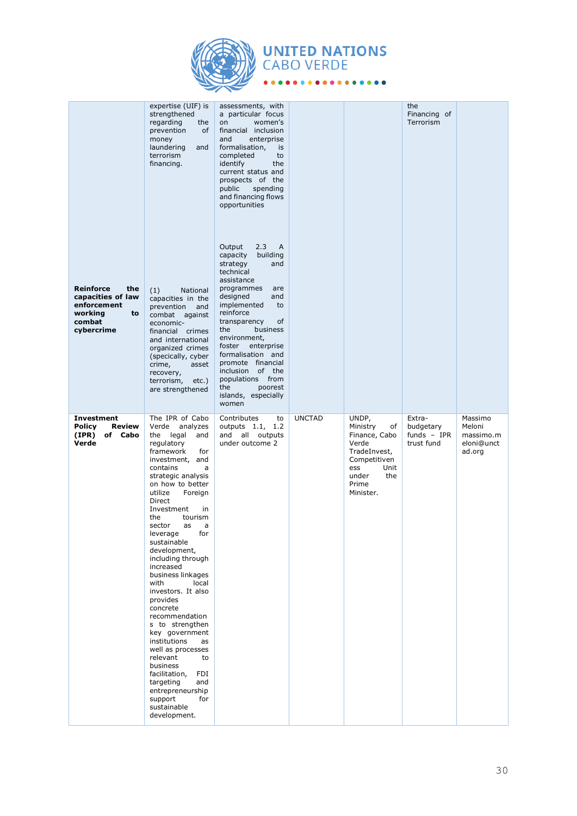

 $\bullet$   $\bullet$ 

# **UNITED NATIONS**<br>CABO VERDE

 $\bullet$ 

.........

|                                                                                               | expertise (UIF) is<br>strengthened<br>regarding<br>the<br>prevention<br>of<br>money<br>laundering<br>and<br>terrorism<br>financing.                                                                                                                                                                                                                                                                                                                                                                                                                                                                                                                                                    | assessments, with<br>a particular focus<br>women's<br>on<br>financial inclusion<br>and<br>enterprise<br>formalisation,<br>is<br>completed<br>to<br>identify<br>the<br>current status and<br>prospects of the<br>spending<br>public<br>and financing flows<br>opportunities                                                                                                           |               |                                                                                                                                        | the<br>Financing of<br>Terrorism                   |                                                        |
|-----------------------------------------------------------------------------------------------|----------------------------------------------------------------------------------------------------------------------------------------------------------------------------------------------------------------------------------------------------------------------------------------------------------------------------------------------------------------------------------------------------------------------------------------------------------------------------------------------------------------------------------------------------------------------------------------------------------------------------------------------------------------------------------------|--------------------------------------------------------------------------------------------------------------------------------------------------------------------------------------------------------------------------------------------------------------------------------------------------------------------------------------------------------------------------------------|---------------|----------------------------------------------------------------------------------------------------------------------------------------|----------------------------------------------------|--------------------------------------------------------|
| Reinforce<br>the<br>capacities of law<br>enforcement<br>working<br>to<br>combat<br>cybercrime | (1)<br>National<br>capacities in the<br>prevention<br>and<br>combat against<br>economic-<br>financial crimes<br>and international<br>organized crimes<br>(specically, cyber<br>crime,<br>asset<br>recovery,<br>terrorism,<br>$etc.$ )<br>are strengthened                                                                                                                                                                                                                                                                                                                                                                                                                              | 2.3<br>Output<br>A<br>building<br>capacity<br>strategy<br>and<br>technical<br>assistance<br>programmes<br>are<br>designed<br>and<br>implemented<br>to<br>reinforce<br>transparency<br>of<br>business<br>the<br>environment,<br>foster enterprise<br>formalisation and<br>promote financial<br>inclusion of the<br>populations from<br>the<br>poorest<br>islands, especially<br>women |               |                                                                                                                                        |                                                    |                                                        |
| Investment<br><b>Policy</b><br>Review<br>(IPR)<br>of Cabo<br>Verde                            | The IPR of Cabo<br>Verde analyzes<br>the legal and<br>regulatory<br>framework<br>for<br>investment, and<br>contains<br>a<br>strategic analysis<br>on how to better<br>utilize<br>Foreign<br>Direct<br>Investment<br>in<br>the<br>tourism<br>sector<br>as<br>a<br>leverage<br>for<br>sustainable<br>development,<br>including through<br>increased<br>business linkages<br>with<br>local<br>investors. It also<br>provides<br>concrete<br>recommendation<br>s to strengthen<br>key government<br>institutions<br>as<br>well as processes<br>relevant<br>to<br>business<br>facilitation,<br>FDI<br>targeting<br>and<br>entrepreneurship<br>support<br>for<br>sustainable<br>development. | Contributes<br>to<br>outputs 1.1,<br>1.2<br>and all outputs<br>under outcome 2                                                                                                                                                                                                                                                                                                       | <b>UNCTAD</b> | UNDP,<br>Ministry<br>of<br>Finance, Cabo<br>Verde<br>TradeInvest,<br>Competitiven<br>ess<br>Unit<br>the<br>under<br>Prime<br>Minister. | Extra-<br>budgetary<br>funds $-$ IPR<br>trust fund | Massimo<br>Meloni<br>massimo.m<br>eloni@unct<br>ad.org |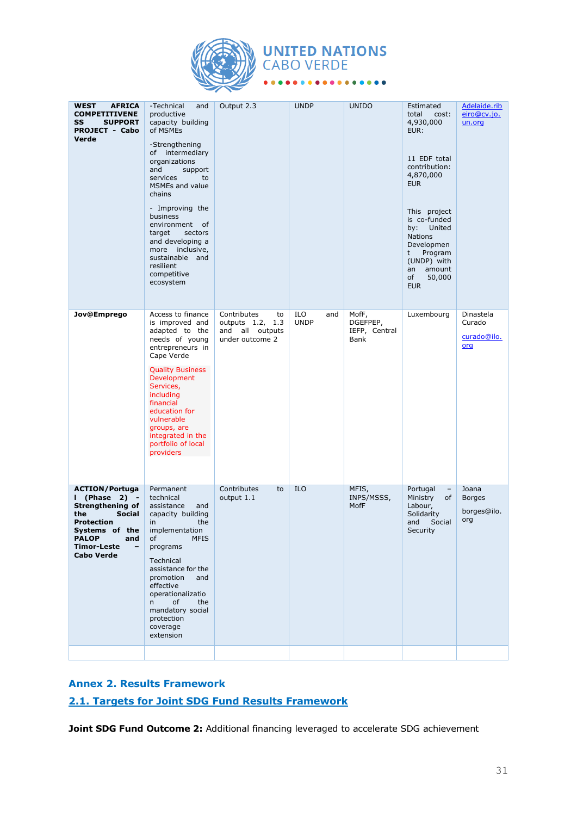

# **UNITED NATIONS**<br>CABO VERDE  $\frac{1}{2}$

| WEST<br><b>AFRICA</b><br><b>COMPETITIVENE</b><br>SS<br><b>SUPPORT</b><br><b>PROJECT - Cabo</b><br>Verde                                                                                     | -Technical<br>and<br>productive<br>capacity building<br>of MSMEs<br>-Strengthening<br>of intermediary<br>organizations<br>and<br>support<br>services<br>to<br>MSMEs and value<br>chains<br>- Improving the<br>business<br>environment<br>of<br>target<br>sectors<br>and developing a<br>more inclusive,<br>sustainable and<br>resilient<br>competitive<br>ecosystem | Output 2.3                                                                     | <b>UNDP</b>               | <b>UNIDO</b>                               | Estimated<br>total<br>cost:<br>4,930,000<br>EUR:<br>11 EDF total<br>contribution:<br>4,870,000<br><b>EUR</b><br>This project<br>is co-funded<br>by:<br>United<br><b>Nations</b><br>Developmen<br>Program<br>t<br>(UNDP) with<br>amount<br>an<br>of<br>50,000<br><b>EUR</b> | Adelaide.rib<br>eiro@cv.jo.<br>un.org        |
|---------------------------------------------------------------------------------------------------------------------------------------------------------------------------------------------|---------------------------------------------------------------------------------------------------------------------------------------------------------------------------------------------------------------------------------------------------------------------------------------------------------------------------------------------------------------------|--------------------------------------------------------------------------------|---------------------------|--------------------------------------------|----------------------------------------------------------------------------------------------------------------------------------------------------------------------------------------------------------------------------------------------------------------------------|----------------------------------------------|
| Jov@Emprego                                                                                                                                                                                 | Access to finance<br>is improved and<br>adapted to the<br>needs of young<br>entrepreneurs in<br>Cape Verde<br><b>Quality Business</b><br>Development<br>Services,<br>including<br>financial<br>education for<br>vulnerable<br>groups, are<br>integrated in the<br>portfolio of local<br>providers                                                                   | Contributes<br>to<br>outputs 1.2,<br>1.3<br>and all outputs<br>under outcome 2 | ILO<br>and<br><b>UNDP</b> | MofF,<br>DGEFPEP,<br>IEFP, Central<br>Bank | Luxembourg                                                                                                                                                                                                                                                                 | Dinastela<br>Curado<br>curado@ilo.<br>org    |
| <b>ACTION/Portuga</b><br>I (Phase 2) -<br><b>Strengthening of</b><br>the<br><b>Social</b><br><b>Protection</b><br>Systems of the<br><b>PALOP</b><br>and<br>Timor-Leste<br><b>Cabo Verde</b> | Permanent<br>technical<br>assistance<br>and<br>capacity building<br>the<br>in<br>implementation<br><b>MFIS</b><br>of<br>programs<br>Technical<br>assistance for the<br>promotion<br>and<br>effective<br>operationalizatio<br>of<br>the<br>n<br>mandatory social<br>protection<br>coverage<br>extension                                                              | Contributes<br>to<br>output 1.1                                                | <b>ILO</b>                | MFIS,<br>INPS/MSSS,<br>MofF                | Portugal<br>$\overline{\phantom{a}}$<br>Ministry<br>of<br>Labour,<br>Solidarity<br>Social<br>and<br>Security                                                                                                                                                               | Joana<br><b>Borges</b><br>borges@ilo.<br>org |
|                                                                                                                                                                                             |                                                                                                                                                                                                                                                                                                                                                                     |                                                                                |                           |                                            |                                                                                                                                                                                                                                                                            |                                              |

# **Annex 2. Results Framework**

# **2.1. Targets for Joint SDG Fund Results Framework**

**Joint SDG Fund Outcome 2:** Additional financing leveraged to accelerate SDG achievement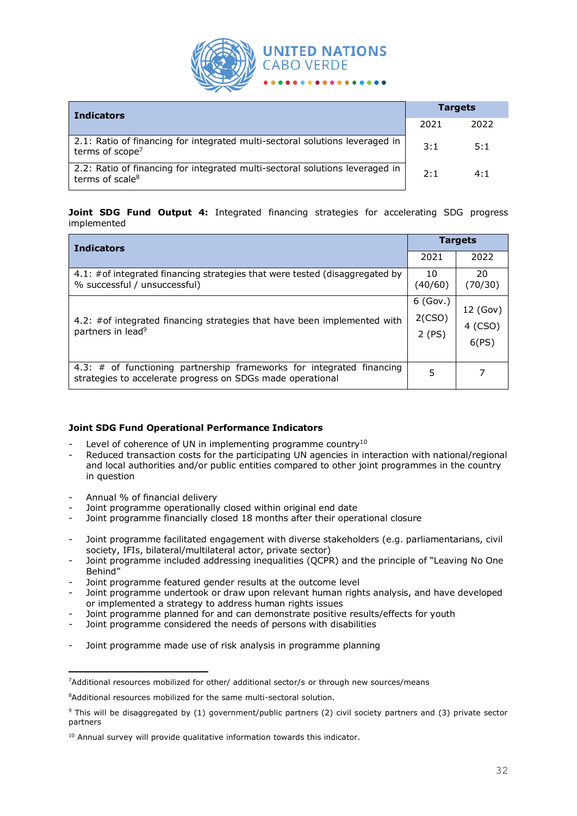

| <b>Indicators</b>                                                                                           |     | <b>Targets</b> |  |  |
|-------------------------------------------------------------------------------------------------------------|-----|----------------|--|--|
|                                                                                                             |     | 2022           |  |  |
| 2.1: Ratio of financing for integrated multi-sectoral solutions leveraged in<br>terms of scope <sup>7</sup> | 3:1 | 5:1            |  |  |
| 2.2: Ratio of financing for integrated multi-sectoral solutions leveraged in<br>terms of scale <sup>8</sup> | 2:1 | 4:1            |  |  |

**Joint SDG Fund Output 4:** Integrated financing strategies for accelerating SDG progress implemented

| <b>Indicators</b>                                                                                                                   |                               | <b>Targets</b>               |  |  |
|-------------------------------------------------------------------------------------------------------------------------------------|-------------------------------|------------------------------|--|--|
|                                                                                                                                     | 2021                          | 2022                         |  |  |
| 4.1: #of integrated financing strategies that were tested (disaggregated by<br>% successful / unsuccessful)                         | 10<br>(40/60)                 | 20<br>(70/30)                |  |  |
| 4.2: #of integrated financing strategies that have been implemented with<br>partners in lead <sup>9</sup>                           | $6$ (Gov.)<br>2(CSO)<br>2(PS) | 12 (Gov)<br>4 (CSO)<br>6(PS) |  |  |
| 4.3: # of functioning partnership frameworks for integrated financing<br>strategies to accelerate progress on SDGs made operational | 5                             | 7                            |  |  |

#### **Joint SDG Fund Operational Performance Indicators**

- Level of coherence of UN in implementing programme country<sup>10</sup>
- Reduced transaction costs for the participating UN agencies in interaction with national/regional and local authorities and/or public entities compared to other joint programmes in the country in question
- Annual % of financial delivery
- Joint programme operationally closed within original end date
- Joint programme financially closed 18 months after their operational closure
- Joint programme facilitated engagement with diverse stakeholders (e.g. parliamentarians, civil society, IFIs, bilateral/multilateral actor, private sector)
- Joint programme included addressing inequalities (QCPR) and the principle of "Leaving No One Behind"
- Joint programme featured gender results at the outcome level
- Joint programme undertook or draw upon relevant human rights analysis, and have developed or implemented a strategy to address human rights issues
- Joint programme planned for and can demonstrate positive results/effects for youth
- Joint programme considered the needs of persons with disabilities
- Joint programme made use of risk analysis in programme planning

<sup>7</sup>Additional resources mobilized for other/ additional sector/s or through new sources/means

<sup>8</sup>Additional resources mobilized for the same multi-sectoral solution.

<sup>&</sup>lt;sup>9</sup> This will be disaggregated by (1) government/public partners (2) civil society partners and (3) private sector partners

<sup>&</sup>lt;sup>10</sup> Annual survey will provide qualitative information towards this indicator.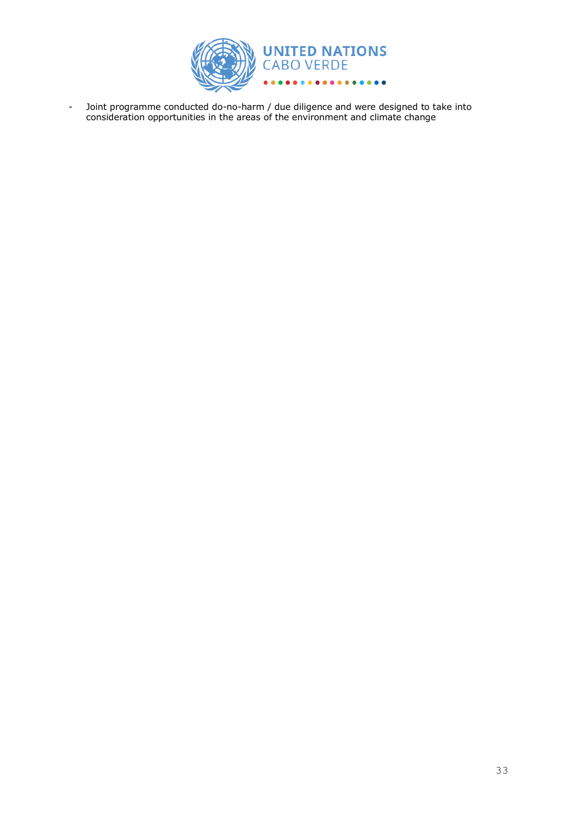

- Joint programme conducted do-no-harm / due diligence and were designed to take into consideration opportunities in the areas of the environment and climate change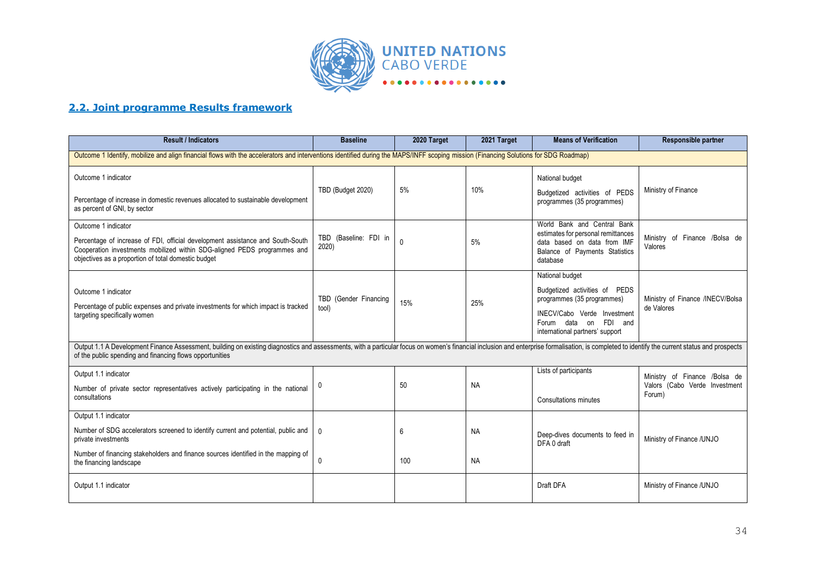

# **2.2. Joint programme Results framework**

| <b>Result / Indicators</b>                                                                                                                                                                                                                                                                 | <b>Baseline</b>                                                                                                                                                                      | 2020 Target | 2021 Target            | <b>Means of Verification</b>                                                                                                                                                           | Responsible partner                                                      |  |  |
|--------------------------------------------------------------------------------------------------------------------------------------------------------------------------------------------------------------------------------------------------------------------------------------------|--------------------------------------------------------------------------------------------------------------------------------------------------------------------------------------|-------------|------------------------|----------------------------------------------------------------------------------------------------------------------------------------------------------------------------------------|--------------------------------------------------------------------------|--|--|
|                                                                                                                                                                                                                                                                                            | Outcome 1 Identify, mobilize and align financial flows with the accelerators and interventions identified during the MAPS/INFF scoping mission (Financing Solutions for SDG Roadmap) |             |                        |                                                                                                                                                                                        |                                                                          |  |  |
| Outcome 1 indicator<br>Percentage of increase in domestic revenues allocated to sustainable development<br>as percent of GNI, by sector                                                                                                                                                    | TBD (Budget 2020)                                                                                                                                                                    | 5%          | 10%                    | National budget<br>Budgetized activities of PEDS<br>programmes (35 programmes)                                                                                                         | Ministry of Finance                                                      |  |  |
| Outcome 1 indicator<br>Percentage of increase of FDI, official development assistance and South-South<br>Cooperation investments mobilized within SDG-aligned PEDS programmes and<br>objectives as a proportion of total domestic budget                                                   | TBD (Baseline: FDI in<br>2020)                                                                                                                                                       | $\mathbf 0$ | 5%                     | World Bank and Central Bank<br>estimates for personal remittances<br>data based on data from IMF<br>Balance of Payments Statistics<br>database                                         | Ministry of Finance /Bolsa de<br>Valores                                 |  |  |
| Outcome 1 indicator<br>Percentage of public expenses and private investments for which impact is tracked<br>targeting specifically women                                                                                                                                                   | TBD (Gender Financing<br>tool)                                                                                                                                                       | 15%         | 25%                    | National budget<br>Budgetized activities of PEDS<br>programmes (35 programmes)<br>INECV/Cabo Verde Investment<br>Forum data on<br><b>FDI</b><br>and<br>international partners' support | Ministry of Finance /INECV/Bolsa<br>de Valores                           |  |  |
| Output 1.1 A Development Finance Assessment, building on existing diagnostics and assessments, with a particular focus on women's financial inclusion and enterprise formalisation, is completed to identify the current statu<br>of the public spending and financing flows opportunities |                                                                                                                                                                                      |             |                        |                                                                                                                                                                                        |                                                                          |  |  |
| Output 1.1 indicator<br>Number of private sector representatives actively participating in the national<br>consultations                                                                                                                                                                   | 0                                                                                                                                                                                    | 50          | <b>NA</b>              | Lists of participants<br>Consultations minutes                                                                                                                                         | Ministry of Finance /Bolsa de<br>Valors (Cabo Verde Investment<br>Forum) |  |  |
| Output 1.1 indicator<br>Number of SDG accelerators screened to identify current and potential, public and<br>private investments<br>Number of financing stakeholders and finance sources identified in the mapping of<br>the financing landscape                                           | $\Omega$<br>$\mathbf 0$                                                                                                                                                              | 6<br>100    | <b>NA</b><br><b>NA</b> | Deep-dives documents to feed in<br>DFA 0 draft                                                                                                                                         | Ministry of Finance /UNJO                                                |  |  |
| Output 1.1 indicator                                                                                                                                                                                                                                                                       |                                                                                                                                                                                      |             |                        | Draft DFA                                                                                                                                                                              | Ministry of Finance /UNJO                                                |  |  |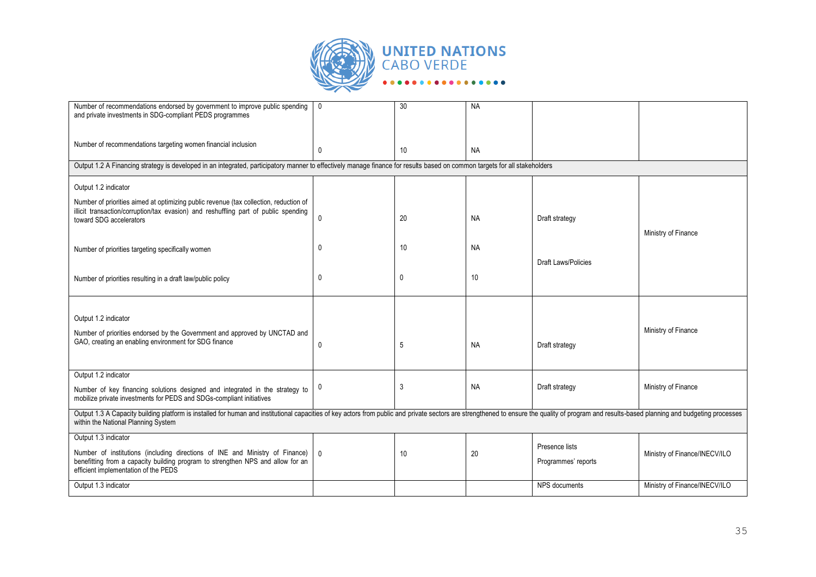

| Number of recommendations endorsed by government to improve public spending<br>and private investments in SDG-compliant PEDS programmes                                                                                                                               | $\mathbf 0$                                                                                                                                                                | 30 | <b>NA</b> |                                       |                               |  |  |  |
|-----------------------------------------------------------------------------------------------------------------------------------------------------------------------------------------------------------------------------------------------------------------------|----------------------------------------------------------------------------------------------------------------------------------------------------------------------------|----|-----------|---------------------------------------|-------------------------------|--|--|--|
|                                                                                                                                                                                                                                                                       |                                                                                                                                                                            |    |           |                                       |                               |  |  |  |
| Number of recommendations targeting women financial inclusion                                                                                                                                                                                                         | $\Omega$                                                                                                                                                                   | 10 | <b>NA</b> |                                       |                               |  |  |  |
|                                                                                                                                                                                                                                                                       | Output 1.2 A Financing strategy is developed in an integrated, participatory manner to effectively manage finance for results based on common targets for all stakeholders |    |           |                                       |                               |  |  |  |
| Output 1.2 indicator                                                                                                                                                                                                                                                  |                                                                                                                                                                            |    |           |                                       |                               |  |  |  |
| Number of priorities aimed at optimizing public revenue (tax collection, reduction of<br>illicit transaction/corruption/tax evasion) and reshuffling part of public spending<br>toward SDG accelerators                                                               | $\Omega$                                                                                                                                                                   | 20 | <b>NA</b> | Draft strategy                        | Ministry of Finance           |  |  |  |
| Number of priorities targeting specifically women                                                                                                                                                                                                                     | 0                                                                                                                                                                          | 10 | <b>NA</b> |                                       |                               |  |  |  |
| Number of priorities resulting in a draft law/public policy                                                                                                                                                                                                           | 0                                                                                                                                                                          | 0  | 10        | <b>Draft Laws/Policies</b>            |                               |  |  |  |
|                                                                                                                                                                                                                                                                       |                                                                                                                                                                            |    |           |                                       |                               |  |  |  |
| Output 1.2 indicator<br>Number of priorities endorsed by the Government and approved by UNCTAD and<br>GAO, creating an enabling environment for SDG finance                                                                                                           | 0                                                                                                                                                                          | 5  | <b>NA</b> | Draft strategy                        | Ministry of Finance           |  |  |  |
| Output 1.2 indicator                                                                                                                                                                                                                                                  |                                                                                                                                                                            |    |           |                                       |                               |  |  |  |
| Number of key financing solutions designed and integrated in the strategy to<br>mobilize private investments for PEDS and SDGs-compliant initiatives                                                                                                                  | 0                                                                                                                                                                          | 3  | <b>NA</b> | Draft strategy                        | Ministry of Finance           |  |  |  |
| Output 1.3 A Capacity building platform is installed for human and institutional capacities of key actors from public and private sectors are strengthened to ensure the quality of program and results-based planning and bud<br>within the National Planning System |                                                                                                                                                                            |    |           |                                       |                               |  |  |  |
| Output 1.3 indicator<br>Number of institutions (including directions of INE and Ministry of Finance)<br>benefitting from a capacity building program to strengthen NPS and allow for an<br>efficient implementation of the PEDS                                       | $\mathbf{0}$                                                                                                                                                               | 10 | 20        | Presence lists<br>Programmes' reports | Ministry of Finance/INECV/ILO |  |  |  |
| Output 1.3 indicator                                                                                                                                                                                                                                                  |                                                                                                                                                                            |    |           | NPS documents                         | Ministry of Finance/INECV/ILO |  |  |  |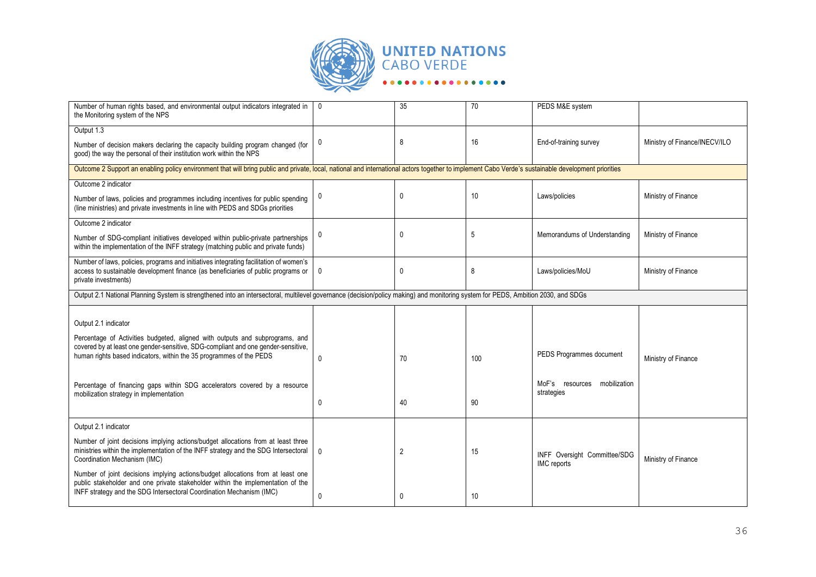

| Number of human rights based, and environmental output indicators integrated in<br>the Monitoring system of the NPS                                                                                                                        | $\mathbf 0$  | 35             | 70  | PEDS M&E system                                    |                               |  |  |  |
|--------------------------------------------------------------------------------------------------------------------------------------------------------------------------------------------------------------------------------------------|--------------|----------------|-----|----------------------------------------------------|-------------------------------|--|--|--|
| Output 1.3                                                                                                                                                                                                                                 |              |                |     |                                                    |                               |  |  |  |
| Number of decision makers declaring the capacity building program changed (for<br>good) the way the personal of their institution work within the NPS                                                                                      | 0            | 8              | 16  | End-of-training survey                             | Ministry of Finance/INECV/ILO |  |  |  |
| Outcome 2 Support an enabling policy environment that will bring public and private, local, national and international actors together to implement Cabo Verde's sustainable development priorities                                        |              |                |     |                                                    |                               |  |  |  |
| Outcome 2 indicator                                                                                                                                                                                                                        |              |                |     |                                                    |                               |  |  |  |
| Number of laws, policies and programmes including incentives for public spending<br>(line ministries) and private investments in line with PEDS and SDGs priorities                                                                        | 0            | $\mathbf 0$    | 10  | Laws/policies                                      | Ministry of Finance           |  |  |  |
| Outcome 2 indicator                                                                                                                                                                                                                        |              |                |     |                                                    |                               |  |  |  |
| Number of SDG-compliant initiatives developed within public-private partnerships<br>within the implementation of the INFF strategy (matching public and private funds)                                                                     | 0            | $\mathbf 0$    | 5   | Memorandums of Understanding                       | Ministry of Finance           |  |  |  |
| Number of laws, policies, programs and initiatives integrating facilitation of women's<br>access to sustainable development finance (as beneficiaries of public programs or<br>private investments)                                        | $\mathbf{0}$ | $\mathbf 0$    | 8   | Laws/policies/MoU                                  | Ministry of Finance           |  |  |  |
| Output 2.1 National Planning System is strengthened into an intersectoral, multilevel governance (decision/policy making) and monitoring system for PEDS, Ambition 2030, and SDGs                                                          |              |                |     |                                                    |                               |  |  |  |
| Output 2.1 indicator                                                                                                                                                                                                                       |              |                |     |                                                    |                               |  |  |  |
| Percentage of Activities budgeted, aligned with outputs and subprograms, and<br>covered by at least one gender-sensitive, SDG-compliant and one gender-sensitive,<br>human rights based indicators, within the 35 programmes of the PEDS   | $\mathbf{0}$ | 70             | 100 | PEDS Programmes document                           | Ministry of Finance           |  |  |  |
| Percentage of financing gaps within SDG accelerators covered by a resource                                                                                                                                                                 |              |                |     | MoF's resources<br>mobilization                    |                               |  |  |  |
| mobilization strategy in implementation                                                                                                                                                                                                    | $\mathbf 0$  | 40             | 90  | strategies                                         |                               |  |  |  |
|                                                                                                                                                                                                                                            |              |                |     |                                                    |                               |  |  |  |
| Output 2.1 indicator                                                                                                                                                                                                                       |              |                |     |                                                    |                               |  |  |  |
| Number of joint decisions implying actions/budget allocations from at least three<br>ministries within the implementation of the INFF strategy and the SDG Intersectoral<br>Coordination Mechanism (IMC)                                   | 0            | $\overline{2}$ | 15  | INFF Oversight Committee/SDG<br><b>IMC</b> reports | Ministry of Finance           |  |  |  |
| Number of joint decisions implying actions/budget allocations from at least one<br>public stakeholder and one private stakeholder within the implementation of the<br>INFF strategy and the SDG Intersectoral Coordination Mechanism (IMC) | $\mathbf 0$  | $\mathbf{0}$   | 10  |                                                    |                               |  |  |  |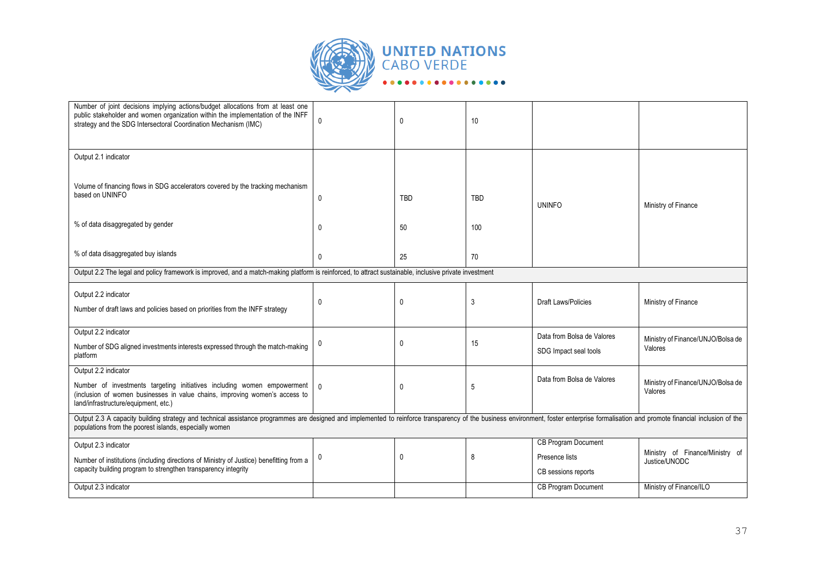

| Number of joint decisions implying actions/budget allocations from at least one<br>public stakeholder and women organization within the implementation of the INFF<br>strategy and the SDG Intersectoral Coordination Mechanism (IMC)                                                    | 0            | 0           | 10         |                                                     |                                              |  |
|------------------------------------------------------------------------------------------------------------------------------------------------------------------------------------------------------------------------------------------------------------------------------------------|--------------|-------------|------------|-----------------------------------------------------|----------------------------------------------|--|
| Output 2.1 indicator                                                                                                                                                                                                                                                                     |              |             |            |                                                     |                                              |  |
| Volume of financing flows in SDG accelerators covered by the tracking mechanism<br>based on UNINFO                                                                                                                                                                                       | $\mathbf 0$  | <b>TBD</b>  | <b>TBD</b> | <b>UNINFO</b>                                       | Ministry of Finance                          |  |
| % of data disaggregated by gender                                                                                                                                                                                                                                                        | $\mathbf{0}$ | 50          | 100        |                                                     |                                              |  |
| % of data disaggregated buy islands                                                                                                                                                                                                                                                      | $\mathbf 0$  | 25          | 70         |                                                     |                                              |  |
| Output 2.2 The legal and policy framework is improved, and a match-making platform is reinforced, to attract sustainable, inclusive private investment                                                                                                                                   |              |             |            |                                                     |                                              |  |
| Output 2.2 indicator<br>Number of draft laws and policies based on priorities from the INFF strategy                                                                                                                                                                                     | 0            | $\mathbf 0$ | 3          | <b>Draft Laws/Policies</b>                          | Ministry of Finance                          |  |
| Output 2.2 indicator<br>Number of SDG aligned investments interests expressed through the match-making<br>platform                                                                                                                                                                       |              | 0           | 15         | Data from Bolsa de Valores<br>SDG Impact seal tools | Ministry of Finance/UNJO/Bolsa de<br>Valores |  |
| Output 2.2 indicator<br>Number of investments targeting initiatives including women empowerment<br>(inclusion of women businesses in value chains, improving women's access to<br>land/infrastructure/equipment, etc.)                                                                   | $\Omega$     | $\mathbf 0$ | 5          | Data from Bolsa de Valores                          | Ministry of Finance/UNJO/Bolsa de<br>Valores |  |
| Output 2.3 A capacity building strategy and technical assistance programmes are designed and implemented to reinforce transparency of the business environment, foster enterprise formalisation and promote financial inclusio<br>populations from the poorest islands, especially women |              |             |            |                                                     |                                              |  |
| Output 2.3 indicator<br>Number of institutions (including directions of Ministry of Justice) benefitting from a                                                                                                                                                                          | 0            | 0           | 8          | CB Program Document<br>Presence lists               | Ministry of Finance/Ministry of              |  |
| capacity building program to strengthen transparency integrity                                                                                                                                                                                                                           |              |             |            | CB sessions reports                                 | Justice/UNODC                                |  |
| Output 2.3 indicator                                                                                                                                                                                                                                                                     |              |             |            | <b>CB Program Document</b>                          | Ministry of Finance/ILO                      |  |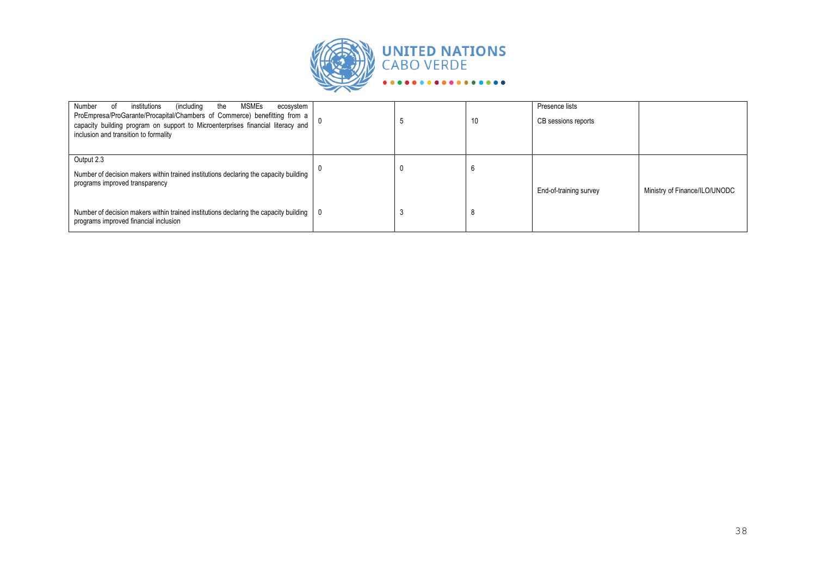

| MSMEs<br>Number<br>institutions<br>(including)<br>the<br>ecosystem<br>οf<br>ProEmpresa/ProGarante/Procapital/Chambers of Commerce) benefitting from a<br>capacity building program on support to Microenterprises financial literacy and<br>inclusion and transition to formality | - 3 | 10 | Presence lists<br>CB sessions reports |                               |
|-----------------------------------------------------------------------------------------------------------------------------------------------------------------------------------------------------------------------------------------------------------------------------------|-----|----|---------------------------------------|-------------------------------|
| Output 2.3<br>Number of decision makers within trained institutions declaring the capacity building<br>programs improved transparency                                                                                                                                             | u   |    | End-of-training survey                | Ministry of Finance/ILO/UNODC |
| Number of decision makers within trained institutions declaring the capacity building  <br>programs improved financial inclusion                                                                                                                                                  | - 3 |    |                                       |                               |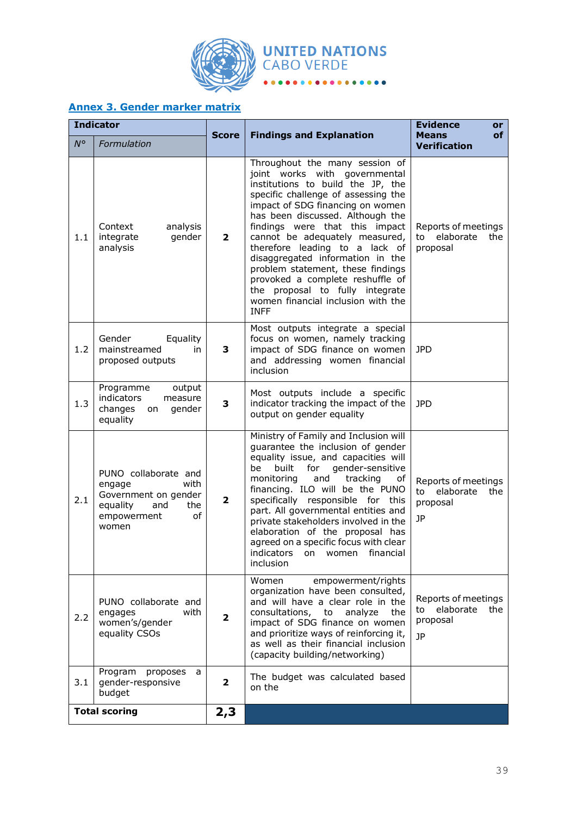

# **Annex 3. Gender marker matrix**

|             | <b>Indicator</b>                                                                                                       |                |                                                                                                                                                                                                                                                                                                                                                                                                                                                                                                                                | <b>Evidence</b><br>or                                           |  |  |  |  |
|-------------|------------------------------------------------------------------------------------------------------------------------|----------------|--------------------------------------------------------------------------------------------------------------------------------------------------------------------------------------------------------------------------------------------------------------------------------------------------------------------------------------------------------------------------------------------------------------------------------------------------------------------------------------------------------------------------------|-----------------------------------------------------------------|--|--|--|--|
| $N^{\circ}$ | Formulation                                                                                                            | <b>Score</b>   | <b>Findings and Explanation</b>                                                                                                                                                                                                                                                                                                                                                                                                                                                                                                | of<br><b>Means</b><br><b>Verification</b>                       |  |  |  |  |
| 1.1         | Context<br>analysis<br>integrate<br>gender<br>analysis                                                                 | $\overline{2}$ | Throughout the many session of<br>joint works with governmental<br>institutions to build the JP, the<br>specific challenge of assessing the<br>impact of SDG financing on women<br>has been discussed. Although the<br>findings were that this impact<br>cannot be adequately measured,<br>therefore leading to a lack of<br>disaggregated information in the<br>problem statement, these findings<br>provoked a complete reshuffle of<br>the proposal to fully integrate<br>women financial inclusion with the<br><b>INFF</b> | Reports of meetings<br>to elaborate<br>the<br>proposal          |  |  |  |  |
| 1.2         | Gender<br>Equality<br>mainstreamed<br>in<br>proposed outputs                                                           | 3              | Most outputs integrate a special<br>focus on women, namely tracking<br>impact of SDG finance on women<br>and addressing women financial<br>inclusion                                                                                                                                                                                                                                                                                                                                                                           | <b>JPD</b>                                                      |  |  |  |  |
| 1.3         | Programme<br>output<br>indicators<br>measure<br>changes<br>gender<br>on<br>equality                                    | 3              | Most outputs include a specific<br>indicator tracking the impact of the<br>output on gender equality                                                                                                                                                                                                                                                                                                                                                                                                                           | <b>JPD</b>                                                      |  |  |  |  |
| 2.1         | PUNO collaborate and<br>with<br>engage<br>Government on gender<br>equality<br>and<br>the<br>empowerment<br>οf<br>women | $\overline{2}$ | Ministry of Family and Inclusion will<br>guarantee the inclusion of gender<br>equality issue, and capacities will<br>gender-sensitive<br>be<br>built<br>for<br>monitoring<br>tracking<br>and<br>оf<br>financing. ILO will be the PUNO<br>specifically responsible for this<br>part. All governmental entities and<br>private stakeholders involved in the<br>elaboration of the proposal has<br>agreed on a specific focus with clear<br>indicators<br>on<br>women<br>financial<br><i>inclusion</i>                            | Reports of meetings<br>elaborate<br>to<br>the<br>proposal<br>JP |  |  |  |  |
| 2.2         | PUNO collaborate and<br>with<br>engages<br>women's/gender<br>equality CSOs                                             | $\overline{2}$ | Women<br>empowerment/rights<br>organization have been consulted,<br>and will have a clear role in the<br>consultations,<br>analyze<br>to<br>the<br>impact of SDG finance on women<br>and prioritize ways of reinforcing it,<br>as well as their financial inclusion<br>(capacity building/networking)                                                                                                                                                                                                                          | Reports of meetings<br>elaborate<br>the<br>to<br>proposal<br>1P |  |  |  |  |
| 3.1         | Program<br>proposes<br>a<br>gender-responsive<br>budget                                                                | $\overline{2}$ | The budget was calculated based<br>on the                                                                                                                                                                                                                                                                                                                                                                                                                                                                                      |                                                                 |  |  |  |  |
|             | <b>Total scoring</b>                                                                                                   | 2,3            |                                                                                                                                                                                                                                                                                                                                                                                                                                                                                                                                |                                                                 |  |  |  |  |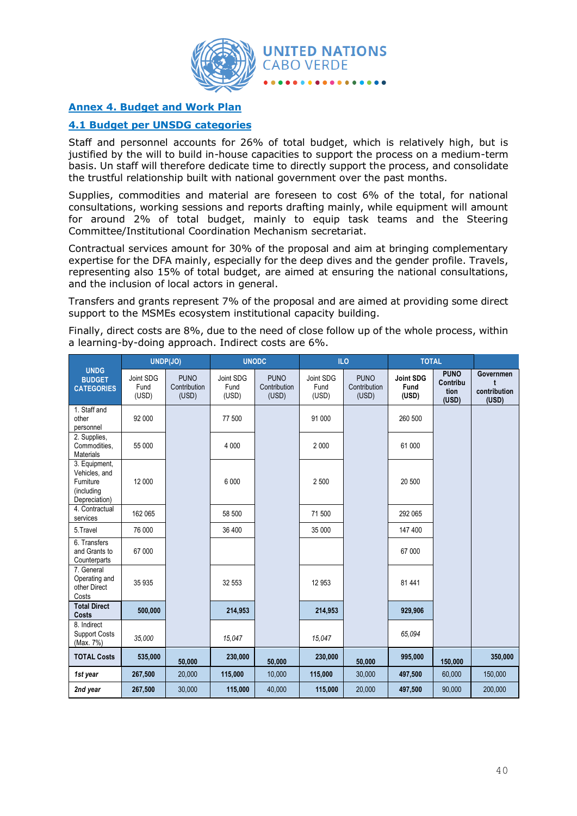

# **Annex 4. Budget and Work Plan**

# **4.1 Budget per UNSDG categories**

Staff and personnel accounts for 26% of total budget, which is relatively high, but is justified by the will to build in-house capacities to support the process on a medium-term basis. Un staff will therefore dedicate time to directly support the process, and consolidate the trustful relationship built with national government over the past months.

Supplies, commodities and material are foreseen to cost 6% of the total, for national consultations, working sessions and reports drafting mainly, while equipment will amount for around 2% of total budget, mainly to equip task teams and the Steering Committee/Institutional Coordination Mechanism secretariat.

Contractual services amount for 30% of the proposal and aim at bringing complementary expertise for the DFA mainly, especially for the deep dives and the gender profile. Travels, representing also 15% of total budget, are aimed at ensuring the national consultations, and the inclusion of local actors in general.

Transfers and grants represent 7% of the proposal and are aimed at providing some direct support to the MSMEs ecosystem institutional capacity building.

Finally, direct costs are 8%, due to the need of close follow up of the whole process, within a learning-by-doing approach. Indirect costs are 6%.

|                                                                            |                            | UNDP(JO)                             | <b>UNODC</b>               |                                      |                            | IL <sub>O</sub>                      | <b>TOTAL</b>                      |                                          |                                    |
|----------------------------------------------------------------------------|----------------------------|--------------------------------------|----------------------------|--------------------------------------|----------------------------|--------------------------------------|-----------------------------------|------------------------------------------|------------------------------------|
| <b>UNDG</b><br><b>BUDGET</b><br><b>CATEGORIES</b>                          | Joint SDG<br>Fund<br>(USD) | <b>PUNO</b><br>Contribution<br>(USD) | Joint SDG<br>Fund<br>(USD) | <b>PUNO</b><br>Contribution<br>(USD) | Joint SDG<br>Fund<br>(USD) | <b>PUNO</b><br>Contribution<br>(USD) | <b>Joint SDG</b><br>Fund<br>(USD) | <b>PUNO</b><br>Contribu<br>tion<br>(USD) | Governmen<br>contribution<br>(USD) |
| 1. Staff and<br>other<br>personnel                                         | 92 000                     |                                      | 77 500                     |                                      | 91 000                     |                                      | 260 500                           |                                          |                                    |
| 2. Supplies,<br>Commodities,<br><b>Materials</b>                           | 55 000                     |                                      | 4 0 0 0                    |                                      | 2 0 0 0                    |                                      | 61 000                            |                                          |                                    |
| 3. Equipment,<br>Vehicles, and<br>Furniture<br>(including<br>Depreciation) | 12 000                     |                                      | 6 0 0 0                    |                                      | 2 500                      |                                      | 20 500                            |                                          |                                    |
| 4. Contractual<br>services                                                 | 162 065                    |                                      | 58 500                     |                                      | 71 500                     |                                      | 292 065                           |                                          |                                    |
| 5. Travel                                                                  | 76 000                     |                                      | 36 400                     |                                      | 35 000                     |                                      | 147 400                           |                                          |                                    |
| 6. Transfers<br>and Grants to<br>Counterparts                              | 67 000                     |                                      |                            |                                      |                            |                                      | 67 000                            |                                          |                                    |
| 7. General<br>Operating and<br>other Direct<br>Costs                       | 35 935                     |                                      | 32 553                     |                                      | 12 953                     |                                      | 81 441                            |                                          |                                    |
| <b>Total Direct</b><br>Costs                                               | 500,000                    |                                      | 214,953                    |                                      | 214,953                    |                                      | 929,906                           |                                          |                                    |
| 8. Indirect<br><b>Support Costs</b><br>(Max. 7%)                           | 35,000                     |                                      | 15.047                     |                                      | 15,047                     |                                      | 65.094                            |                                          |                                    |
| <b>TOTAL Costs</b>                                                         | 535,000                    | 50,000                               | 230,000                    | 50,000                               | 230,000                    | 50,000                               | 995,000                           | 150,000                                  | 350,000                            |
| 1st year                                                                   | 267,500                    | 20,000                               | 115,000                    | 10,000                               | 115,000                    | 30,000                               | 497,500                           | 60,000                                   | 150,000                            |
| 2nd year                                                                   | 267,500                    | 30,000                               | 115,000                    | 40,000                               | 115,000                    | 20,000                               | 497,500                           | 90,000                                   | 200,000                            |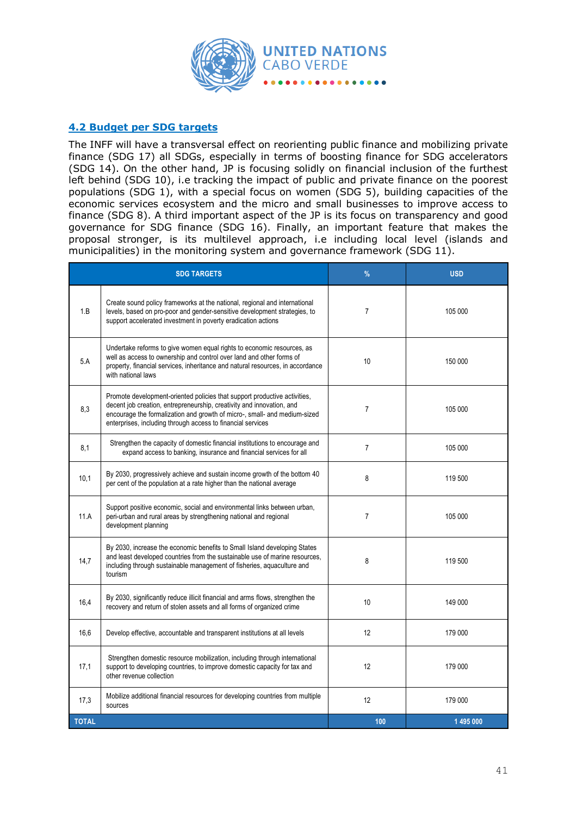

# **4.2 Budget per SDG targets**

The INFF will have a transversal effect on reorienting public finance and mobilizing private finance (SDG 17) all SDGs, especially in terms of boosting finance for SDG accelerators (SDG 14). On the other hand, JP is focusing solidly on financial inclusion of the furthest left behind (SDG 10), i.e tracking the impact of public and private finance on the poorest populations (SDG 1), with a special focus on women (SDG 5), building capacities of the economic services ecosystem and the micro and small businesses to improve access to finance (SDG 8). A third important aspect of the JP is its focus on transparency and good governance for SDG finance (SDG 16). Finally, an important feature that makes the proposal stronger, is its multilevel approach, i.e including local level (islands and municipalities) in the monitoring system and governance framework (SDG 11).

|              | <b>SDG TARGETS</b>                                                                                                                                                                                                                                                                             | $\%$           | <b>USD</b> |
|--------------|------------------------------------------------------------------------------------------------------------------------------------------------------------------------------------------------------------------------------------------------------------------------------------------------|----------------|------------|
| 1.B          | Create sound policy frameworks at the national, regional and international<br>levels, based on pro-poor and gender-sensitive development strategies, to<br>support accelerated investment in poverty eradication actions                                                                       | $\overline{7}$ | 105 000    |
| 5.A          | Undertake reforms to give women equal rights to economic resources, as<br>well as access to ownership and control over land and other forms of<br>property, financial services, inheritance and natural resources, in accordance<br>with national laws                                         | 10             | 150 000    |
| 8,3          | Promote development-oriented policies that support productive activities,<br>decent job creation, entrepreneurship, creativity and innovation, and<br>encourage the formalization and growth of micro-, small- and medium-sized<br>enterprises, including through access to financial services | $\overline{7}$ | 105 000    |
| 8,1          | Strengthen the capacity of domestic financial institutions to encourage and<br>expand access to banking, insurance and financial services for all                                                                                                                                              | $\overline{7}$ | 105 000    |
| 10,1         | By 2030, progressively achieve and sustain income growth of the bottom 40<br>per cent of the population at a rate higher than the national average                                                                                                                                             | 8              | 119 500    |
| 11.A         | Support positive economic, social and environmental links between urban,<br>peri-urban and rural areas by strengthening national and regional<br>development planning                                                                                                                          | $\overline{7}$ | 105 000    |
| 14,7         | By 2030, increase the economic benefits to Small Island developing States<br>and least developed countries from the sustainable use of marine resources,<br>including through sustainable management of fisheries, aquaculture and<br>tourism                                                  | 8              | 119 500    |
| 16.4         | By 2030, significantly reduce illicit financial and arms flows, strengthen the<br>recovery and return of stolen assets and all forms of organized crime                                                                                                                                        | 10             | 149 000    |
| 16,6         | Develop effective, accountable and transparent institutions at all levels                                                                                                                                                                                                                      | 12             | 179 000    |
| 17,1         | Strengthen domestic resource mobilization, including through international<br>support to developing countries, to improve domestic capacity for tax and<br>other revenue collection                                                                                                            | 12             | 179 000    |
| 17,3         | Mobilize additional financial resources for developing countries from multiple<br>sources                                                                                                                                                                                                      | 12             | 179 000    |
| <b>TOTAL</b> |                                                                                                                                                                                                                                                                                                | 100            | 1 495 000  |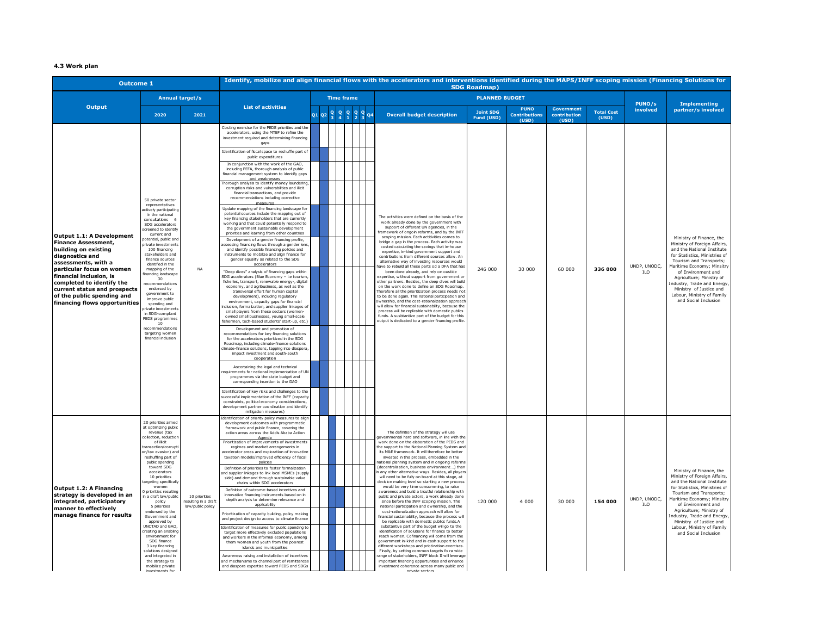#### **4.3 Work plan**

| <b>Outcome 1</b>                                                                                                                                                                                                                                                                                              |                                                                                                                                                                                                                                                                                                                                                                                                                                                                                                                                                                                       |                                                            |                                                                                                                                                                                                                                                                                                                                                                                                                                                                                                                                                                                                                                                                                                                                                                                                                                                                                                                                                                                                                                                                                                                                                                                                                                                                                                                                                                                                                                                                                                                                                                                                                                                                                                                                                                                                                                                                                                                                                                                                                                                                                                                                                                                                                                                                                                                                                                     |                                            |  |  |  |           | Identify, mobilize and align financial flows with the accelerators and interventions identified during the MAPS/INFF scoping mission (Financing Solutions for                                                                                                                                                                                                                                                                                                                                                                                                                                                                                                                                                                                                                                                                                                                                                                                                                                                                                                                                                                                                                                                                                                                                                                                                                                                                                       | <b>SDG Roadmap)</b>            |                                              |                                            |                            |                            |                                                                                                                                                                                                                                                                                                                                                   |
|---------------------------------------------------------------------------------------------------------------------------------------------------------------------------------------------------------------------------------------------------------------------------------------------------------------|---------------------------------------------------------------------------------------------------------------------------------------------------------------------------------------------------------------------------------------------------------------------------------------------------------------------------------------------------------------------------------------------------------------------------------------------------------------------------------------------------------------------------------------------------------------------------------------|------------------------------------------------------------|---------------------------------------------------------------------------------------------------------------------------------------------------------------------------------------------------------------------------------------------------------------------------------------------------------------------------------------------------------------------------------------------------------------------------------------------------------------------------------------------------------------------------------------------------------------------------------------------------------------------------------------------------------------------------------------------------------------------------------------------------------------------------------------------------------------------------------------------------------------------------------------------------------------------------------------------------------------------------------------------------------------------------------------------------------------------------------------------------------------------------------------------------------------------------------------------------------------------------------------------------------------------------------------------------------------------------------------------------------------------------------------------------------------------------------------------------------------------------------------------------------------------------------------------------------------------------------------------------------------------------------------------------------------------------------------------------------------------------------------------------------------------------------------------------------------------------------------------------------------------------------------------------------------------------------------------------------------------------------------------------------------------------------------------------------------------------------------------------------------------------------------------------------------------------------------------------------------------------------------------------------------------------------------------------------------------------------------------------------------------|--------------------------------------------|--|--|--|-----------|-----------------------------------------------------------------------------------------------------------------------------------------------------------------------------------------------------------------------------------------------------------------------------------------------------------------------------------------------------------------------------------------------------------------------------------------------------------------------------------------------------------------------------------------------------------------------------------------------------------------------------------------------------------------------------------------------------------------------------------------------------------------------------------------------------------------------------------------------------------------------------------------------------------------------------------------------------------------------------------------------------------------------------------------------------------------------------------------------------------------------------------------------------------------------------------------------------------------------------------------------------------------------------------------------------------------------------------------------------------------------------------------------------------------------------------------------------|--------------------------------|----------------------------------------------|--------------------------------------------|----------------------------|----------------------------|---------------------------------------------------------------------------------------------------------------------------------------------------------------------------------------------------------------------------------------------------------------------------------------------------------------------------------------------------|
|                                                                                                                                                                                                                                                                                                               |                                                                                                                                                                                                                                                                                                                                                                                                                                                                                                                                                                                       | <b>Annual target/s</b>                                     |                                                                                                                                                                                                                                                                                                                                                                                                                                                                                                                                                                                                                                                                                                                                                                                                                                                                                                                                                                                                                                                                                                                                                                                                                                                                                                                                                                                                                                                                                                                                                                                                                                                                                                                                                                                                                                                                                                                                                                                                                                                                                                                                                                                                                                                                                                                                                                     | <b>PLANNED BUDGET</b><br><b>Time frame</b> |  |  |  |           |                                                                                                                                                                                                                                                                                                                                                                                                                                                                                                                                                                                                                                                                                                                                                                                                                                                                                                                                                                                                                                                                                                                                                                                                                                                                                                                                                                                                                                                     |                                |                                              |                                            |                            |                            | <b>Implementing</b>                                                                                                                                                                                                                                                                                                                               |
| <b>Output</b>                                                                                                                                                                                                                                                                                                 | 2020                                                                                                                                                                                                                                                                                                                                                                                                                                                                                                                                                                                  | 2021                                                       | <b>List of activities</b>                                                                                                                                                                                                                                                                                                                                                                                                                                                                                                                                                                                                                                                                                                                                                                                                                                                                                                                                                                                                                                                                                                                                                                                                                                                                                                                                                                                                                                                                                                                                                                                                                                                                                                                                                                                                                                                                                                                                                                                                                                                                                                                                                                                                                                                                                                                                           |                                            |  |  |  | <b>Q4</b> | <b>Overall budget description</b>                                                                                                                                                                                                                                                                                                                                                                                                                                                                                                                                                                                                                                                                                                                                                                                                                                                                                                                                                                                                                                                                                                                                                                                                                                                                                                                                                                                                                   | <b>Joint SDG</b><br>Fund (USD) | <b>PUNO</b><br><b>Contributions</b><br>(USD) | <b>Government</b><br>contribution<br>(USD) | <b>Total Cost</b><br>(USD) | PUNO/s<br>involved         | partner/s involved                                                                                                                                                                                                                                                                                                                                |
| Output 1.1: A Development<br><b>Finance Assessment,</b><br>building on existing<br>diagnostics and<br>assessments, with a<br>particular focus on women<br>financial inclusion, is<br>completed to identify the<br>current status and prospects<br>of the public spending and<br>financing flows opportunities | 50 private sector<br>representatives<br>ctively participating<br>in the national<br>consultations 6<br>SDG accelerators<br>creened to identify<br>current and<br>otential, public and<br>rivate investments<br>100 financing<br>stakeholders and<br>finance sources<br>identified in the<br>mapping of the<br>nancing landscape<br>30<br>ecommendations<br>endorsed by<br>government to<br>improve public<br>spending and<br>rivate investment<br>in SDG-compliant<br>PEDS programmes<br>10<br>recommendations<br>targeting women<br>financial inclusion                              | <b>NA</b>                                                  | Costing exercise for the PEDS priorities and the<br>accelerators, using the MTEF to refine the<br>investment required and determining financino<br>qaps<br>dentification of fiscal space to reshuffle part of<br>public expenditures<br>In conjunction with the work of the GAO,<br>including PEFA, thorough analysis of public<br>financial management system to identify gaps<br>and weaknesses<br>orough analysis to identify money laundering<br>corruption risks and vulnerabilities and illicit<br>financial transactions, and provide<br>recommendations including corrective<br>Undate mapping of the financing landscape for<br>potential sources include the mapping out of<br>key financing stakeholders that are currently<br>working and that could potentially respond to<br>the government sustainable development<br>priorities and learning from other countries<br>Development of a gender financing profile,<br>ssessing financing flows through a gender lens<br>and identify possible financing policies and<br>instruments to mobilize and align finance for<br>gender equality as related to the SDG<br>accelerato<br>"Deep dives" analysis of financing gaps within<br>SDG accelerators (Blue Economy - i.e tourism<br>fisheries, transport, renewable energy-, digital<br>economy, and agribusiness, as well as the<br>transversal effort for human capital<br>development), including regulatory<br>environment, capacity gaps for financial<br>nclusion, formalization, and supplier linkages of<br>small players from these sectors (women-<br>owned small businesses, young small-scale<br>ishermen, tech-based students' start-up, etc.<br>Development and promotion of<br>recommendations for key financing solutions<br>for the accelerators prioritized in the SDG<br>Roadmap, including climate-finance solutions<br>climate-finance solutions, tapping into diaspora<br>impact investment and south-south<br>cooperation<br>Ascertaining the legal and technical<br>equirements for national implementation of UN<br>programmes via the state budget and<br>corresponding insertion to the GAO<br>Identification of key risks and challenges to the<br>successful implementation of the INFF (capacity<br>constraints, political economy considerations<br>development partner coordination and identify<br>mitiaation measures) |                                            |  |  |  |           | The activities were defined on the basis of the<br>work already done by the government with<br>support of different UN agencies, in the<br>ramework of ongoin reforms, and by the INFF<br>scoping mission. Each actitivities comes to<br>bridge a gap in the process. Each activity was<br>costed calculating the savings that in-house<br>expertise, in-kind government support and<br>contributions from different sources allow. An<br>alternative way of investing resources would<br>have to rebuild all these parts od a DFA that has<br>been done already, and rely on oustide<br>expertise, without support from government of<br>other partners. Besides, the deep dives will build<br>on the work done to define an SDG Roadmap.<br>Therefore all the prioritization process needs not<br>to be done again. This national participation and<br>ownership, and the cost-rationalization approach<br>will allow for financial sustainability, because the<br>process will be replicable with domestic publics<br>funds. A susbtantive part of the budget for this<br>output is dedicated to a gender financing profile.                                                                                                                                                                                                                                                                                                                     | 246 000                        | 30 000                                       | 60 000                                     | 336 000                    | UNDP, UNODC,<br>ILO        | Ministry of Finance, the<br>Ministry of Foreign Affairs,<br>and the National Institute<br>for Statistics, Ministries of<br>Tourism and Transports;<br>Maritime Economy; Minsitry<br>of Environment and<br>Agriculture; Ministry of<br>ndustry, Trade and Energy,<br>Ministry of Justice and<br>Labour, Ministry of Family<br>and Social Inclusion |
| Output 1.2: A Financing<br>strategy is developed in an<br>integrated, participatory<br>manner to effectively<br>manage finance for results                                                                                                                                                                    | 20 priorities aimed<br>at optimizing public<br>revenue (tax<br>ollection, reductio<br>of illicit<br>ransaction/corrupt<br>on/tax evasion) and<br>reshuffling part of<br>public spending<br>toward SDG<br>accelerators<br>10 priorities<br>argeting specifically<br>women<br>priorities resulting<br>a draft law/public<br>policy<br>5 priorities<br>endorsed by the<br>Government and<br>approved by<br>UNCTAD and GAO,<br>reating an enabling<br>environment for<br>SDG finance<br>3 key financing<br>solutions designed<br>and integrated in<br>the strategy to<br>mobilize private | 10 priorities<br>resulting in a draft<br>law/public policy | lentification of priority policy measures to ali<br>development outcomes with programmatic<br>framework and public finance, covering the<br>action areas across the Addis Ababa Action<br>Agenda<br>Prioritization of improvements of investments<br>regimes and market arrangements in<br>ccelerator areas and exploration of innovative<br>taxation models/improved efficiency of fiscal<br>policies<br>Definition of priorities to foster formalization<br>ind supplier linkages to link local MSMEs (supply<br>side) and demand through sustainable value<br>chains within SDG accelerators<br>Definition of outcome-based incentives and<br>innovative financing instruments based on in<br>depth analysis to determine relevance and<br>applicability<br>Prioritization of capacity building, policy making<br>and project design to access to climate finance<br>Identification of measures for public spending to<br>target more effectively excluded populations<br>and workers in the informal economy, among<br>them women and youth from the poorest<br>islands and municipalities<br>Awareness raising and installation of incentive<br>and mechanisms to channel part of remittance<br>and diaspora expertise toward PEDS and SDGs                                                                                                                                                                                                                                                                                                                                                                                                                                                                                                                                                                                                                                                                                                                                                                                                                                                                                                                                                                                                                                                                                                                    |                                            |  |  |  |           | The definition of the strategy will use<br>aovernmental hard and software, in line with th<br>work done on the elaboration of the PEDS and<br>the support to the National Planning System and<br>its M&E framework. It will therefore be better<br>invested in this process, embedded in the<br>national planning system and in ongoing reform<br>(decentralization, business environment) than<br>n any other alternative ways. Besides, all players<br>will need to be fully on board at this stage, at<br>decision making level so starting a new process<br>would be very time consumming, to raise<br>awareness and build a trsutful relationship with<br>public and private actors, a work already done<br>since before the INFF scoping mission. This<br>national participation and ownership, and the<br>cost-rationalization approach will allow for<br>financial sustainability, because the process will<br>be replicable with domestic publics funds.A<br>substantive part of the budget will go to the<br>identification of solutions for finance to better<br>reach women. Cofinancing will come from the<br>government in-kind and in-cash support to the<br>different workshops and priotization exercises.<br>Finally, by setting common targets fo ra wide<br>ange of stakeholders, INFF block II will leverage<br>important financing opportunities and enhance<br>investment coherence across many public and<br>nrivato contor | 120 000                        | 4 0 0 0                                      | 30 000                                     | 154 000                    | UNDP, UNODC,<br><b>ILO</b> | Ministry of Finance, the<br>Ministry of Foreign Affairs,<br>and the National Institute<br>for Statistics, Ministries of<br>Tourism and Transports;<br>Maritime Economy; Minsitry<br>of Environment and<br>Agriculture: Ministry of<br>ndustry, Trade and Energy,<br>Ministry of Justice and<br>Labour, Ministry of Family<br>and Social Inclusion |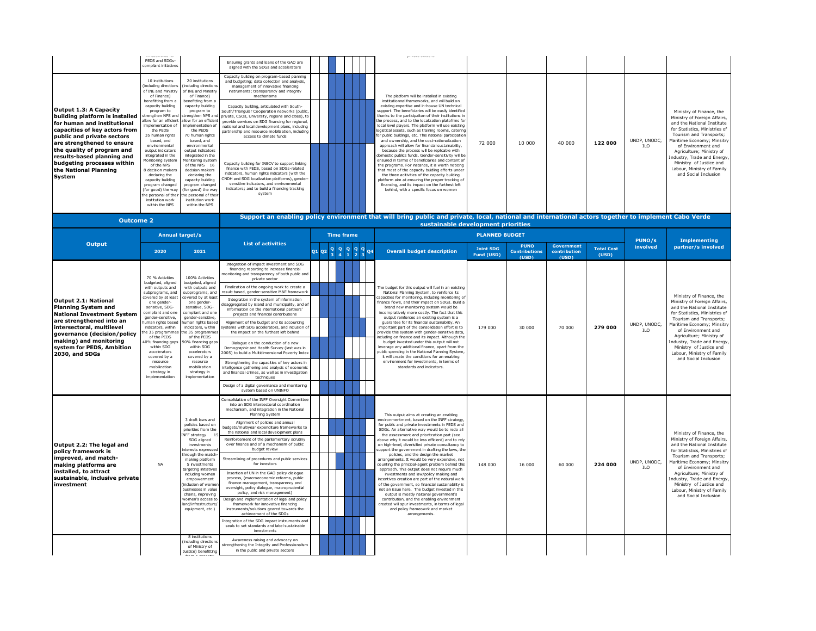|                                                                                                                                                                                                                                                                 | PEDS and SDGs-<br>compliant initiative                                                                                                                                                                                                                                                                                                                                                    |                                                                                                                                                                                                                                                                                                                                                                                          | Ensuring grants and loans of the GAO are<br>aligned with the SDGs and accelerators                                                                                                                                                                                                                                                                                                                                                                                                                                                                                                                                                                                                                                                                                                                                                                                                                                                                                  |       |                   |  |                                                                                                                                                                                                                                                                                                                                                                                                                                                                                                                                                                                                                                                                                                                                                                                                                                                                                                                                                                                                     |                                |                                              |                                            |                            |                            |                                                                                                                                                                                                                                                                                                                                                   |
|-----------------------------------------------------------------------------------------------------------------------------------------------------------------------------------------------------------------------------------------------------------------|-------------------------------------------------------------------------------------------------------------------------------------------------------------------------------------------------------------------------------------------------------------------------------------------------------------------------------------------------------------------------------------------|------------------------------------------------------------------------------------------------------------------------------------------------------------------------------------------------------------------------------------------------------------------------------------------------------------------------------------------------------------------------------------------|---------------------------------------------------------------------------------------------------------------------------------------------------------------------------------------------------------------------------------------------------------------------------------------------------------------------------------------------------------------------------------------------------------------------------------------------------------------------------------------------------------------------------------------------------------------------------------------------------------------------------------------------------------------------------------------------------------------------------------------------------------------------------------------------------------------------------------------------------------------------------------------------------------------------------------------------------------------------|-------|-------------------|--|-----------------------------------------------------------------------------------------------------------------------------------------------------------------------------------------------------------------------------------------------------------------------------------------------------------------------------------------------------------------------------------------------------------------------------------------------------------------------------------------------------------------------------------------------------------------------------------------------------------------------------------------------------------------------------------------------------------------------------------------------------------------------------------------------------------------------------------------------------------------------------------------------------------------------------------------------------------------------------------------------------|--------------------------------|----------------------------------------------|--------------------------------------------|----------------------------|----------------------------|---------------------------------------------------------------------------------------------------------------------------------------------------------------------------------------------------------------------------------------------------------------------------------------------------------------------------------------------------|
| Output 1.3: A Capacity<br>building platform is installed<br>for human and institutional<br>capacities of key actors from<br>public and private sectors<br>are strengthened to ensure<br>the quality of program and<br>results-based planning and                | 10 institutions<br>including direction<br>of INE and Ministr<br>of Finance)<br>benefitting from a<br>capacity building<br>program to<br>trengthen NPS an<br>llow for an efficien<br>mplementation of<br>the PEDS<br>35 human rights<br>based, and<br>environmental<br>output indicators<br>integrated in the                                                                              | 20 institutions<br>including directions<br>of INE and Ministry<br>of Finance)<br>benefitting from a<br>capacity building<br>program to<br>rengthen NPS and<br>llow for an efficien<br>mplementation of<br>the PEDS<br>70 human rights<br>based, and<br>environmental<br>output indicators<br>integrated in the                                                                           | Capacity building on program-based planning<br>and budgeting; data collection and analysis,<br>management of innovative financing<br>instruments; transparency and integrity<br>mechanisms<br>Capacity building, articulated with South-<br>outh/Triangular Cooperation networks (public<br>ivate, CSOs, University, regions and cities), t<br>rovide services on SDG financing for regional<br>national and local development plans, including<br>artnership and resource mobilization, includin<br>access to climate funds                                                                                                                                                                                                                                                                                                                                                                                                                                        |       |                   |  | The platform will be installed in existing<br>institutionnal frameworks, and will build on<br>existing expertise and in-house UN technical<br>upport. The beneficiaries will be easily identified<br>hanks to the participaiton of their institutions in<br>he process, and to the localization platofrms fo<br>local level players. The platform will use existing<br>logistical assets, such as training rooms, caterino<br>or public buildings, etc. This national participatio<br>and ownership, and the cost-rationalization<br>approach will allow for financial sustainability,<br>because the process will be replicable with<br>omestic publics funds. Gender-sensitivity will b                                                                                                                                                                                                                                                                                                           | 72 000                         | 10 000                                       | 40 000                                     | 122 000                    | UNDP, UNODC,<br><b>ILO</b> | Ministry of Finance, the<br>Ministry of Foreign Affairs,<br>and the National Institute<br>for Statistics, Ministries of<br>Tourism and Transports:<br>Maritime Economy; Minsitry<br>of Environment and<br>Agriculture: Ministry of                                                                                                                |
| budgeting processes within<br>the National Planning<br>System                                                                                                                                                                                                   | fonitoring system<br>of the NPS<br>decision makers<br>declaring the<br>capacity building<br>program changed<br>(for good) the way<br>he personal of the<br>institution work<br>within the NPS                                                                                                                                                                                             | Monitoring system<br>of the NPS 16<br>decision makers<br>declaring the<br>capacity building<br>program changed<br>for good) the way<br>e personal of the<br>institution work<br>within the NPS                                                                                                                                                                                           | Capacity building for INECV to support linking<br>finance with PEDS, based on SDGs-related<br>indicators, human rights indicators (with the<br>NDH and SDG localization platforms), gende<br>sensitive indicators, and environmental<br>indicators; and to build a financing tracking<br>system                                                                                                                                                                                                                                                                                                                                                                                                                                                                                                                                                                                                                                                                     |       |                   |  | insured in terms of beneficiaries and content of<br>the programs. For instance, it is worth noticing<br>that most of the capacity buidling efforts under<br>the three acitivities of the capacity building<br>platform aim at ensuring the proper tracking of<br>financing, and its impact on the furthest left<br>behind, with a specific focus on women                                                                                                                                                                                                                                                                                                                                                                                                                                                                                                                                                                                                                                           |                                |                                              |                                            |                            |                            | ndustry, Trade and Energy,<br>Ministry of Justice and<br>Labour, Ministry of Family<br>and Social Inclusion                                                                                                                                                                                                                                       |
| <b>Outcome 2</b>                                                                                                                                                                                                                                                |                                                                                                                                                                                                                                                                                                                                                                                           |                                                                                                                                                                                                                                                                                                                                                                                          |                                                                                                                                                                                                                                                                                                                                                                                                                                                                                                                                                                                                                                                                                                                                                                                                                                                                                                                                                                     |       |                   |  | Support an enabling policy environment that will bring public and private, local, national and international actors together to implement Cabo Verde<br>sustainable development priorities                                                                                                                                                                                                                                                                                                                                                                                                                                                                                                                                                                                                                                                                                                                                                                                                          |                                |                                              |                                            |                            |                            |                                                                                                                                                                                                                                                                                                                                                   |
|                                                                                                                                                                                                                                                                 | Annual target/s                                                                                                                                                                                                                                                                                                                                                                           |                                                                                                                                                                                                                                                                                                                                                                                          |                                                                                                                                                                                                                                                                                                                                                                                                                                                                                                                                                                                                                                                                                                                                                                                                                                                                                                                                                                     |       | <b>Time frame</b> |  |                                                                                                                                                                                                                                                                                                                                                                                                                                                                                                                                                                                                                                                                                                                                                                                                                                                                                                                                                                                                     | <b>PLANNED BUDGET</b>          |                                              |                                            |                            | PUNO/s                     | <b>Implementing</b>                                                                                                                                                                                                                                                                                                                               |
| <b>Output</b>                                                                                                                                                                                                                                                   | 2020                                                                                                                                                                                                                                                                                                                                                                                      | 2021                                                                                                                                                                                                                                                                                                                                                                                     | <b>List of activities</b>                                                                                                                                                                                                                                                                                                                                                                                                                                                                                                                                                                                                                                                                                                                                                                                                                                                                                                                                           | Q1 Q2 |                   |  | <b>Overall budget description</b>                                                                                                                                                                                                                                                                                                                                                                                                                                                                                                                                                                                                                                                                                                                                                                                                                                                                                                                                                                   | <b>Joint SDG</b><br>Fund (USD) | <b>PUNO</b><br><b>Contributions</b><br>(USD) | <b>Government</b><br>contribution<br>(USD) | <b>Total Cost</b><br>(USD) | involved                   | partner/s involved                                                                                                                                                                                                                                                                                                                                |
| Output 2.1: National<br><b>Planning System and</b><br><b>National Investment System</b><br>are strengthened into an<br>intersectoral, multilevel<br>governance (decision/policy<br>making) and monitoring<br>system for PEDS, Ambition<br><b>2030, and SDGs</b> | 70 % Activities<br>budgeted, aligned<br>with outputs and<br>subprograms, and<br>covered by at leas<br>one gender-<br>sensitive, SDG-<br>compliant and one<br>gender-sensitive.<br>numan rights base<br>indicators, within<br>e 35 programme<br>of the PEDS<br>0% financing gap<br>within SDG<br>accelerators<br>covered by a<br>resource<br>mobilization<br>strategy in<br>implementation | 100% Activities<br>budgeted, aligned<br>with outputs and<br>subprograms, and<br>overed by at least<br>one gender-<br>sensitive, SDG-<br>compliant and one<br>gender-sensitive.<br>uman rights base<br>indicators, within<br>e 35 programme<br>of the PEDS<br>0% financing gap<br>within SDG<br>accelerators<br>covered by a<br>resource<br>mobilization<br>strategy in<br>implementation | Integration of impact investment and SDG<br>financing reporting to increase financial<br>nitoring and transparency of both public an<br>private sector<br>Finalization of the ongoing work to create a<br>result-based, gender-sensitive M&E frameworl<br>Integration in the system of information<br>aggregated by island and municipality, and c<br>information on the international partners'<br>projects and financial contributions<br>Alignment of the budget and its accounting<br>stems with SDG accelerators, and inclusion<br>the impact on the furthest left behind<br>Dialogue on the conduction of a new<br>Demographic and Health Survey (last was in<br>005) to build a Multidimensional Poverty Inde<br>Strengthening the capacities of key actors in<br>ntelligence gathering and analysis of economi<br>and financial crimes, as well as in investigatio<br>techniques<br>Design of a digital governance and monitoring<br>system based on UNINFO |       |                   |  | The budget for this output will fuel in an existing<br>National Planning System, to reinforce its<br>apacities for monitoring, including monitoring o<br>ance flows, and their impact on SDGs. Build a<br>brand new monitoring system would be<br>incompratively more costly. The fact that this<br>output reinforces an existing system is a<br>quarantee for its financial sustainability. An<br>important part of the consolidation effort is to<br>rovide this system with gender-sensitive data,<br>cluding on finance and its impact. Although the<br>budget invested under this output will not<br>everage any additional finance, apart from the<br>ublic spending in the National Planning System<br>it will create the conditions for an enabling<br>environment for investments, in terms of<br>standards and indicators.                                                                                                                                                                | 179 000                        | 30 000                                       | 70 000                                     | 279 000                    | UNDP, UNODC,<br><b>ILO</b> | Ministry of Finance, the<br>Ministry of Foreign Affairs,<br>and the National Institute<br>for Statistics, Ministries of<br>Tourism and Transports:<br>Maritime Economy; Minsitry<br>of Environment and<br>Agriculture: Ministry of<br>ndustry, Trade and Energy,<br>Ministry of Justice and<br>Labour, Ministry of Family<br>and Social Inclusion |
| Output 2.2: The legal and<br>policy framework is<br>improved, and match-<br>making platforms are<br>installed, to attract<br>sustainable, inclusive private<br>investment                                                                                       | <b>NA</b>                                                                                                                                                                                                                                                                                                                                                                                 | 3 draft laws and<br>policies based on<br>priorities from the<br><b>NFF</b> strategy<br>SDG aligned<br>investments<br>nterests expresse<br>through the match<br>making platform<br>5 investments<br>argeting initiatives<br>including women<br>empowerment<br>nclusion of wome<br>businesses in value<br>chains, improving<br>vomen's access to<br>and/infrastructure<br>equipment, etc.) | onsolidation of the INFF Oversight Committe<br>into an SDG intersectoral coordination<br>mechanism, and integration in the National<br>Planning System<br>Alignment of policies and annual<br>udgets/multiyear expenditure frameworks to<br>the national and local development plans<br>Reinforcement of the parliamentary scrutiny<br>over finance and of a mechanism of public<br>budget review<br>Streamlining of procedures and public services<br>for investors<br>Insertion of UN in the GAO policy dialogue<br>process, (macroeconomic reforms, public<br>finance management, transparency and<br>oversight, policy dialogue, macroprudential<br>policy, and risk management)<br>Design and implementation of legal and policy<br>framework for innovative financing<br>instruments/solutions geared towards the<br>achievement of the SDGs<br>Integration of the SDG impact instruments an<br>seals to set standards and label sustainable<br>investments   |       |                   |  | This output aims at creating an enabling<br>nvironmentment, based on the INFF strategy<br>for public and private investments in PEDS and<br>SDGs. An alternative way would be to redo all<br>the assessment and prioritzation part (see<br>above why it would be less efficient) and to rely<br>on high-level, diverisified private consultancy to<br>upport the government in drafting the laws, the<br>policies, and the design the market<br>arrangements. It would be very expensive, not<br>counting the principal-agent problem behind this<br>approach. This output does not require much<br>investments and law/policy making and<br>incentives creation are part of the natural work<br>of the government, so financial sustainability is<br>not an issue here. The budget invested in this<br>output is mostly naitonal government's<br>contribution, and the enabling environment<br>reated will spur investments, in terms of legal<br>and policy frameowrk and market<br>arrangements. | 148 000                        | 16,000                                       | 60,000                                     | 224 000                    | UNDP, UNODC,<br><b>ILO</b> | Ministry of Finance, the<br>Ministry of Foreign Affairs,<br>and the National Institute<br>for Statistics, Ministries of<br>Tourism and Transports:<br>Maritime Economy; Minsitry<br>of Environment and<br>Agriculture; Ministry of<br>ndustry, Trade and Energy,<br>Ministry of Justice and<br>Labour, Ministry of Family<br>and Social Inclusion |
|                                                                                                                                                                                                                                                                 |                                                                                                                                                                                                                                                                                                                                                                                           | including directions<br>of Ministry of<br>Justice) benefitting                                                                                                                                                                                                                                                                                                                           | Awareness raising and advocacy on<br>strengthening the Integrity and Professionalisr<br>in the public and private sectors                                                                                                                                                                                                                                                                                                                                                                                                                                                                                                                                                                                                                                                                                                                                                                                                                                           |       |                   |  |                                                                                                                                                                                                                                                                                                                                                                                                                                                                                                                                                                                                                                                                                                                                                                                                                                                                                                                                                                                                     |                                |                                              |                                            |                            |                            |                                                                                                                                                                                                                                                                                                                                                   |